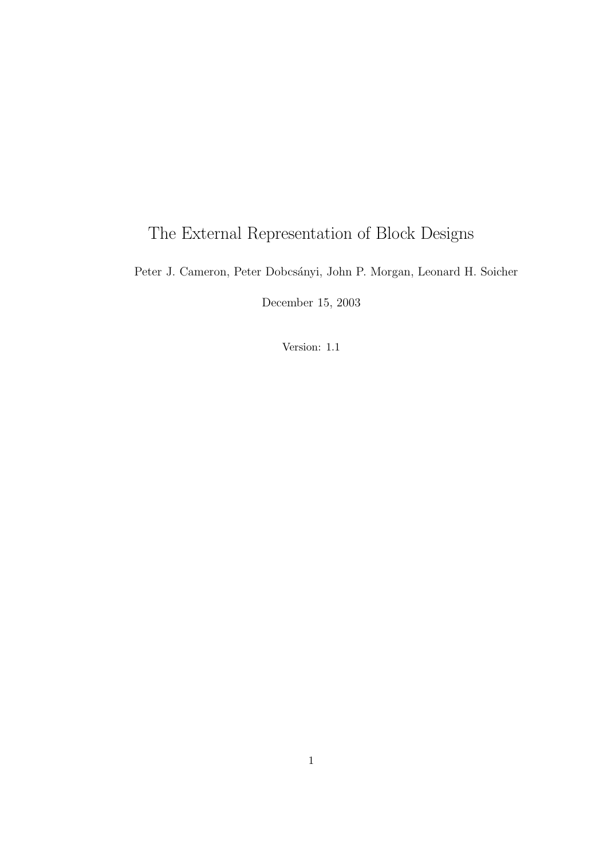# The External Representation of Block Designs

Peter J. Cameron, Peter Dobcsányi, John P. Morgan, Leonard H. Soicher

December 15, 2003

Version: 1.1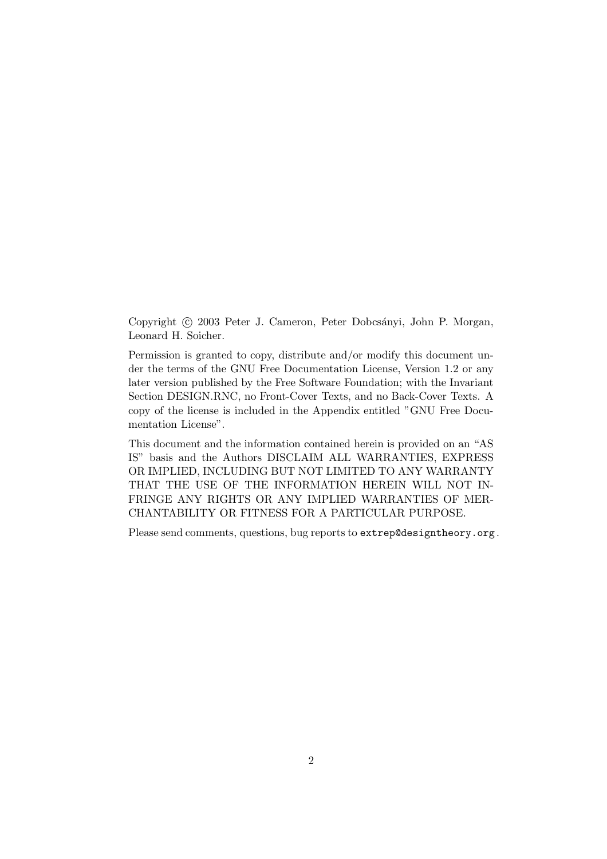Copyright (c) 2003 Peter J. Cameron, Peter Dobcsányi, John P. Morgan, Leonard H. Soicher.

Permission is granted to copy, distribute and/or modify this document under the terms of the GNU Free Documentation License, Version 1.2 or any later version published by the Free Software Foundation; with the Invariant Section DESIGN.RNC, no Front-Cover Texts, and no Back-Cover Texts. A copy of the license is included in the Appendix entitled "GNU Free Documentation License".

This document and the information contained herein is provided on an "AS IS" basis and the Authors DISCLAIM ALL WARRANTIES, EXPRESS OR IMPLIED, INCLUDING BUT NOT LIMITED TO ANY WARRANTY THAT THE USE OF THE INFORMATION HEREIN WILL NOT IN-FRINGE ANY RIGHTS OR ANY IMPLIED WARRANTIES OF MER-CHANTABILITY OR FITNESS FOR A PARTICULAR PURPOSE.

Please send comments, questions, bug reports to extrep@designtheory.org .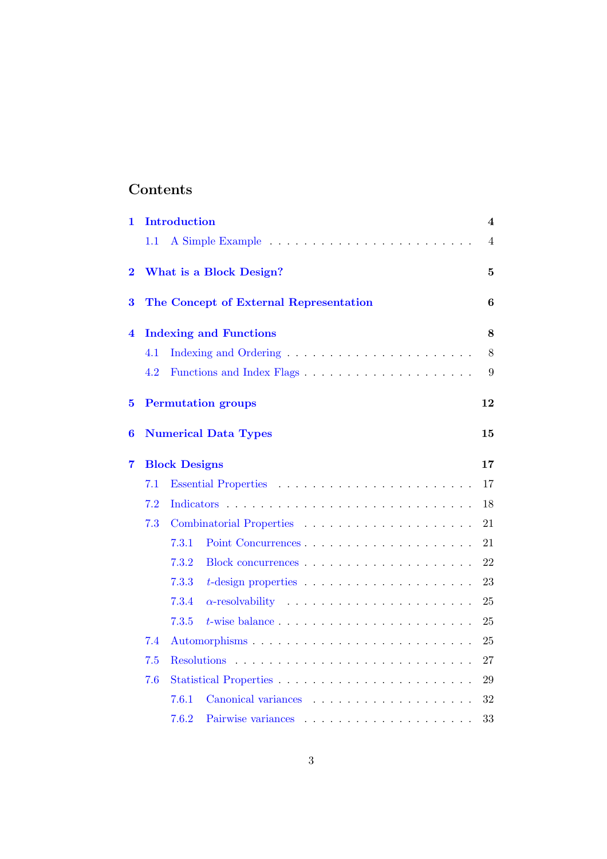# Contents

| 1                       |                               | <b>Introduction</b>     |                                                                      | 4              |  |  |  |  |  |  |  |
|-------------------------|-------------------------------|-------------------------|----------------------------------------------------------------------|----------------|--|--|--|--|--|--|--|
|                         | $1.1\,$                       |                         |                                                                      | $\overline{4}$ |  |  |  |  |  |  |  |
| $\overline{\mathbf{2}}$ |                               | What is a Block Design? |                                                                      |                |  |  |  |  |  |  |  |
| 3                       |                               |                         | The Concept of External Representation                               | 6              |  |  |  |  |  |  |  |
| 4                       | <b>Indexing and Functions</b> |                         |                                                                      |                |  |  |  |  |  |  |  |
|                         | 4.1                           |                         |                                                                      | 8              |  |  |  |  |  |  |  |
|                         | 4.2                           |                         | Functions and Index Flags                                            | 9              |  |  |  |  |  |  |  |
| $\bf{5}$                |                               |                         | <b>Permutation groups</b>                                            | 12             |  |  |  |  |  |  |  |
| $\bf{6}$                |                               |                         | <b>Numerical Data Types</b>                                          | 15             |  |  |  |  |  |  |  |
| 7                       | <b>Block Designs</b>          |                         |                                                                      |                |  |  |  |  |  |  |  |
|                         | 7.1                           |                         |                                                                      | 17             |  |  |  |  |  |  |  |
|                         | 7.2                           |                         |                                                                      |                |  |  |  |  |  |  |  |
|                         | 7.3                           |                         |                                                                      |                |  |  |  |  |  |  |  |
|                         |                               | 7.3.1                   |                                                                      | 21             |  |  |  |  |  |  |  |
|                         |                               | 7.3.2                   |                                                                      | 22             |  |  |  |  |  |  |  |
|                         |                               | 7.3.3                   |                                                                      | 23             |  |  |  |  |  |  |  |
|                         |                               | 7.3.4                   | $\alpha$ -resolvability                                              | 25             |  |  |  |  |  |  |  |
|                         |                               | 7.3.5                   | $t$ -wise balance $\ldots \ldots \ldots \ldots \ldots \ldots \ldots$ | 25             |  |  |  |  |  |  |  |
|                         | 7.4                           |                         |                                                                      | 25             |  |  |  |  |  |  |  |
|                         | 7.5                           |                         |                                                                      |                |  |  |  |  |  |  |  |
|                         | 7.6                           |                         |                                                                      |                |  |  |  |  |  |  |  |
|                         |                               | 7.6.1                   |                                                                      | 32             |  |  |  |  |  |  |  |
|                         |                               | 7.6.2                   |                                                                      | 33             |  |  |  |  |  |  |  |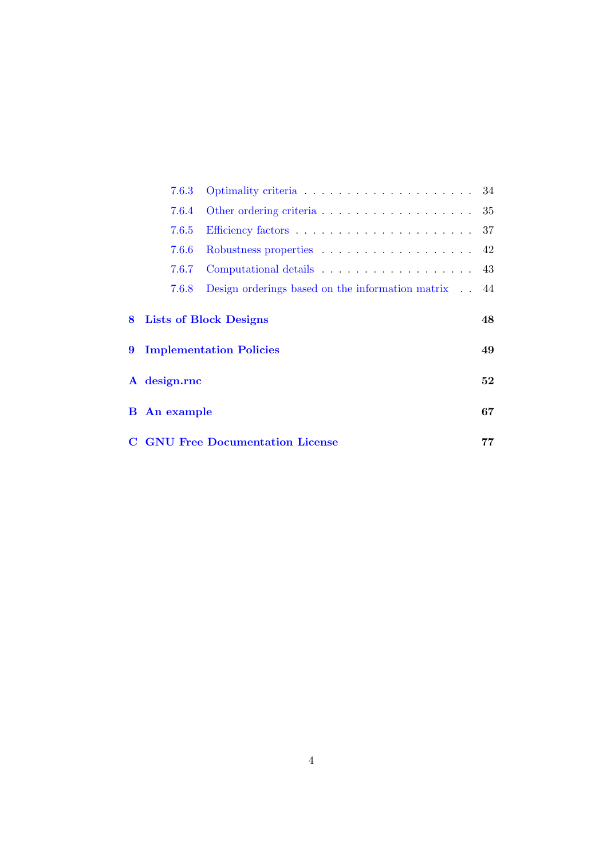| 7.6.3                                   |                                                                      |    |  |  |  |
|-----------------------------------------|----------------------------------------------------------------------|----|--|--|--|
| 7.6.4                                   |                                                                      |    |  |  |  |
| 7.6.5                                   |                                                                      |    |  |  |  |
| 7.6.6                                   | Robustness properties $\ldots \ldots \ldots \ldots \ldots \ldots$ 42 |    |  |  |  |
| 7.6.7                                   | Computational details 43                                             |    |  |  |  |
| 7.6.8                                   | Design orderings based on the information matrix . 44                |    |  |  |  |
|                                         | 8 Lists of Block Designs                                             | 48 |  |  |  |
|                                         | 9 Implementation Policies                                            | 49 |  |  |  |
| A design.rnc                            |                                                                      |    |  |  |  |
| <b>B</b> An example                     |                                                                      | 67 |  |  |  |
| <b>C</b> GNU Free Documentation License |                                                                      |    |  |  |  |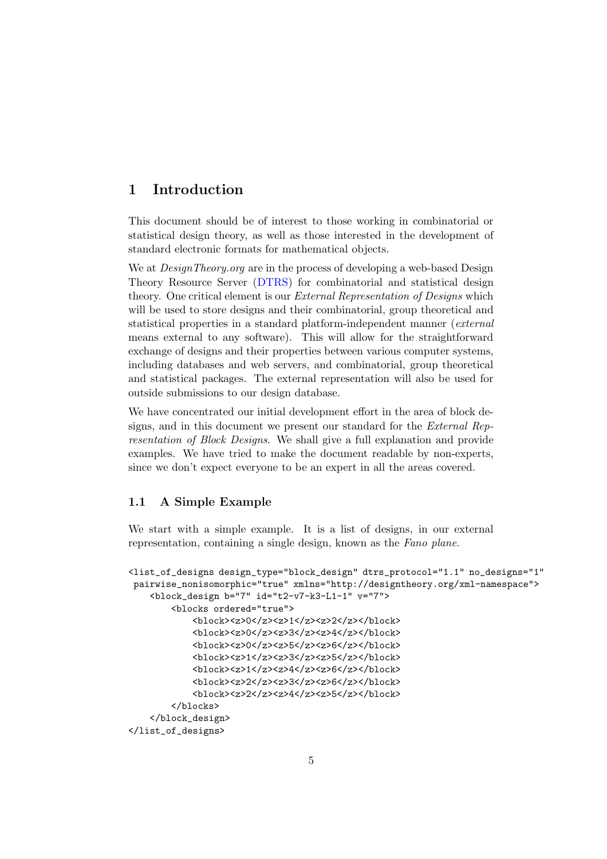# <span id="page-4-0"></span>1 Introduction

This document should be of interest to those working in combinatorial or statistical design theory, as well as those interested in the development of standard electronic formats for mathematical objects.

We at *DesignTheory.org* are in the process of developing a web-based Design Theory Resource Server [\(DTRS\)](http://designtheory.org) for combinatorial and statistical design theory. One critical element is our External Representation of Designs which will be used to store designs and their combinatorial, group theoretical and statistical properties in a standard platform-independent manner (external means external to any software). This will allow for the straightforward exchange of designs and their properties between various computer systems, including databases and web servers, and combinatorial, group theoretical and statistical packages. The external representation will also be used for outside submissions to our design database.

We have concentrated our initial development effort in the area of block designs, and in this document we present our standard for the External Representation of Block Designs. We shall give a full explanation and provide examples. We have tried to make the document readable by non-experts, since we don't expect everyone to be an expert in all the areas covered.

# <span id="page-4-1"></span>1.1 A Simple Example

We start with a simple example. It is a list of designs, in our external representation, containing a single design, known as the Fano plane.

```
<list_of_designs design_type="block_design" dtrs_protocol="1.1" no_designs="1"
pairwise_nonisomorphic="true" xmlns="http://designtheory.org/xml-namespace">
    <block_design b="7" id="t2-v7-k3-L1-1" v="7">
        <blocks ordered="true">
            <block><z>0</z><z>1</z><z>2</z></block>
            <block><z>0</z><z>3</z><z>4</z></block>
            <block><z>0</z><z>5</z><z>6</z></block>
            <block><z>1</z><z>3</z><z>5</z></block>
            <block><z>1</z><z>4</z><z>6</z></block>
            <block><z>2</z><z>3</z><z>6</z></block>
            <block><z>2</z><z>4</z><z>5</z></block>
        </blocks>
    </block_design>
</list_of_designs>
```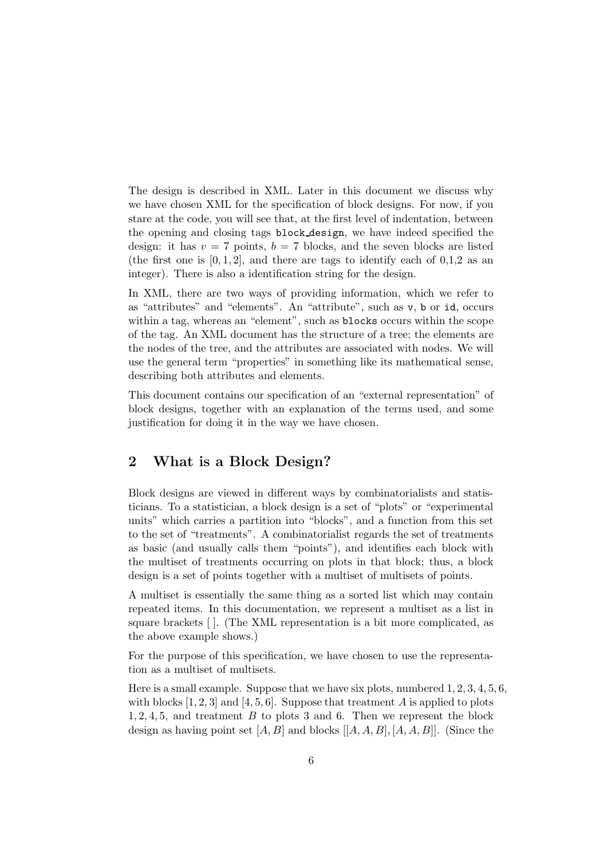The design is described in XML. Later in this document we discuss why we have chosen XML for the specification of block designs. For now, if you stare at the code, you will see that, at the first level of indentation, between the opening and closing tags block design, we have indeed specified the design: it has  $v = 7$  points,  $b = 7$  blocks, and the seven blocks are listed (the first one is  $[0, 1, 2]$ , and there are tags to identify each of  $[0, 1, 2]$  as an integer). There is also a identification string for the design.

In XML, there are two ways of providing information, which we refer to as "attributes" and "elements". An "attribute", such as v, b or id, occurs within a tag, whereas an "element", such as blocks occurs within the scope of the tag. An XML document has the structure of a tree; the elements are the nodes of the tree, and the attributes are associated with nodes. We will use the general term "properties" in something like its mathematical sense, describing both attributes and elements.

This document contains our specification of an "external representation" of block designs, together with an explanation of the terms used, and some justification for doing it in the way we have chosen.

# <span id="page-5-0"></span>2 What is a Block Design?

Block designs are viewed in different ways by combinatorialists and statisticians. To a statistician, a block design is a set of "plots" or "experimental units" which carries a partition into "blocks", and a function from this set to the set of "treatments". A combinatorialist regards the set of treatments as basic (and usually calls them "points"), and identifies each block with the multiset of treatments occurring on plots in that block; thus, a block design is a set of points together with a multiset of multisets of points.

A multiset is essentially the same thing as a sorted list which may contain repeated items. In this documentation, we represent a multiset as a list in square brackets [ ]. (The XML representation is a bit more complicated, as the above example shows.)

For the purpose of this specification, we have chosen to use the representation as a multiset of multisets.

Here is a small example. Suppose that we have six plots, numbered 1, 2, 3, 4, 5, 6, with blocks  $[1, 2, 3]$  and  $[4, 5, 6]$ . Suppose that treatment A is applied to plots 1, 2, 4, 5, and treatment B to plots 3 and 6. Then we represent the block design as having point set  $[A, B]$  and blocks  $[[A, A, B], [A, A, B]]$ . (Since the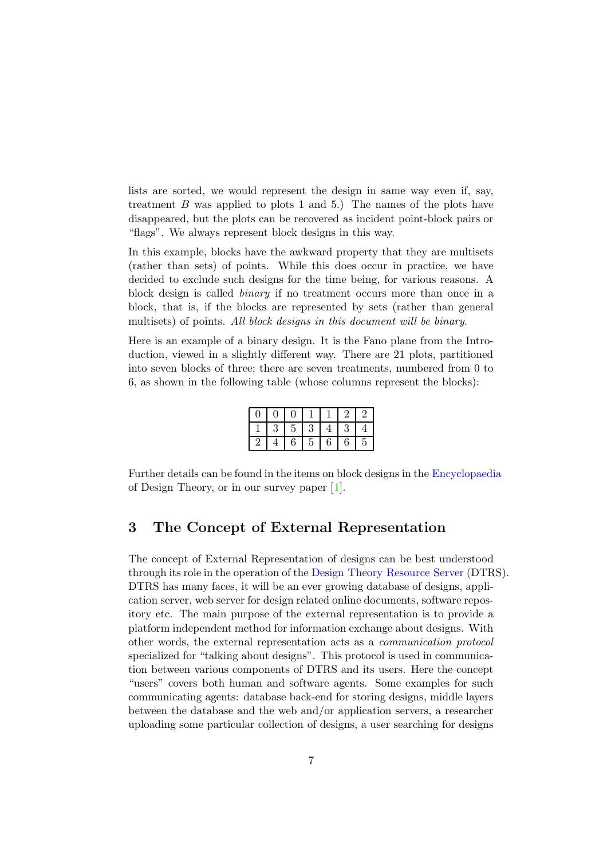lists are sorted, we would represent the design in same way even if, say, treatment  $B$  was applied to plots 1 and 5.) The names of the plots have disappeared, but the plots can be recovered as incident point-block pairs or "flags". We always represent block designs in this way.

In this example, blocks have the awkward property that they are multisets (rather than sets) of points. While this does occur in practice, we have decided to exclude such designs for the time being, for various reasons. A block design is called binary if no treatment occurs more than once in a block, that is, if the blocks are represented by sets (rather than general multisets) of points. All block designs in this document will be binary.

Here is an example of a binary design. It is the Fano plane from the Introduction, viewed in a slightly different way. There are 21 plots, partitioned into seven blocks of three; there are seven treatments, numbered from 0 to 6, as shown in the following table (whose columns represent the blocks):

| $\overline{0}$ | $\boldsymbol{0}$ | $\overline{0}$ |                |                |                  | $\overline{2}$ |
|----------------|------------------|----------------|----------------|----------------|------------------|----------------|
|                | $\boldsymbol{3}$ | $\overline{5}$ | 3              | $\overline{4}$ | $\boldsymbol{3}$ |                |
| $\overline{2}$ |                  | 6              | $\overline{5}$ | $\sqrt{6}$     | $\,6$            | 5              |

Further details can be found in the items on block designs in the [Encyclopaedia](http://designtheory.org/library/encyc) of Design Theory, or in our survey paper [\[1\]](#page-51-0).

# <span id="page-6-0"></span>3 The Concept of External Representation

The concept of External Representation of designs can be best understood through its role in the operation of the Design Theory [Resource](http://designtheory.org) Server (DTRS). DTRS has many faces, it will be an ever growing database of designs, application server, web server for design related online documents, software repository etc. The main purpose of the external representation is to provide a platform independent method for information exchange about designs. With other words, the external representation acts as a communication protocol specialized for "talking about designs". This protocol is used in communication between various components of DTRS and its users. Here the concept "users" covers both human and software agents. Some examples for such communicating agents: database back-end for storing designs, middle layers between the database and the web and/or application servers, a researcher uploading some particular collection of designs, a user searching for designs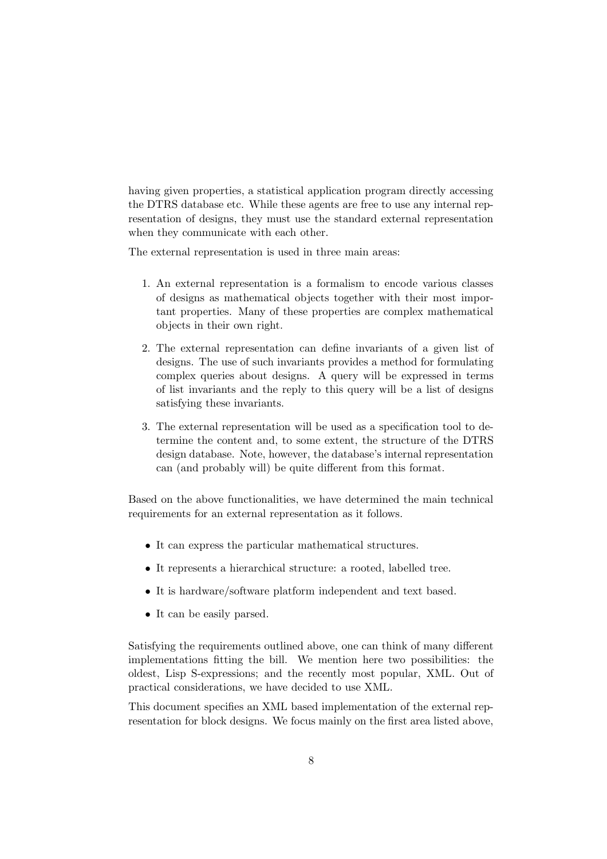having given properties, a statistical application program directly accessing the DTRS database etc. While these agents are free to use any internal representation of designs, they must use the standard external representation when they communicate with each other.

The external representation is used in three main areas:

- 1. An external representation is a formalism to encode various classes of designs as mathematical objects together with their most important properties. Many of these properties are complex mathematical objects in their own right.
- 2. The external representation can define invariants of a given list of designs. The use of such invariants provides a method for formulating complex queries about designs. A query will be expressed in terms of list invariants and the reply to this query will be a list of designs satisfying these invariants.
- 3. The external representation will be used as a specification tool to determine the content and, to some extent, the structure of the DTRS design database. Note, however, the database's internal representation can (and probably will) be quite different from this format.

Based on the above functionalities, we have determined the main technical requirements for an external representation as it follows.

- It can express the particular mathematical structures.
- It represents a hierarchical structure: a rooted, labelled tree.
- It is hardware/software platform independent and text based.
- It can be easily parsed.

Satisfying the requirements outlined above, one can think of many different implementations fitting the bill. We mention here two possibilities: the oldest, Lisp S-expressions; and the recently most popular, XML. Out of practical considerations, we have decided to use XML.

This document specifies an XML based implementation of the external representation for block designs. We focus mainly on the first area listed above,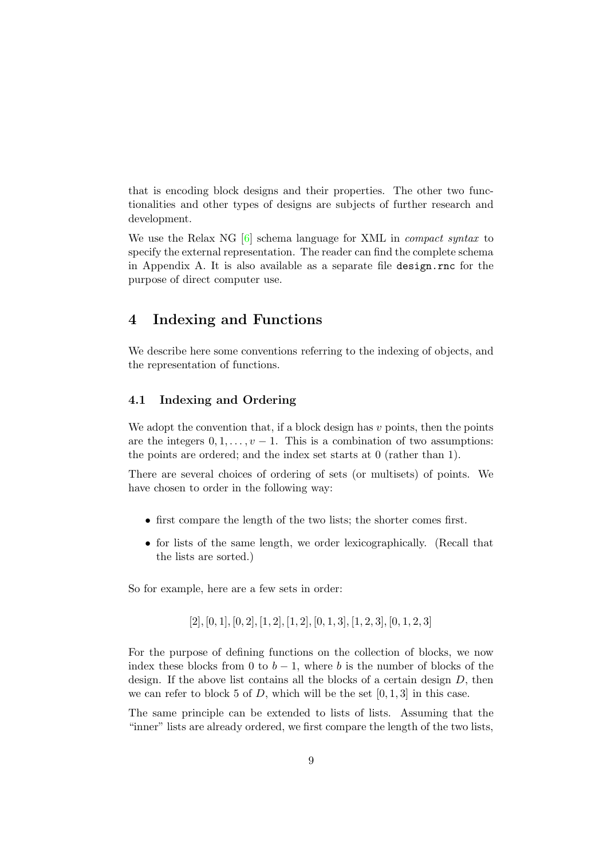that is encoding block designs and their properties. The other two functionalities and other types of designs are subjects of further research and development.

We use the Relax NG [\[6\]](#page-51-1) schema language for XML in *compact syntax* to specify the external representation. The reader can find the complete schema in Appendix A. It is also available as a separate file design.rnc for the purpose of direct computer use.

# <span id="page-8-0"></span>4 Indexing and Functions

We describe here some conventions referring to the indexing of objects, and the representation of functions.

# <span id="page-8-1"></span>4.1 Indexing and Ordering

We adopt the convention that, if a block design has  $v$  points, then the points are the integers  $0, 1, \ldots, v - 1$ . This is a combination of two assumptions: the points are ordered; and the index set starts at 0 (rather than 1).

There are several choices of ordering of sets (or multisets) of points. We have chosen to order in the following way:

- first compare the length of the two lists; the shorter comes first.
- for lists of the same length, we order lexicographically. (Recall that the lists are sorted.)

So for example, here are a few sets in order:

 $[2], [0, 1], [0, 2], [1, 2], [1, 2], [0, 1, 3], [1, 2, 3], [0, 1, 2, 3]$ 

For the purpose of defining functions on the collection of blocks, we now index these blocks from 0 to  $b - 1$ , where b is the number of blocks of the design. If the above list contains all the blocks of a certain design  $D$ , then we can refer to block 5 of D, which will be the set  $[0, 1, 3]$  in this case.

The same principle can be extended to lists of lists. Assuming that the "inner" lists are already ordered, we first compare the length of the two lists,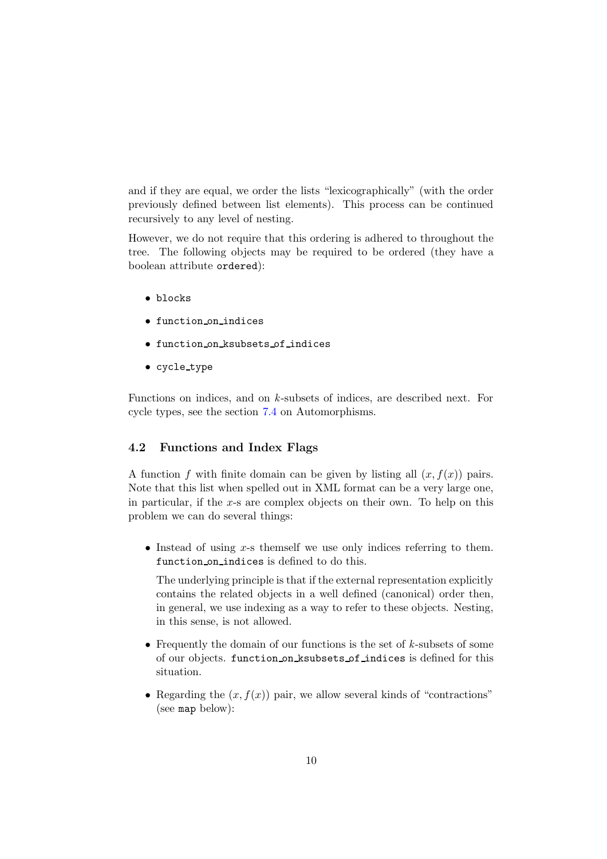and if they are equal, we order the lists "lexicographically" (with the order previously defined between list elements). This process can be continued recursively to any level of nesting.

However, we do not require that this ordering is adhered to throughout the tree. The following objects may be required to be ordered (they have a boolean attribute ordered):

- blocks
- function on indices
- function on ksubsets of indices
- cycle type

Functions on indices, and on k-subsets of indices, are described next. For cycle types, see the section [7.4](#page-25-2) on Automorphisms.

# <span id="page-9-0"></span>4.2 Functions and Index Flags

A function f with finite domain can be given by listing all  $(x, f(x))$  pairs. Note that this list when spelled out in XML format can be a very large one, in particular, if the  $x$ -s are complex objects on their own. To help on this problem we can do several things:

• Instead of using  $x$ -s themself we use only indices referring to them. function on indices is defined to do this.

The underlying principle is that if the external representation explicitly contains the related objects in a well defined (canonical) order then, in general, we use indexing as a way to refer to these objects. Nesting, in this sense, is not allowed.

- Frequently the domain of our functions is the set of  $k$ -subsets of some of our objects. function on ksubsets of indices is defined for this situation.
- Regarding the  $(x, f(x))$  pair, we allow several kinds of "contractions" (see map below):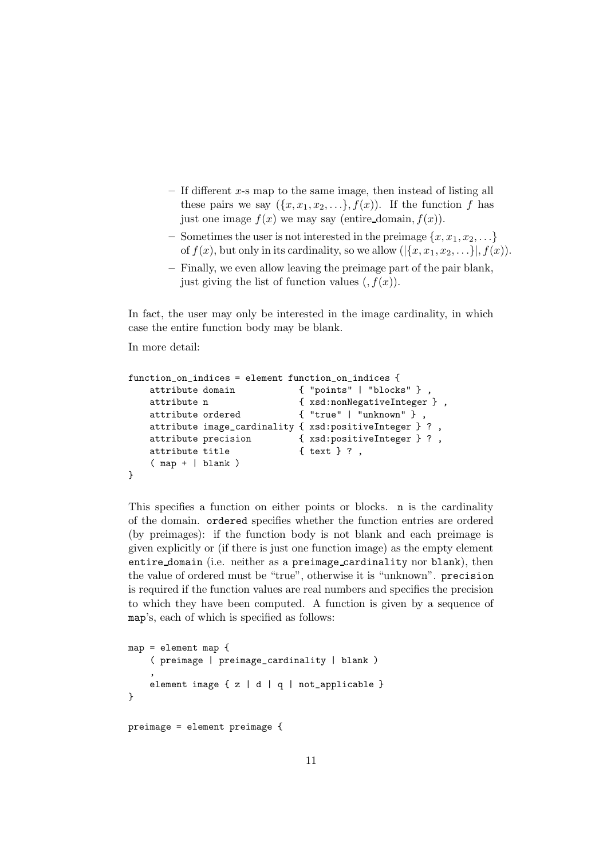- $-$  If different x-s map to the same image, then instead of listing all these pairs we say  $({x, x_1, x_2, \ldots}, f(x))$ . If the function f has just one image  $f(x)$  we may say (entire domain,  $f(x)$ ).
- Sometimes the user is not interested in the preimage  $\{x, x_1, x_2, \ldots\}$ of  $f(x)$ , but only in its cardinality, so we allow  $(|\{x, x_1, x_2, \ldots\}|, f(x))$ .
- Finally, we even allow leaving the preimage part of the pair blank, just giving the list of function values  $(f(x))$ .

In fact, the user may only be interested in the image cardinality, in which case the entire function body may be blank.

In more detail:

```
function_on_indices = element function_on_indices {
   attribute domain \{ "points" | "blocks" },
   attribute n <br> {xsd:nonNegativeInteger},
   attribute ordered { "true" | "unknown" } ,
   attribute image_cardinality { xsd:positiveInteger } ? ,
   attribute precision { xsd:positiveInteger } ? ,
   attribute title { text } ?,
   ( map + | blank )
}
```
This specifies a function on either points or blocks. n is the cardinality of the domain. ordered specifies whether the function entries are ordered (by preimages): if the function body is not blank and each preimage is given explicitly or (if there is just one function image) as the empty element entire domain (i.e. neither as a preimage cardinality nor blank), then the value of ordered must be "true", otherwise it is "unknown". precision is required if the function values are real numbers and specifies the precision to which they have been computed. A function is given by a sequence of map's, each of which is specified as follows:

```
map = element map { } f( preimage | preimage_cardinality | blank )
    ,
    element image { z | d | q | not_applicable }
}
preimage = element preimage {
```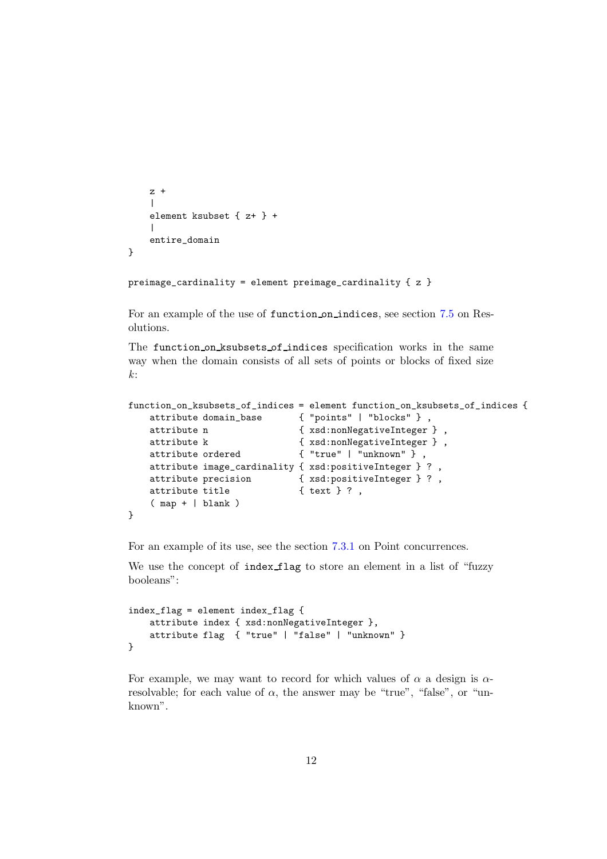```
z +\blacksquareelement ksubset { z+ } +
     \blacksquareentire_domain
}
```

```
preimage_cardinality = element preimage_cardinality { z }
```
For an example of the use of function on indices, see section [7.5](#page-27-0) on Resolutions.

The function on ksubsets of indices specification works in the same way when the domain consists of all sets of points or blocks of fixed size  $k$ :

```
function_on_ksubsets_of_indices = element function_on_ksubsets_of_indices {
   attribute domain_base { "points" | "blocks" } ,
   attribute n <br> \{ xsd: nonNegativeInteger \},
   attribute k <br> {xsd:nonNegativeInteger},
   attribute ordered { "true" | "unknown" } ,
   attribute image_cardinality { xsd:positiveInteger } ? ,
   attribute precision { xsd:positiveInteger } ? ,
   attribute title \{ text } ?,
   ( map + | blank )
}
```
For an example of its use, see the section [7.3.1](#page-21-1) on Point concurrences.

We use the concept of index flag to store an element in a list of "fuzzy booleans":

```
index_flag = element index_flag {
   attribute index { xsd:nonNegativeInteger },
    attribute flag { "true" | "false" | "unknown" }
}
```
For example, we may want to record for which values of  $\alpha$  a design is  $\alpha$ resolvable; for each value of  $\alpha$ , the answer may be "true", "false", or "unknown".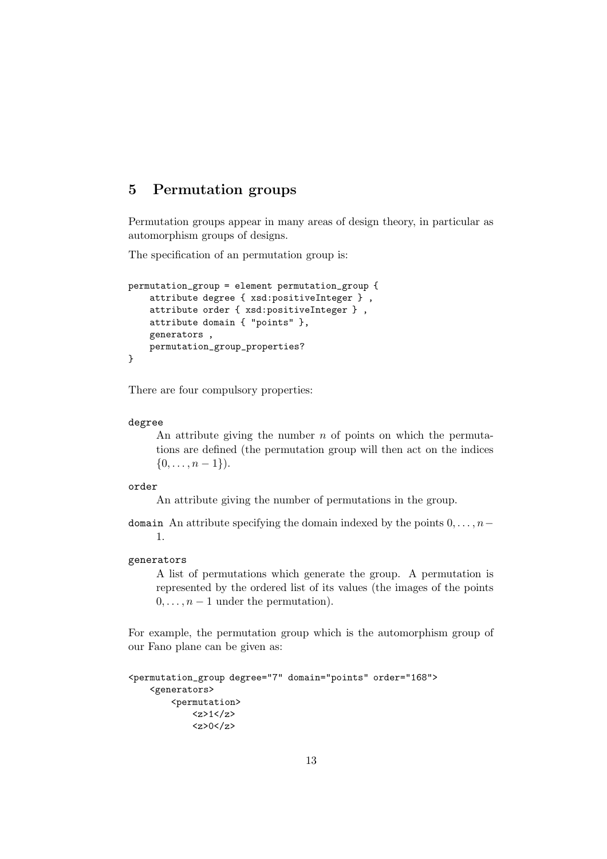# <span id="page-12-0"></span>5 Permutation groups

Permutation groups appear in many areas of design theory, in particular as automorphism groups of designs.

The specification of an permutation group is:

```
permutation_group = element permutation_group {
    attribute degree { xsd:positiveInteger } ,
   attribute order { xsd:positiveInteger } ,
   attribute domain { "points" },
   generators ,
   permutation_group_properties?
}
```
There are four compulsory properties:

#### degree

An attribute giving the number  $n$  of points on which the permutations are defined (the permutation group will then act on the indices  $\{0, \ldots, n-1\}$ .

# order

An attribute giving the number of permutations in the group.

domain An attribute specifying the domain indexed by the points  $0, \ldots, n-$ 1.

#### generators

A list of permutations which generate the group. A permutation is represented by the ordered list of its values (the images of the points  $0, \ldots, n-1$  under the permutation).

For example, the permutation group which is the automorphism group of our Fano plane can be given as:

```
<permutation_group degree="7" domain="points" order="168">
    <generators>
        <permutation>
            <z>1</z><z>0</z>
```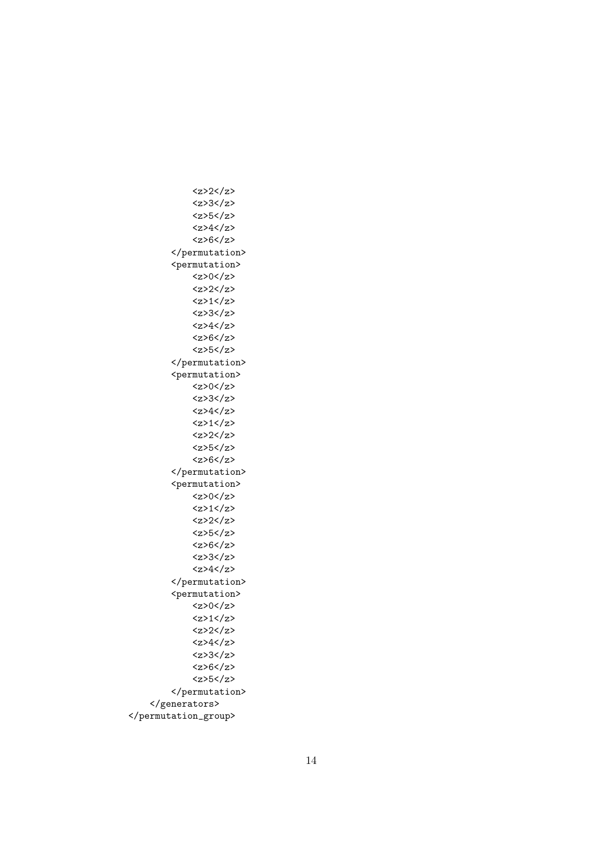<z>2</z> <z>3</z> <z>5</z>  $<$ z>4 $<$ /z>  $<$ z>6 $<$ /z> </permutation> <permutation>  $<$ z>0 $<$ /z>  $<$ z>2 $<$ /z>  $1z$ <z>3</z>  $<$ z>4 $<$ /z> <z>6</z> <z>5</z> </permutation> <permutation>  $<$ z>0 $<$ /z> <z>3</z>  $<sub>z</sub>$  $<sub>4</sub>$  $<sub>z</sub>$ </sub></sub></sub>  $1$ <z>2</z> <z>5</z>  $<$ z>6 $<$ /z> </permutation> <permutation>  $<$ z>0 $<$ /z>  $\langle z \rangle$ 1 $\langle z \rangle$ <z>2</z> <z>5</z>  $<$ z>6 $<$ /z> <z>3</z>  $<$ z>4 $<$ /z> </permutation> <permutation>  $<$ z>0 $<$ /z>  $<$ z>1 $<$ /z>  $<$ z>2 $<$ /z>  $4$ <z>3</z> <z>6</z> <z>5</z> </permutation> </generators> </permutation\_group>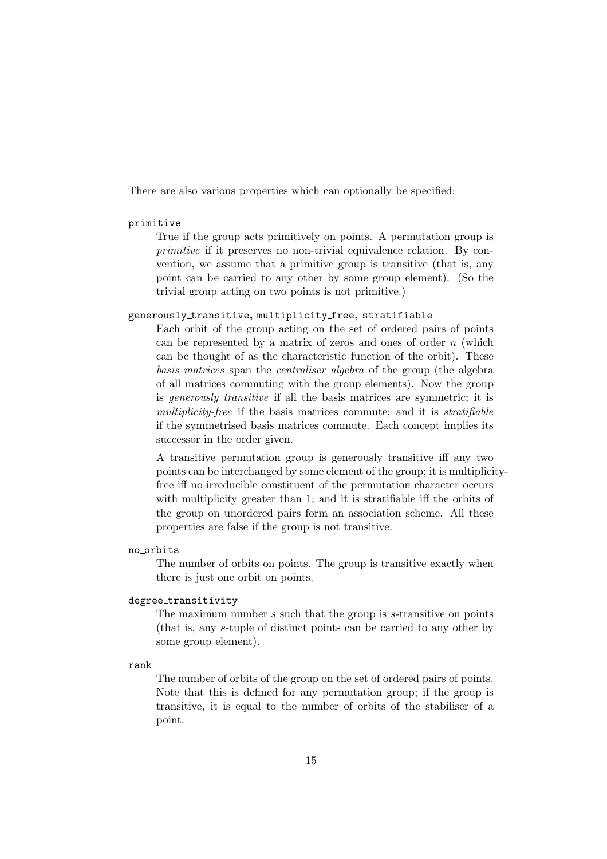There are also various properties which can optionally be specified:

### primitive

True if the group acts primitively on points. A permutation group is primitive if it preserves no non-trivial equivalence relation. By convention, we assume that a primitive group is transitive (that is, any point can be carried to any other by some group element). (So the trivial group acting on two points is not primitive.)

# generously transitive, multiplicity free, stratifiable

Each orbit of the group acting on the set of ordered pairs of points can be represented by a matrix of zeros and ones of order  $n$  (which can be thought of as the characteristic function of the orbit). These basis matrices span the centraliser algebra of the group (the algebra of all matrices commuting with the group elements). Now the group is generously transitive if all the basis matrices are symmetric; it is multiplicity-free if the basis matrices commute; and it is stratifiable if the symmetrised basis matrices commute. Each concept implies its successor in the order given.

A transitive permutation group is generously transitive iff any two points can be interchanged by some element of the group; it is multiplicityfree iff no irreducible constituent of the permutation character occurs with multiplicity greater than 1; and it is stratifiable iff the orbits of the group on unordered pairs form an association scheme. All these properties are false if the group is not transitive.

## no orbits

The number of orbits on points. The group is transitive exactly when there is just one orbit on points.

#### degree transitivity

The maximum number s such that the group is s-transitive on points (that is, any s-tuple of distinct points can be carried to any other by some group element).

# rank

The number of orbits of the group on the set of ordered pairs of points. Note that this is defined for any permutation group; if the group is transitive, it is equal to the number of orbits of the stabiliser of a point.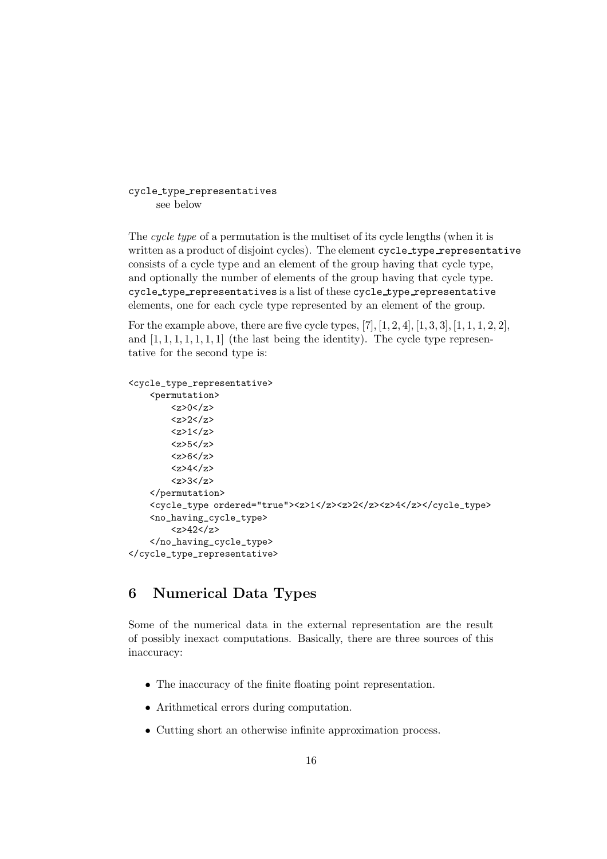```
cycle type representatives
     see below
```
The cycle type of a permutation is the multiset of its cycle lengths (when it is written as a product of disjoint cycles). The element cycle\_type\_representative consists of a cycle type and an element of the group having that cycle type, and optionally the number of elements of the group having that cycle type. cycle type representatives is a list of these cycle type representative elements, one for each cycle type represented by an element of the group.

For the example above, there are five cycle types,  $[7]$ ,  $[1, 2, 4]$ ,  $[1, 3, 3]$ ,  $[1, 1, 1, 2, 2]$ , and  $[1, 1, 1, 1, 1, 1]$  (the last being the identity). The cycle type representative for the second type is:

```
<cycle_type_representative>
    <permutation>
        <z>0</z>
        <z>2</z>
        <z>1</z><z>5</z>
        <z>6</z>
        <z>4</z>
        <z>3</z>
    </permutation>
    <cycle_type ordered="true"><z>1</z><z>2</z><z>4</z></cycle_type>
    <no_having_cycle_type>
        <z>42</z>
    </no_having_cycle_type>
</cycle_type_representative>
```
# <span id="page-15-0"></span>6 Numerical Data Types

Some of the numerical data in the external representation are the result of possibly inexact computations. Basically, there are three sources of this inaccuracy:

- The inaccuracy of the finite floating point representation.
- Arithmetical errors during computation.
- Cutting short an otherwise infinite approximation process.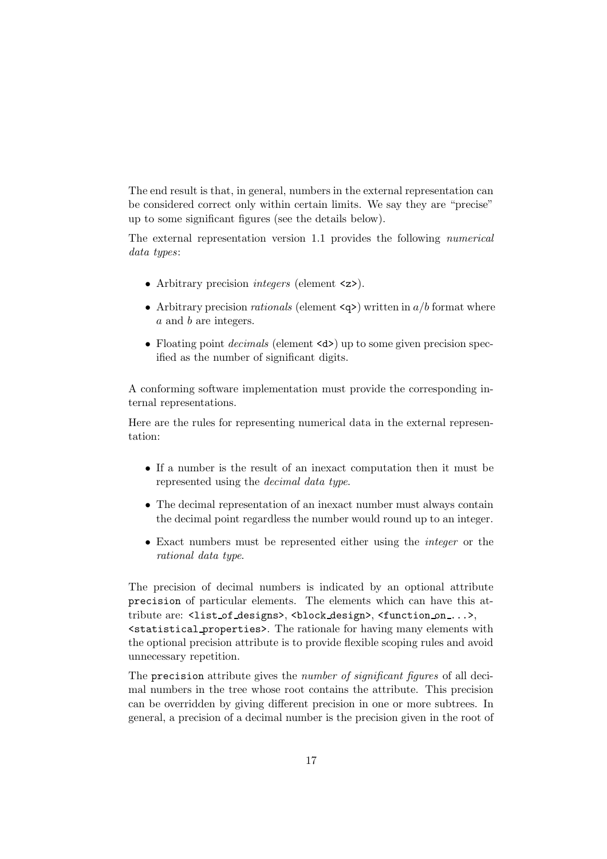The end result is that, in general, numbers in the external representation can be considered correct only within certain limits. We say they are "precise" up to some significant figures (see the details below).

The external representation version 1.1 provides the following numerical data types:

- Arbitrary precision *integers* (element  $\langle z \rangle$ ).
- Arbitrary precision *rationals* (element  $\langle q \rangle$ ) written in a/b format where a and b are integers.
- Floating point *decimals* (element <d>) up to some given precision specified as the number of significant digits.

A conforming software implementation must provide the corresponding internal representations.

Here are the rules for representing numerical data in the external representation:

- If a number is the result of an inexact computation then it must be represented using the decimal data type.
- The decimal representation of an inexact number must always contain the decimal point regardless the number would round up to an integer.
- Exact numbers must be represented either using the integer or the rational data type.

The precision of decimal numbers is indicated by an optional attribute precision of particular elements. The elements which can have this attribute are: <list of designs>, <br/> <br/>block design>, <function on ...>, <statistical properties>. The rationale for having many elements with the optional precision attribute is to provide flexible scoping rules and avoid unnecessary repetition.

The precision attribute gives the *number of significant figures* of all decimal numbers in the tree whose root contains the attribute. This precision can be overridden by giving different precision in one or more subtrees. In general, a precision of a decimal number is the precision given in the root of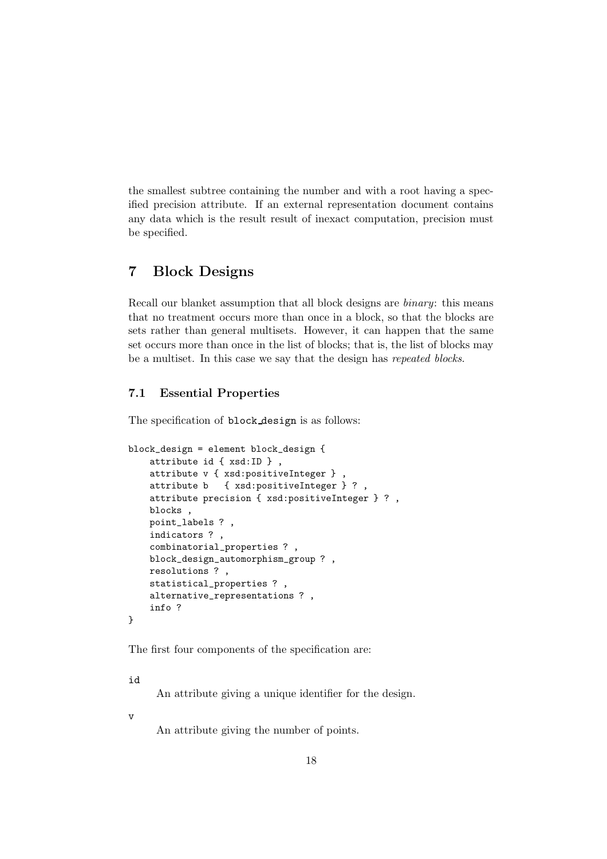the smallest subtree containing the number and with a root having a specified precision attribute. If an external representation document contains any data which is the result result of inexact computation, precision must be specified.

# <span id="page-17-0"></span>7 Block Designs

Recall our blanket assumption that all block designs are binary: this means that no treatment occurs more than once in a block, so that the blocks are sets rather than general multisets. However, it can happen that the same set occurs more than once in the list of blocks; that is, the list of blocks may be a multiset. In this case we say that the design has repeated blocks.

# <span id="page-17-1"></span>7.1 Essential Properties

The specification of block design is as follows:

```
block_design = element block_design {
   attribute id { xsd:ID } ,
   attribute v { xsd:positiveInteger } ,
    attribute b { xsd:positiveInteger } ? ,
    attribute precision { xsd:positiveInteger } ? ,
   blocks ,
   point_labels ? ,
    indicators ? ,
    combinatorial_properties ? ,
   block_design_automorphism_group ? ,
   resolutions ? ,
    statistical_properties ? ,
    alternative_representations ? ,
    info ?
}
```
The first four components of the specification are:

id

An attribute giving a unique identifier for the design.

v

An attribute giving the number of points.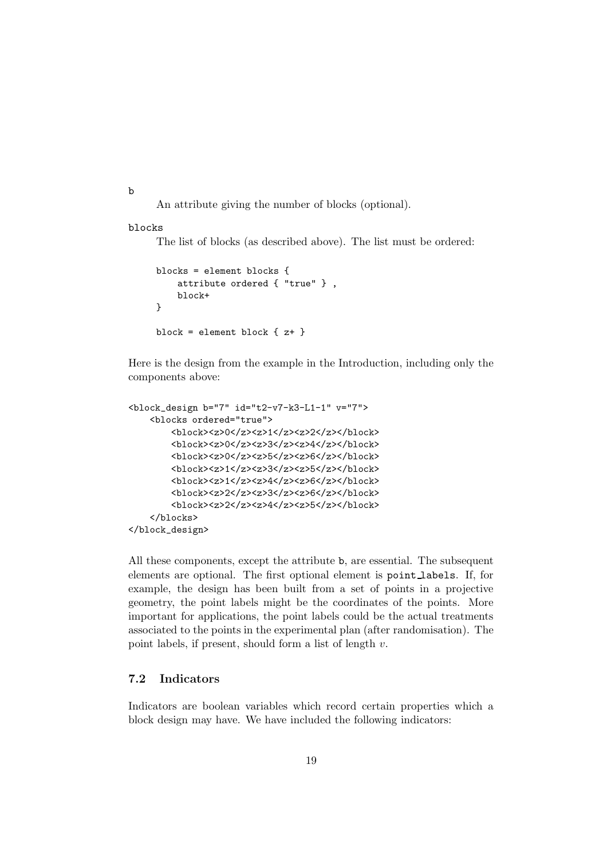b

An attribute giving the number of blocks (optional).

# blocks

The list of blocks (as described above). The list must be ordered:

```
blocks = element blocks {
    attribute ordered { "true" } ,
    block+
}
block = element block \{z^+\}
```
Here is the design from the example in the Introduction, including only the components above:

```
<block_design b="7" id="t2-v7-k3-L1-1" v="7">
    <blocks ordered="true">
        <block><z>0</z><z>1</z><z>2</z></block>
        <block><z>0</z><z>3</z><z>4</z></block>
        <block><z>0</z><z>5</z><z>6</z></block>
        <block><z>1</z><z>3</z><z>5</z></block>
        <block><z>1</z><z>4</z><z>6</z></block>
        <block><z>2</z><z>3</z><z>6</z></block>
        <block><z>2</z><z>4</z><z>5</z></block>
    </blocks>
</block_design>
```
All these components, except the attribute b, are essential. The subsequent elements are optional. The first optional element is point labels. If, for example, the design has been built from a set of points in a projective geometry, the point labels might be the coordinates of the points. More important for applications, the point labels could be the actual treatments associated to the points in the experimental plan (after randomisation). The point labels, if present, should form a list of length  $v$ .

# <span id="page-18-0"></span>7.2 Indicators

Indicators are boolean variables which record certain properties which a block design may have. We have included the following indicators: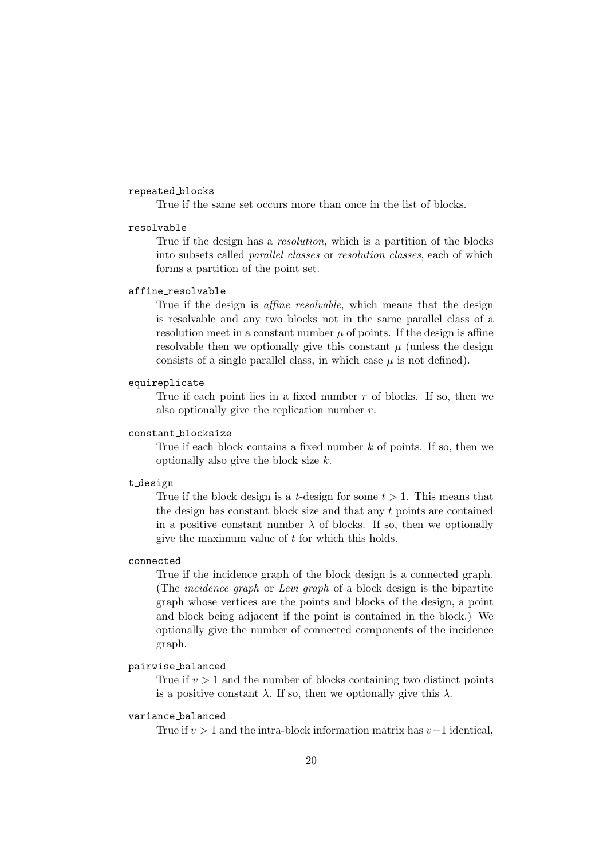## repeated blocks

True if the same set occurs more than once in the list of blocks.

# resolvable

True if the design has a *resolution*, which is a partition of the blocks into subsets called parallel classes or resolution classes, each of which forms a partition of the point set.

#### affine resolvable

True if the design is *affine resolvable*, which means that the design is resolvable and any two blocks not in the same parallel class of a resolution meet in a constant number  $\mu$  of points. If the design is affine resolvable then we optionally give this constant  $\mu$  (unless the design consists of a single parallel class, in which case  $\mu$  is not defined).

#### equireplicate

True if each point lies in a fixed number  $r$  of blocks. If so, then we also optionally give the replication number  $r$ .

# constant blocksize

True if each block contains a fixed number  $k$  of points. If so, then we optionally also give the block size  $k$ .

#### t design

True if the block design is a *t*-design for some  $t > 1$ . This means that the design has constant block size and that any t points are contained in a positive constant number  $\lambda$  of blocks. If so, then we optionally give the maximum value of  $t$  for which this holds.

### connected

True if the incidence graph of the block design is a connected graph. (The incidence graph or Levi graph of a block design is the bipartite graph whose vertices are the points and blocks of the design, a point and block being adjacent if the point is contained in the block.) We optionally give the number of connected components of the incidence graph.

## pairwise balanced

True if  $v > 1$  and the number of blocks containing two distinct points is a positive constant  $\lambda$ . If so, then we optionally give this  $\lambda$ .

# variance balanced

True if  $v > 1$  and the intra-block information matrix has  $v-1$  identical,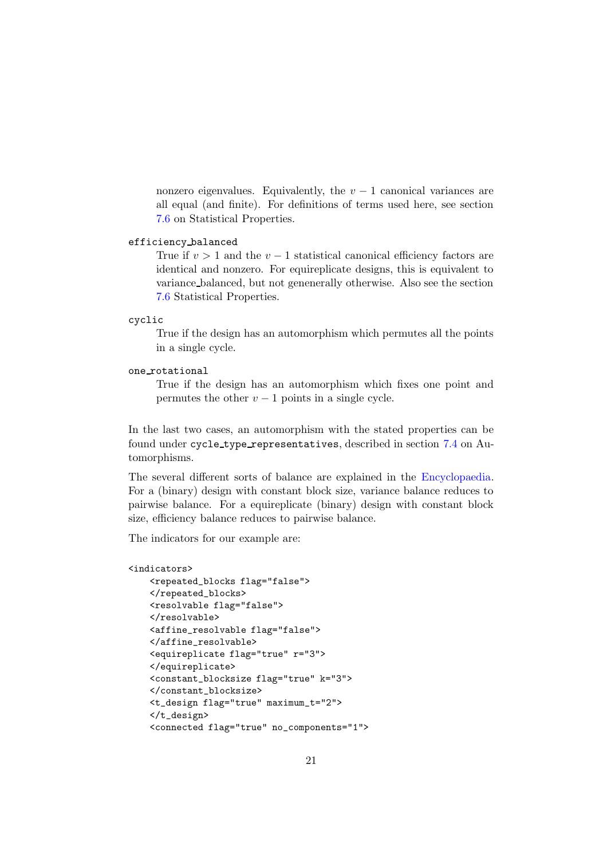nonzero eigenvalues. Equivalently, the  $v - 1$  canonical variances are all equal (and finite). For definitions of terms used here, see section [7.6](#page-29-0) on Statistical Properties.

# efficiency balanced

True if  $v > 1$  and the  $v - 1$  statistical canonical efficiency factors are identical and nonzero. For equireplicate designs, this is equivalent to variance balanced, but not genenerally otherwise. Also see the section [7.6](#page-29-0) Statistical Properties.

#### cyclic

True if the design has an automorphism which permutes all the points in a single cycle.

### one rotational

True if the design has an automorphism which fixes one point and permutes the other  $v - 1$  points in a single cycle.

In the last two cases, an automorphism with the stated properties can be found under cycle type representatives, described in section [7.4](#page-25-2) on Automorphisms.

The several different sorts of balance are explained in the [Encyclopaedia.](http://designtheory.org/library/encyc) For a (binary) design with constant block size, variance balance reduces to pairwise balance. For a equireplicate (binary) design with constant block size, efficiency balance reduces to pairwise balance.

The indicators for our example are:

#### <indicators>

```
<repeated_blocks flag="false">
</repeated_blocks>
<resolvable flag="false">
</resolvable>
<affine_resolvable flag="false">
</affine_resolvable>
<equireplicate flag="true" r="3">
</equireplicate>
<constant_blocksize flag="true" k="3">
</constant_blocksize>
<t_design flag="true" maximum_t="2">
</t_design>
<connected flag="true" no_components="1">
```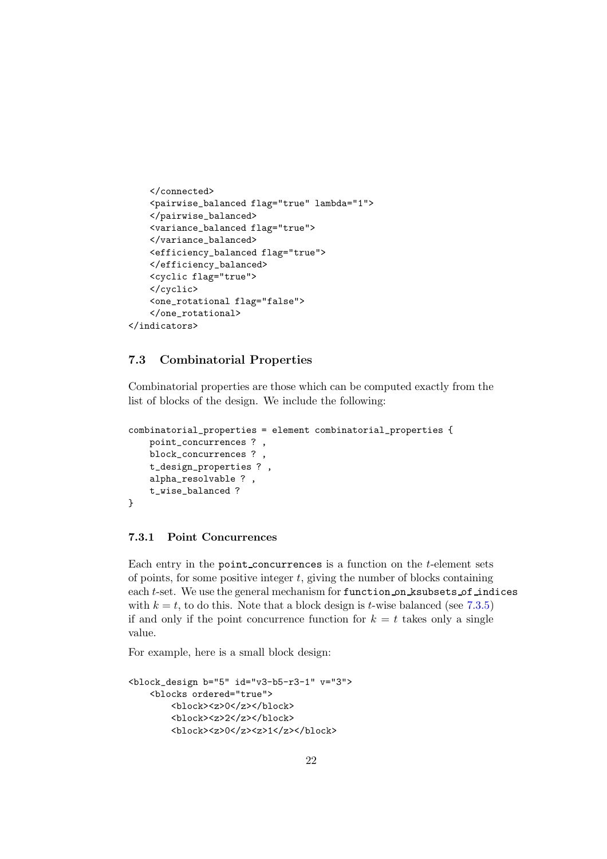```
</connected>
    <pairwise_balanced flag="true" lambda="1">
    </pairwise_balanced>
    <variance_balanced flag="true">
    </variance_balanced>
    <efficiency_balanced flag="true">
    </efficiency_balanced>
    <cyclic flag="true">
    </cyclic>
    <one_rotational flag="false">
    </one_rotational>
</indicators>
```
# <span id="page-21-0"></span>7.3 Combinatorial Properties

Combinatorial properties are those which can be computed exactly from the list of blocks of the design. We include the following:

```
combinatorial_properties = element combinatorial_properties {
   point_concurrences ? ,
   block_concurrences ? ,
   t_design_properties ? ,
   alpha_resolvable ? ,
   t_wise_balanced ?
}
```
# <span id="page-21-1"></span>7.3.1 Point Concurrences

Each entry in the point concurrences is a function on the t-element sets of points, for some positive integer  $t$ , giving the number of blocks containing each t-set. We use the general mechanism for function on ksubsets of indices with  $k = t$ , to do this. Note that a block design is t-wise balanced (see [7.3.5\)](#page-25-1) if and only if the point concurrence function for  $k = t$  takes only a single value.

For example, here is a small block design:

```
<block_design b="5" id="v3-b5-r3-1" v="3">
    <blocks ordered="true">
        <block><z>0</z></block>
        <block><z>2</z></block>
        <block><z>0</z><z>1</z></block>
```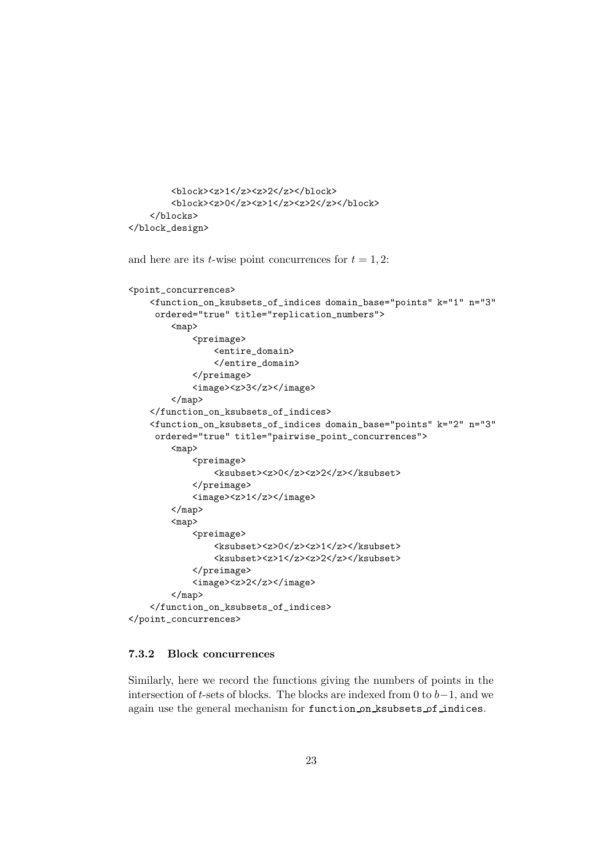```
<block><z>1</z><z>2</z></block>
        <block><z>0</z><z>1</z><z>2</z></block>
    </blocks>
</block_design>
```

```
and here are its t-wise point concurrences for t = 1, 2:
<point_concurrences>
    <function_on_ksubsets_of_indices domain_base="points" k="1" n="3"
     ordered="true" title="replication_numbers">
        <sub>map</sub></sub>
             <preimage>
                 <entire_domain>
                 </entire_domain>
             </preimage>
             <image><z>3</z></image>
        </map>
    </function_on_ksubsets_of_indices>
    <function_on_ksubsets_of_indices domain_base="points" k="2" n="3"
     ordered="true" title="pairwise_point_concurrences">
        <sub>map</sub></sub>
             <preimage>
                 <ksubset><z>0</z><z>2</z></ksubset>
             </preimage>
             <image><z>1</z></image>
        </map>
        <sub>map</sub></sub>
             <preimage>
                 <ksubset><z>0</z><z>1</z></ksubset>
                 <ksubset><z>1</z><z>2</z></ksubset>
             </preimage>
             <image><z>2</z></image>
        </map>
    </function_on_ksubsets_of_indices>
</point_concurrences>
```
# <span id="page-22-0"></span>7.3.2 Block concurrences

Similarly, here we record the functions giving the numbers of points in the intersection of t-sets of blocks. The blocks are indexed from 0 to  $b-1$ , and we again use the general mechanism for function on ksubsets of indices.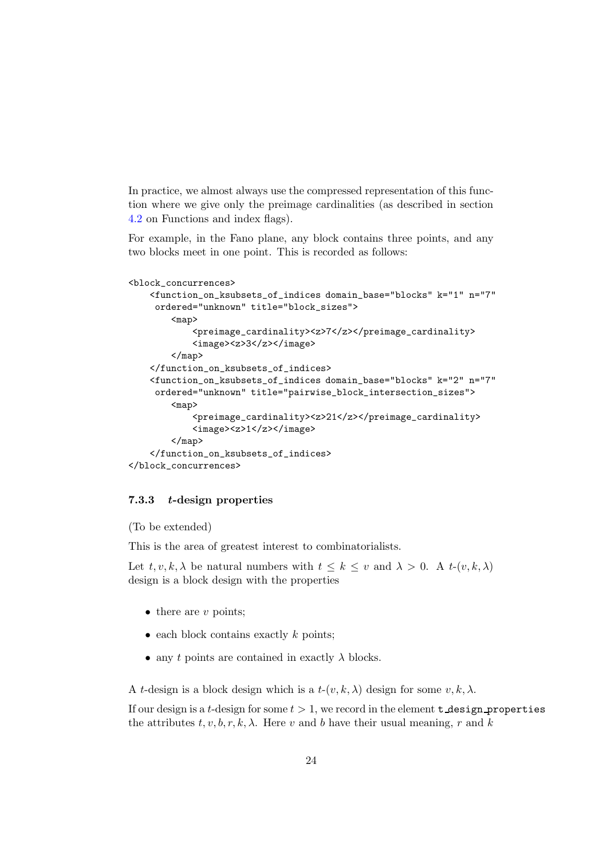In practice, we almost always use the compressed representation of this function where we give only the preimage cardinalities (as described in section [4.2](#page-9-0) on Functions and index flags).

For example, in the Fano plane, any block contains three points, and any two blocks meet in one point. This is recorded as follows:

```
<block_concurrences>
    <function_on_ksubsets_of_indices domain_base="blocks" k="1" n="7"
     ordered="unknown" title="block_sizes">
        <sub>map</sub></sub>
            <preimage_cardinality><z>7</z></preimage_cardinality>
            <image><z>3</z></image>
        </map>
    </function_on_ksubsets_of_indices>
    <function_on_ksubsets_of_indices domain_base="blocks" k="2" n="7"
     ordered="unknown" title="pairwise_block_intersection_sizes">
        <sub>map</sub></sub>
            <preimage_cardinality><z>21</z></preimage_cardinality>
            <image><z>1</z></image>
        </map>
    </function_on_ksubsets_of_indices>
</block_concurrences>
```
# <span id="page-23-0"></span>7.3.3 t-design properties

```
(To be extended)
```
This is the area of greatest interest to combinatorialists.

Let  $t, v, k, \lambda$  be natural numbers with  $t \leq k \leq v$  and  $\lambda > 0$ . A  $t-(v, k, \lambda)$ design is a block design with the properties

- $\bullet$  there are v points;
- each block contains exactly  $k$  points;
- any t points are contained in exactly  $\lambda$  blocks.

A t-design is a block design which is a  $t-(v, k, \lambda)$  design for some  $v, k, \lambda$ .

If our design is a t-design for some  $t > 1$ , we record in the element **t** design properties the attributes  $t, v, b, r, k, \lambda$ . Here v and b have their usual meaning, r and k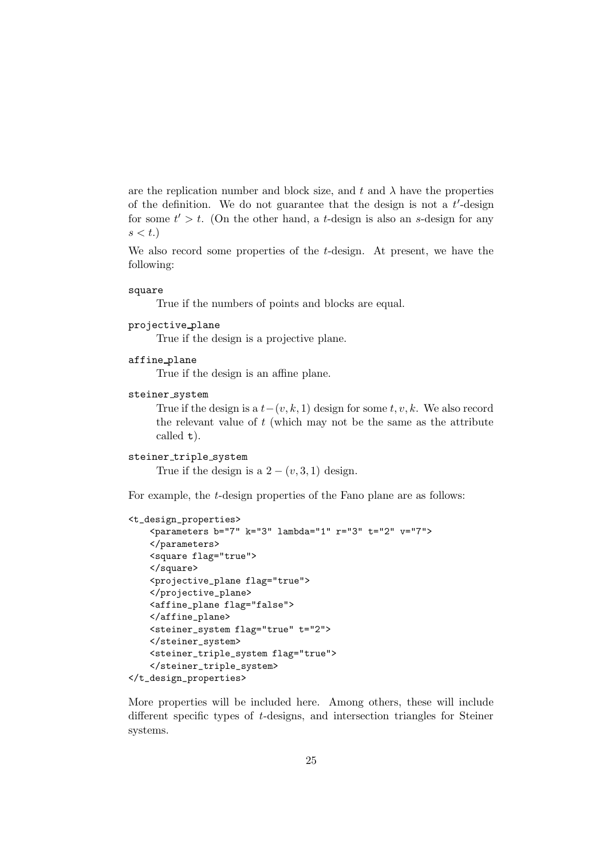are the replication number and block size, and t and  $\lambda$  have the properties of the definition. We do not guarantee that the design is not a  $t'$ -design for some  $t' > t$ . (On the other hand, a t-design is also an s-design for any  $s < t$ .

We also record some properties of the t-design. At present, we have the following:

#### square

True if the numbers of points and blocks are equal.

```
projective plane
```
True if the design is a projective plane.

```
affine plane
```
True if the design is an affine plane.

```
steiner system
```
True if the design is a  $t-(v, k, 1)$  design for some  $t, v, k$ . We also record the relevant value of  $t$  (which may not be the same as the attribute called t).

```
steiner triple system
```
True if the design is a  $2 - (v, 3, 1)$  design.

For example, the t-design properties of the Fano plane are as follows:

```
<t_design_properties>
    <parameters b="7" k="3" lambda="1" r="3" t="2" v="7">
    </parameters>
    <square flag="true">
    </square>
    <projective_plane flag="true">
    </projective_plane>
    <affine_plane flag="false">
    </affine_plane>
    <steiner_system flag="true" t="2">
    </steiner_system>
    <steiner_triple_system flag="true">
    </steiner_triple_system>
</t_design_properties>
```
More properties will be included here. Among others, these will include different specific types of t-designs, and intersection triangles for Steiner systems.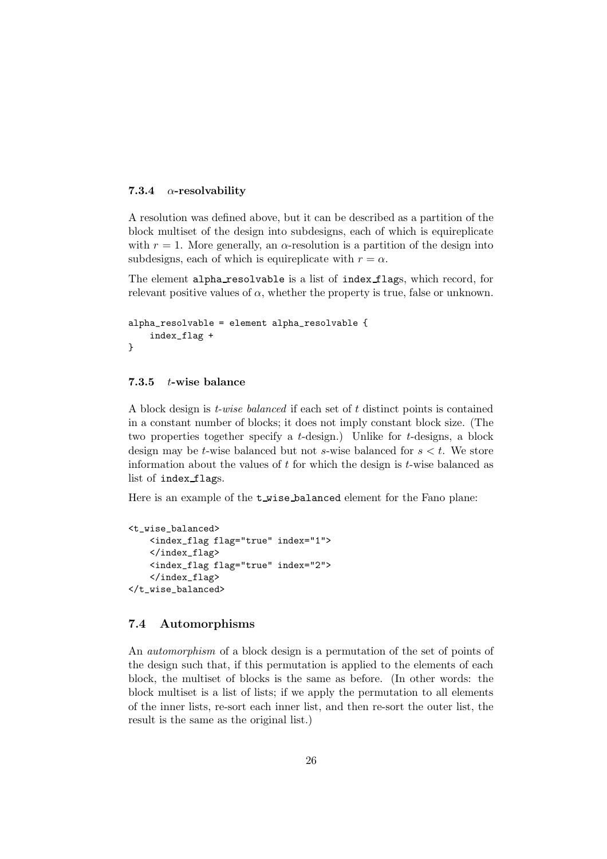# <span id="page-25-0"></span>7.3.4  $\alpha$ -resolvability

A resolution was defined above, but it can be described as a partition of the block multiset of the design into subdesigns, each of which is equireplicate with  $r = 1$ . More generally, an  $\alpha$ -resolution is a partition of the design into subdesigns, each of which is equireplicate with  $r = \alpha$ .

The element alpha resolvable is a list of index flags, which record, for relevant positive values of  $\alpha$ , whether the property is true, false or unknown.

```
alpha_resolvable = element alpha_resolvable {
    index_flag +
}
```
## <span id="page-25-1"></span>7.3.5 t-wise balance

A block design is  $t$ -wise balanced if each set of t distinct points is contained in a constant number of blocks; it does not imply constant block size. (The two properties together specify a t-design.) Unlike for t-designs, a block design may be t-wise balanced but not s-wise balanced for  $s < t$ . We store information about the values of  $t$  for which the design is  $t$ -wise balanced as list of index flags.

Here is an example of the **t** wise balanced element for the Fano plane:

```
<t_wise_balanced>
    <index_flag flag="true" index="1">
    </index_flag>
    <index_flag flag="true" index="2">
    </index_flag>
</t_wise_balanced>
```
# <span id="page-25-2"></span>7.4 Automorphisms

An automorphism of a block design is a permutation of the set of points of the design such that, if this permutation is applied to the elements of each block, the multiset of blocks is the same as before. (In other words: the block multiset is a list of lists; if we apply the permutation to all elements of the inner lists, re-sort each inner list, and then re-sort the outer list, the result is the same as the original list.)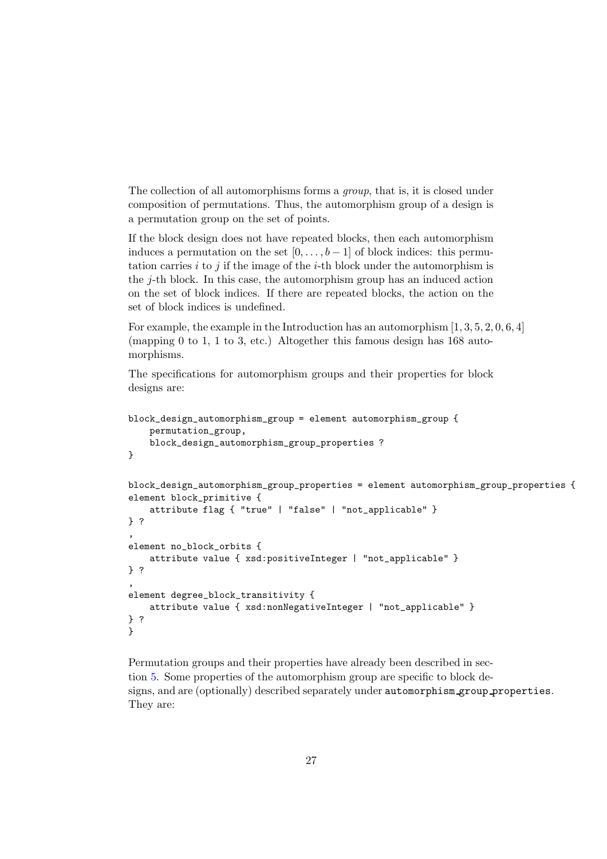The collection of all automorphisms forms a group, that is, it is closed under composition of permutations. Thus, the automorphism group of a design is a permutation group on the set of points.

If the block design does not have repeated blocks, then each automorphism induces a permutation on the set  $[0, \ldots, b-1]$  of block indices: this permutation carries i to j if the image of the i-th block under the automorphism is the j-th block. In this case, the automorphism group has an induced action on the set of block indices. If there are repeated blocks, the action on the set of block indices is undefined.

For example, the example in the Introduction has an automorphism [1, 3, 5, 2, 0, 6, 4] (mapping 0 to 1, 1 to 3, etc.) Altogether this famous design has 168 automorphisms.

The specifications for automorphism groups and their properties for block designs are:

```
block_design_automorphism_group = element automorphism_group {
    permutation_group,
   block_design_automorphism_group_properties ?
}
block_design_automorphism_group_properties = element automorphism_group_properties {
element block_primitive {
    attribute flag { "true" | "false" | "not_applicable" }
} ?
,
element no_block_orbits {
   attribute value { xsd:positiveInteger | "not_applicable" }
} ?
,
element degree_block_transitivity {
   attribute value { xsd:nonNegativeInteger | "not_applicable" }
} ?
}
```
Permutation groups and their properties have already been described in section [5.](#page-12-0) Some properties of the automorphism group are specific to block designs, and are (optionally) described separately under automorphism group properties. They are: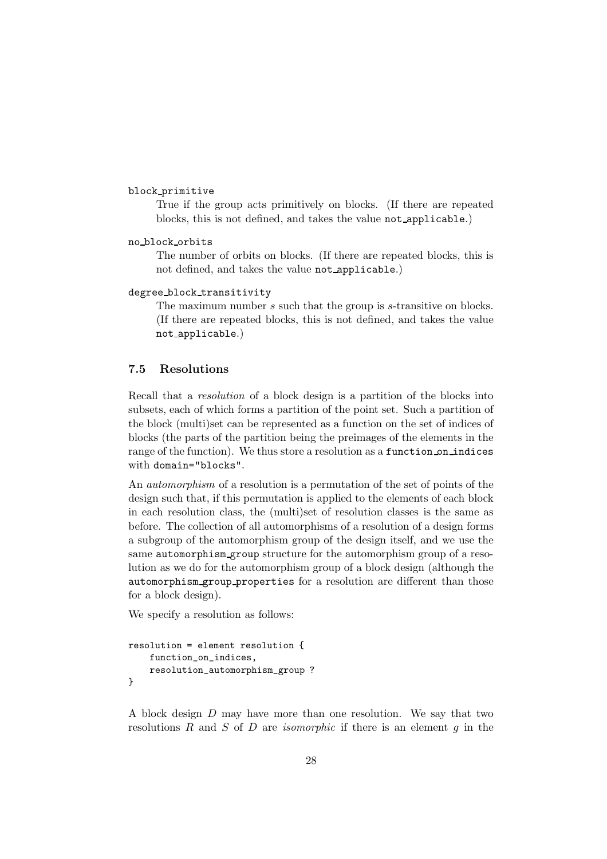block primitive

True if the group acts primitively on blocks. (If there are repeated blocks, this is not defined, and takes the value not applicable.)

no block orbits

The number of orbits on blocks. (If there are repeated blocks, this is not defined, and takes the value not applicable.)

degree block transitivity

The maximum number s such that the group is s-transitive on blocks. (If there are repeated blocks, this is not defined, and takes the value not applicable.)

# <span id="page-27-0"></span>7.5 Resolutions

Recall that a resolution of a block design is a partition of the blocks into subsets, each of which forms a partition of the point set. Such a partition of the block (multi)set can be represented as a function on the set of indices of blocks (the parts of the partition being the preimages of the elements in the range of the function). We thus store a resolution as a function on indices with domain="blocks".

An automorphism of a resolution is a permutation of the set of points of the design such that, if this permutation is applied to the elements of each block in each resolution class, the (multi)set of resolution classes is the same as before. The collection of all automorphisms of a resolution of a design forms a subgroup of the automorphism group of the design itself, and we use the same automorphism group structure for the automorphism group of a resolution as we do for the automorphism group of a block design (although the automorphism group properties for a resolution are different than those for a block design).

We specify a resolution as follows:

```
resolution = element resolution {
    function_on_indices,
    resolution_automorphism_group ?
}
```
A block design D may have more than one resolution. We say that two resolutions  $R$  and  $S$  of  $D$  are *isomorphic* if there is an element  $g$  in the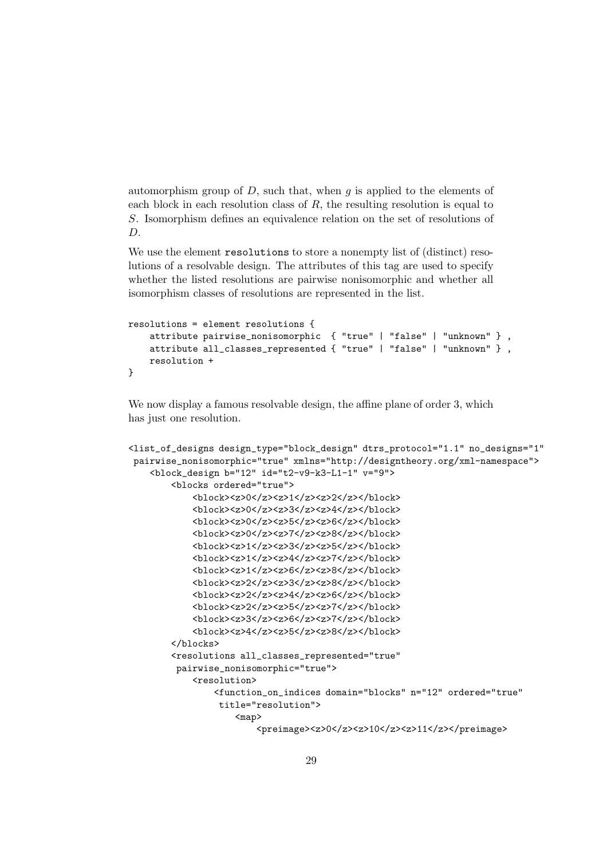automorphism group of  $D$ , such that, when q is applied to the elements of each block in each resolution class of  $R$ , the resulting resolution is equal to S. Isomorphism defines an equivalence relation on the set of resolutions of D.

We use the element **resolutions** to store a nonempty list of (distinct) resolutions of a resolvable design. The attributes of this tag are used to specify whether the listed resolutions are pairwise nonisomorphic and whether all isomorphism classes of resolutions are represented in the list.

```
resolutions = element resolutions {
    attribute pairwise_nonisomorphic { "true" | "false" | "unknown" } ,
    attribute all_classes_represented { "true" | "false" | "unknown" } ,
    resolution +
}
```
We now display a famous resolvable design, the affine plane of order 3, which has just one resolution.

```
<list_of_designs design_type="block_design" dtrs_protocol="1.1" no_designs="1"
pairwise_nonisomorphic="true" xmlns="http://designtheory.org/xml-namespace">
    <block_design b="12" id="t2-v9-k3-L1-1" v="9">
        <blocks ordered="true">
            <block><z>0</z><z>1</z><z>2</z></block>
            <block><z>0</z><z>3</z><z>4</z></block>
            <block><z>0</z><z>5</z><z>6</z></block>
            <block><z>0</z><z>7</z><z>8</z></block>
            <block><z>1</z><z>3</z><z>5</z></block>
            <block><z>1</z><z>4</z><z>7</z></block>
            <block><z>1</z><z>6</z><z>8</z></block>
            <block><z>2</z><z>3</z><z>8</z></block>
            <block><z>2</z><z>4</z><z>6</z></block>
            <block><z>2</z><z>5</z><z>7</z></block>
            <block><z>3</z><z>6</z><z>7</z></block>
            <block><z>4</z><z>5</z><z>8</z></block>
        </blocks>
        <resolutions all_classes_represented="true"
         pairwise_nonisomorphic="true">
            <resolution>
                <function_on_indices domain="blocks" n="12" ordered="true"
                 title="resolution">
                    <map>
                        <preimage><z>0</z><z>10</z><z>11</z></preimage>
```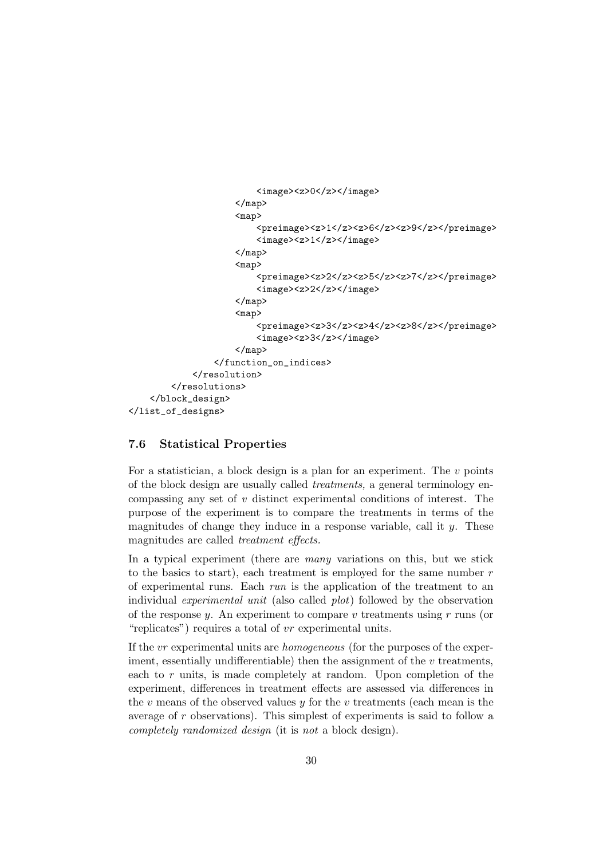```
<image><z>0</z></image>
                      \langle/map\rangle<map>
                          <preimage><z>1</z><z>6</z><z>9</z></preimage>
                          <image><z>1</z></image>
                      </map>
                      <map>
                          <preimage><z>2</z><z>5</z><z>7</z></preimage>
                          <image><z>2</z></image>
                      </map>
                      <sub>map</sub></sub>
                          <preimage><z>3</z><z>4</z><z>8</z></preimage>
                          <image><z>3</z></image>
                      </map>
                  </function_on_indices>
             </resolution>
         </resolutions>
    </block_design>
</list_of_designs>
```
# <span id="page-29-0"></span>7.6 Statistical Properties

For a statistician, a block design is a plan for an experiment. The  $v$  points of the block design are usually called treatments, a general terminology encompassing any set of  $v$  distinct experimental conditions of interest. The purpose of the experiment is to compare the treatments in terms of the magnitudes of change they induce in a response variable, call it  $y$ . These magnitudes are called treatment effects.

In a typical experiment (there are many variations on this, but we stick to the basics to start), each treatment is employed for the same number  $r$ of experimental runs. Each run is the application of the treatment to an individual experimental unit (also called plot) followed by the observation of the response y. An experiment to compare v treatments using  $r$  runs (or "replicates") requires a total of vr experimental units.

If the vr experimental units are homogeneous (for the purposes of the experiment, essentially undifferentiable) then the assignment of the  $v$  treatments, each to  $r$  units, is made completely at random. Upon completion of the experiment, differences in treatment effects are assessed via differences in the  $v$  means of the observed values  $y$  for the  $v$  treatments (each mean is the average of r observations). This simplest of experiments is said to follow a completely randomized design (it is not a block design).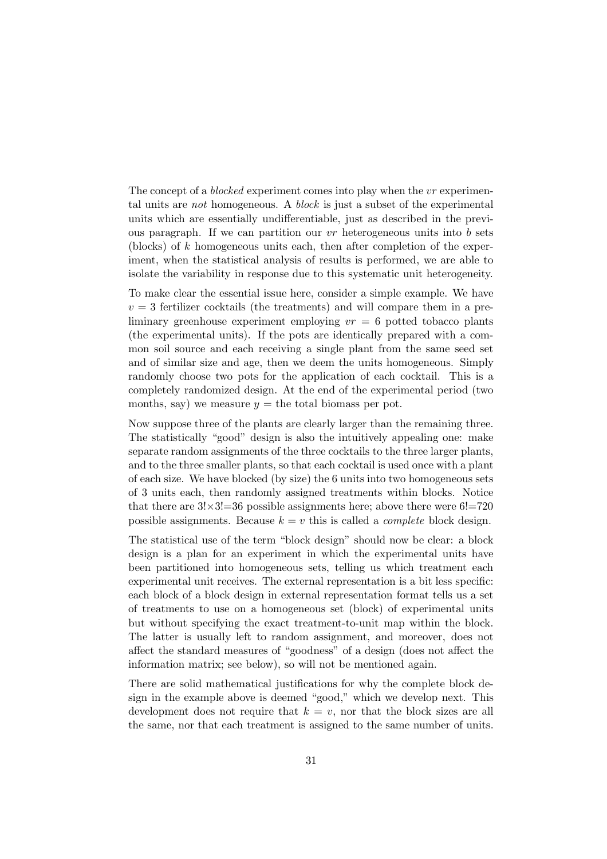The concept of a *blocked* experiment comes into play when the vr experimental units are not homogeneous. A block is just a subset of the experimental units which are essentially undifferentiable, just as described in the previous paragraph. If we can partition our  $vr$  heterogeneous units into  $b$  sets (blocks) of  $k$  homogeneous units each, then after completion of the experiment, when the statistical analysis of results is performed, we are able to isolate the variability in response due to this systematic unit heterogeneity.

To make clear the essential issue here, consider a simple example. We have  $v = 3$  fertilizer cocktails (the treatments) and will compare them in a preliminary greenhouse experiment employing  $vr = 6$  potted tobacco plants (the experimental units). If the pots are identically prepared with a common soil source and each receiving a single plant from the same seed set and of similar size and age, then we deem the units homogeneous. Simply randomly choose two pots for the application of each cocktail. This is a completely randomized design. At the end of the experimental period (two months, say) we measure  $y =$  the total biomass per pot.

Now suppose three of the plants are clearly larger than the remaining three. The statistically "good" design is also the intuitively appealing one: make separate random assignments of the three cocktails to the three larger plants, and to the three smaller plants, so that each cocktail is used once with a plant of each size. We have blocked (by size) the 6 units into two homogeneous sets of 3 units each, then randomly assigned treatments within blocks. Notice that there are  $3! \times 3! = 36$  possible assignments here; above there were  $6! = 720$ possible assignments. Because  $k = v$  this is called a *complete* block design.

The statistical use of the term "block design" should now be clear: a block design is a plan for an experiment in which the experimental units have been partitioned into homogeneous sets, telling us which treatment each experimental unit receives. The external representation is a bit less specific: each block of a block design in external representation format tells us a set of treatments to use on a homogeneous set (block) of experimental units but without specifying the exact treatment-to-unit map within the block. The latter is usually left to random assignment, and moreover, does not affect the standard measures of "goodness" of a design (does not affect the information matrix; see below), so will not be mentioned again.

There are solid mathematical justifications for why the complete block design in the example above is deemed "good," which we develop next. This development does not require that  $k = v$ , nor that the block sizes are all the same, nor that each treatment is assigned to the same number of units.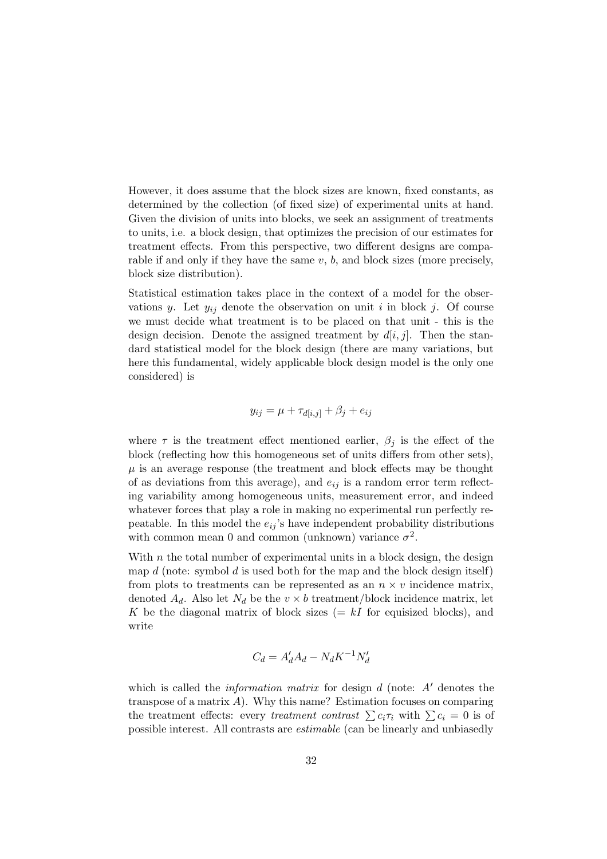However, it does assume that the block sizes are known, fixed constants, as determined by the collection (of fixed size) of experimental units at hand. Given the division of units into blocks, we seek an assignment of treatments to units, i.e. a block design, that optimizes the precision of our estimates for treatment effects. From this perspective, two different designs are comparable if and only if they have the same  $v, b$ , and block sizes (more precisely, block size distribution).

Statistical estimation takes place in the context of a model for the observations y. Let  $y_{ij}$  denote the observation on unit i in block j. Of course we must decide what treatment is to be placed on that unit - this is the design decision. Denote the assigned treatment by  $d[i, j]$ . Then the standard statistical model for the block design (there are many variations, but here this fundamental, widely applicable block design model is the only one considered) is

$$
y_{ij} = \mu + \tau_{d[i,j]} + \beta_j + e_{ij}
$$

where  $\tau$  is the treatment effect mentioned earlier,  $\beta_i$  is the effect of the block (reflecting how this homogeneous set of units differs from other sets),  $\mu$  is an average response (the treatment and block effects may be thought of as deviations from this average), and  $e_{ij}$  is a random error term reflecting variability among homogeneous units, measurement error, and indeed whatever forces that play a role in making no experimental run perfectly repeatable. In this model the  $e_{ij}$ 's have independent probability distributions with common mean 0 and common (unknown) variance  $\sigma^2$ .

With  $n$  the total number of experimental units in a block design, the design map  $d$  (note: symbol  $d$  is used both for the map and the block design itself) from plots to treatments can be represented as an  $n \times v$  incidence matrix, denoted  $A_d$ . Also let  $N_d$  be the  $v \times b$  treatment/block incidence matrix, let K be the diagonal matrix of block sizes  $(= kI)$  for equisized blocks), and write

$$
C_d = A'_d A_d - N_d K^{-1} N'_d
$$

which is called the *information matrix* for design  $d$  (note:  $A'$  denotes the transpose of a matrix  $A$ ). Why this name? Estimation focuses on comparing the treatment effects: every treatment contrast  $\sum c_i \tau_i$  with  $\sum c_i = 0$  is of possible interest. All contrasts are estimable (can be linearly and unbiasedly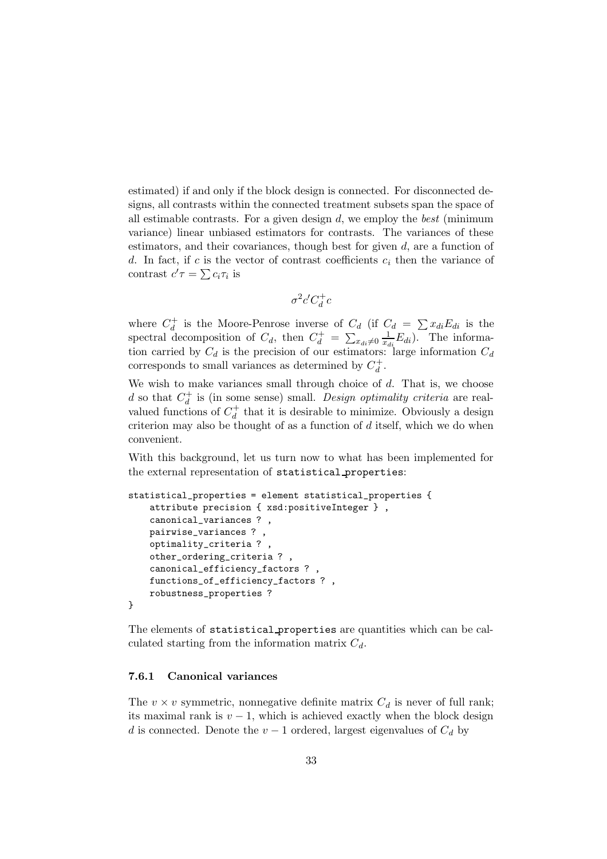estimated) if and only if the block design is connected. For disconnected designs, all contrasts within the connected treatment subsets span the space of all estimable contrasts. For a given design  $d$ , we employ the *best* (minimum variance) linear unbiased estimators for contrasts. The variances of these estimators, and their covariances, though best for given  $d$ , are a function of d. In fact, if c is the vector of contrast coefficients  $c_i$  then the variance of contrast  $c'\tau = \sum c_i \tau_i$  is

$$
\sigma^2 c' C_d^+ c
$$

where  $C_d^+$  is the Moore-Penrose inverse of  $C_d$  (if  $C_d = \sum x_{di} E_{di}$  is the spectral decomposition of  $C_d$ , then  $C_d^+ = \sum_{x_{di}\neq 0} \frac{1}{x_{di}} E_{di}$ . The information carried by  $C_d$  is the precision of our estimators: large information  $C_d$ corresponds to small variances as determined by  $C_d^+$ .

We wish to make variances small through choice of  $d$ . That is, we choose d so that  $C_d^+$  is (in some sense) small. Design optimality criteria are realvalued functions of  $C_d^+$  that it is desirable to minimize. Obviously a design criterion may also be thought of as a function of  $d$  itself, which we do when convenient.

With this background, let us turn now to what has been implemented for the external representation of statistical properties:

```
statistical_properties = element statistical_properties {
    attribute precision { xsd:positiveInteger } ,
    canonical_variances ? ,
    pairwise_variances ? ,
    optimality_criteria ? ,
    other_ordering_criteria ? ,
    canonical_efficiency_factors ? ,
    functions_of_efficiency_factors ? ,
    robustness_properties ?
}
```
The elements of statistical properties are quantities which can be calculated starting from the information matrix  $C_d$ .

# <span id="page-32-0"></span>7.6.1 Canonical variances

The  $v \times v$  symmetric, nonnegative definite matrix  $C_d$  is never of full rank; its maximal rank is  $v - 1$ , which is achieved exactly when the block design d is connected. Denote the  $v-1$  ordered, largest eigenvalues of  $C_d$  by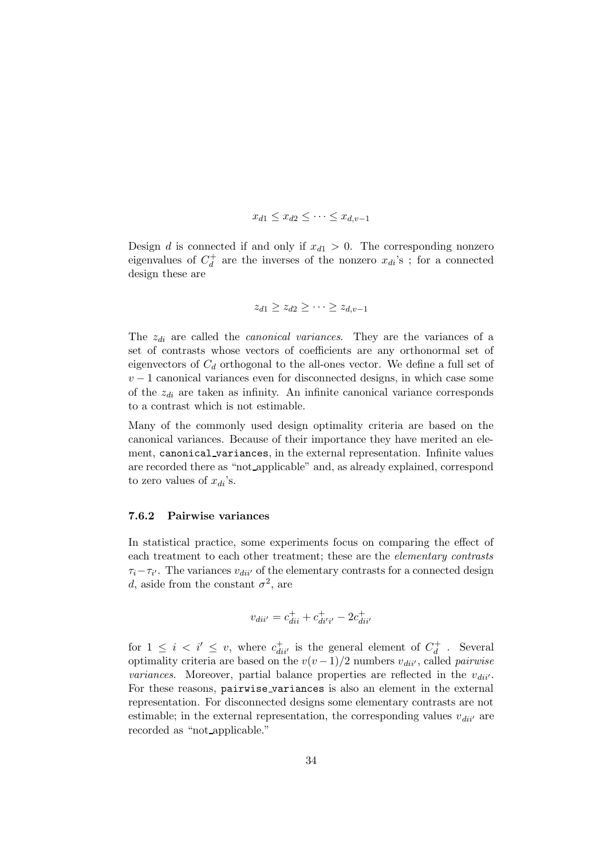$$
x_{d1} \leq x_{d2} \leq \cdots \leq x_{d,v-1}
$$

Design d is connected if and only if  $x_{d1} > 0$ . The corresponding nonzero eigenvalues of  $C_d^+$  are the inverses of the nonzero  $x_{di}$ 's; for a connected design these are

$$
z_{d1} \geq z_{d2} \geq \cdots \geq z_{d,v-1}
$$

The  $z_{di}$  are called the *canonical variances*. They are the variances of a set of contrasts whose vectors of coefficients are any orthonormal set of eigenvectors of  $C_d$  orthogonal to the all-ones vector. We define a full set of  $v-1$  canonical variances even for disconnected designs, in which case some of the  $z_{di}$  are taken as infinity. An infinite canonical variance corresponds to a contrast which is not estimable.

Many of the commonly used design optimality criteria are based on the canonical variances. Because of their importance they have merited an element, canonical variances, in the external representation. Infinite values are recorded there as "not applicable" and, as already explained, correspond to zero values of  $x_{di}$ 's.

#### <span id="page-33-0"></span>7.6.2 Pairwise variances

In statistical practice, some experiments focus on comparing the effect of each treatment to each other treatment; these are the elementary contrasts  $\tau_i - \tau_{i'}$ . The variances  $v_{di'i'}$  of the elementary contrasts for a connected design d, aside from the constant  $\sigma^2$ , are

$$
v_{dii'} = c_{dii}^+ + c_{dii'i'}^+ - 2c_{dii'}^+
$$

for  $1 \leq i \leq i' \leq v$ , where  $c_{di i'}^+$  is the general element of  $C_d^+$ . Several optimality criteria are based on the  $v(v-1)/2$  numbers  $v_{di''}$ , called *pairwise variances*. Moreover, partial balance properties are reflected in the  $v_{di'}.$ For these reasons, pairwise\_variances is also an element in the external representation. For disconnected designs some elementary contrasts are not estimable; in the external representation, the corresponding values  $v_{di i'}$  are recorded as "not applicable."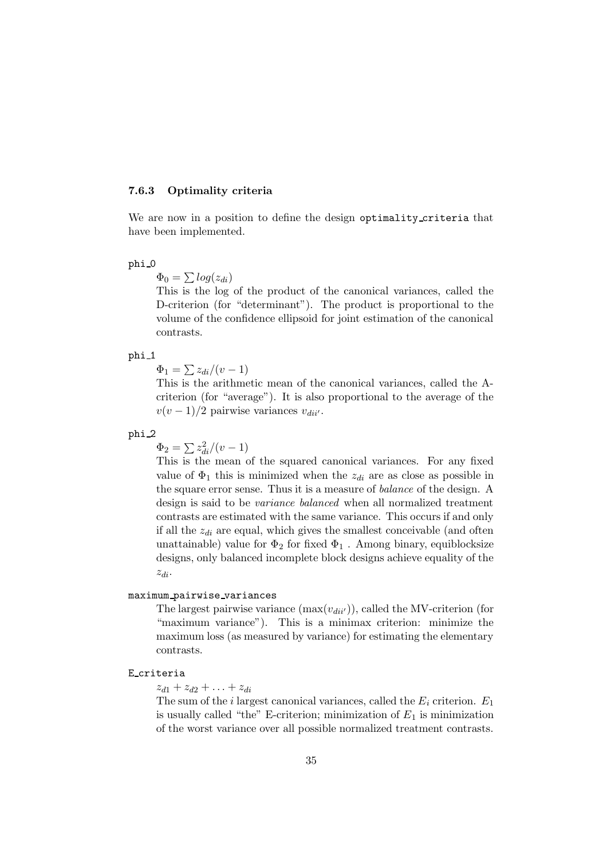### <span id="page-34-0"></span>7.6.3 Optimality criteria

We are now in a position to define the design optimality criteria that have been implemented.

# phi 0

 $\Phi_0 = \sum log(z_{di})$ 

This is the log of the product of the canonical variances, called the D-criterion (for "determinant"). The product is proportional to the volume of the confidence ellipsoid for joint estimation of the canonical contrasts.

#### phi<sub>-1</sub>

 $\Phi_1 = \sum z_{di}/(v-1)$ 

This is the arithmetic mean of the canonical variances, called the Acriterion (for "average"). It is also proportional to the average of the  $v(v-1)/2$  pairwise variances  $v_{di'}.$ 

# phi 2

 $\Phi_2 = \sum z_{di}^2/(v-1)$ 

This is the mean of the squared canonical variances. For any fixed value of  $\Phi_1$  this is minimized when the  $z_{di}$  are as close as possible in the square error sense. Thus it is a measure of balance of the design. A design is said to be variance balanced when all normalized treatment contrasts are estimated with the same variance. This occurs if and only if all the  $z_{di}$  are equal, which gives the smallest conceivable (and often unattainable) value for  $\Phi_2$  for fixed  $\Phi_1$ . Among binary, equiblocksize designs, only balanced incomplete block designs achieve equality of the zdi.

# maximum pairwise variances

The largest pairwise variance  $(\max(v_{di})')$ , called the MV-criterion (for "maximum variance"). This is a minimax criterion: minimize the maximum loss (as measured by variance) for estimating the elementary contrasts.

### E criteria

 $z_{d1} + z_{d2} + \ldots + z_{di}$ 

The sum of the *i* largest canonical variances, called the  $E_i$  criterion.  $E_1$ is usually called "the" E-criterion; minimization of  $E_1$  is minimization of the worst variance over all possible normalized treatment contrasts.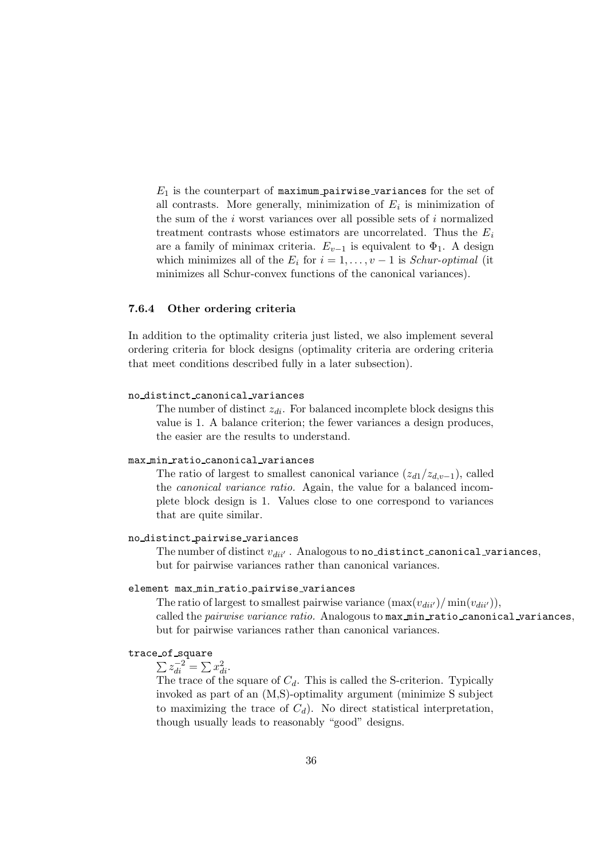$E_1$  is the counterpart of maximum pairwise variances for the set of all contrasts. More generally, minimization of  $E_i$  is minimization of the sum of the  $i$  worst variances over all possible sets of  $i$  normalized treatment contrasts whose estimators are uncorrelated. Thus the  $E_i$ are a family of minimax criteria.  $E_{v-1}$  is equivalent to  $\Phi_1$ . A design which minimizes all of the  $E_i$  for  $i = 1, \ldots, v - 1$  is *Schur-optimal* (it minimizes all Schur-convex functions of the canonical variances).

# <span id="page-35-0"></span>7.6.4 Other ordering criteria

In addition to the optimality criteria just listed, we also implement several ordering criteria for block designs (optimality criteria are ordering criteria that meet conditions described fully in a later subsection).

#### no distinct canonical variances

The number of distinct  $z_{di}$ . For balanced incomplete block designs this value is 1. A balance criterion; the fewer variances a design produces, the easier are the results to understand.

#### max min ratio canonical variances

The ratio of largest to smallest canonical variance  $(z_{d1}/z_{d,v-1})$ , called the canonical variance ratio. Again, the value for a balanced incomplete block design is 1. Values close to one correspond to variances that are quite similar.

# no distinct pairwise variances

The number of distinct  $v_{diil}$ . Analogous to no distinct canonical variances, but for pairwise variances rather than canonical variances.

#### element max min ratio pairwise variances

The ratio of largest to smallest pairwise variance  $(\max(v_{di'}/\min(v_{di'})),$ called the pairwise variance ratio. Analogous to max min ratio canonical variances, but for pairwise variances rather than canonical variances.

# trace of square

 $\sum z_{di}^{-2} = \sum x_{di}^2.$ 

The trace of the square of  $C_d$ . This is called the S-criterion. Typically invoked as part of an (M,S)-optimality argument (minimize S subject to maximizing the trace of  $C_d$ ). No direct statistical interpretation, though usually leads to reasonably "good" designs.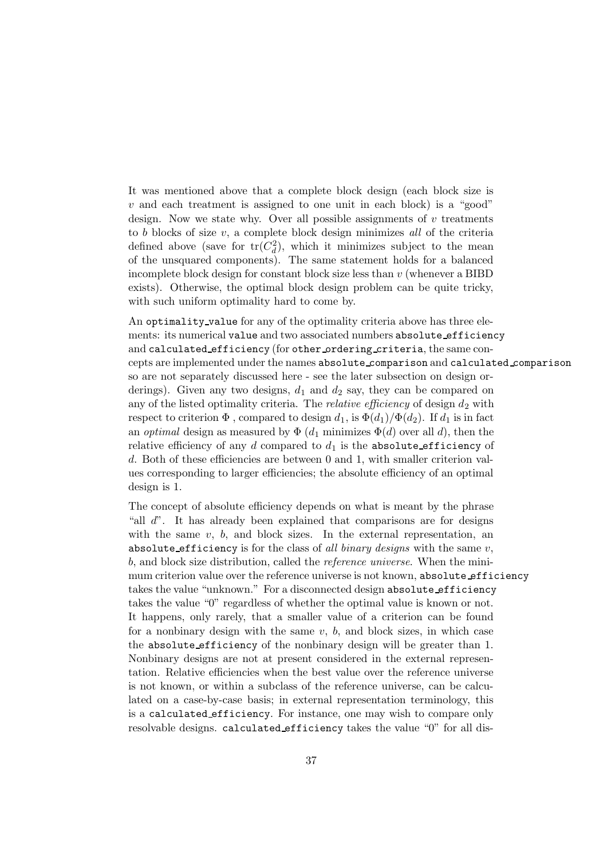It was mentioned above that a complete block design (each block size is  $v$  and each treatment is assigned to one unit in each block) is a "good" design. Now we state why. Over all possible assignments of  $v$  treatments to  $b$  blocks of size  $v$ , a complete block design minimizes all of the criteria defined above (save for  $tr(C_d^2)$ , which it minimizes subject to the mean of the unsquared components). The same statement holds for a balanced incomplete block design for constant block size less than  $v$  (whenever a BIBD) exists). Otherwise, the optimal block design problem can be quite tricky, with such uniform optimality hard to come by.

An optimality value for any of the optimality criteria above has three elements: its numerical value and two associated numbers absolute efficiency and calculated efficiency (for other ordering criteria, the same concepts are implemented under the names absolute comparison and calculated comparison so are not separately discussed here - see the later subsection on design orderings). Given any two designs,  $d_1$  and  $d_2$  say, they can be compared on any of the listed optimality criteria. The *relative efficiency* of design  $d_2$  with respect to criterion  $\Phi$ , compared to design  $d_1$ , is  $\Phi(d_1)/\Phi(d_2)$ . If  $d_1$  is in fact an *optimal* design as measured by  $\Phi(d_1)$  minimizes  $\Phi(d)$  over all d), then the relative efficiency of any d compared to  $d_1$  is the absolute efficiency of d. Both of these efficiencies are between 0 and 1, with smaller criterion values corresponding to larger efficiencies; the absolute efficiency of an optimal design is 1.

The concept of absolute efficiency depends on what is meant by the phrase "all d". It has already been explained that comparisons are for designs with the same  $v, b$ , and block sizes. In the external representation, an absolute efficiency is for the class of all binary designs with the same  $v$ , b, and block size distribution, called the reference universe. When the minimum criterion value over the reference universe is not known, absolute efficiency takes the value "unknown." For a disconnected design absolute efficiency takes the value "0" regardless of whether the optimal value is known or not. It happens, only rarely, that a smaller value of a criterion can be found for a nonbinary design with the same  $v$ ,  $b$ , and block sizes, in which case the absolute efficiency of the nonbinary design will be greater than 1. Nonbinary designs are not at present considered in the external representation. Relative efficiencies when the best value over the reference universe is not known, or within a subclass of the reference universe, can be calculated on a case-by-case basis; in external representation terminology, this is a calculated efficiency. For instance, one may wish to compare only resolvable designs. calculated efficiency takes the value "0" for all dis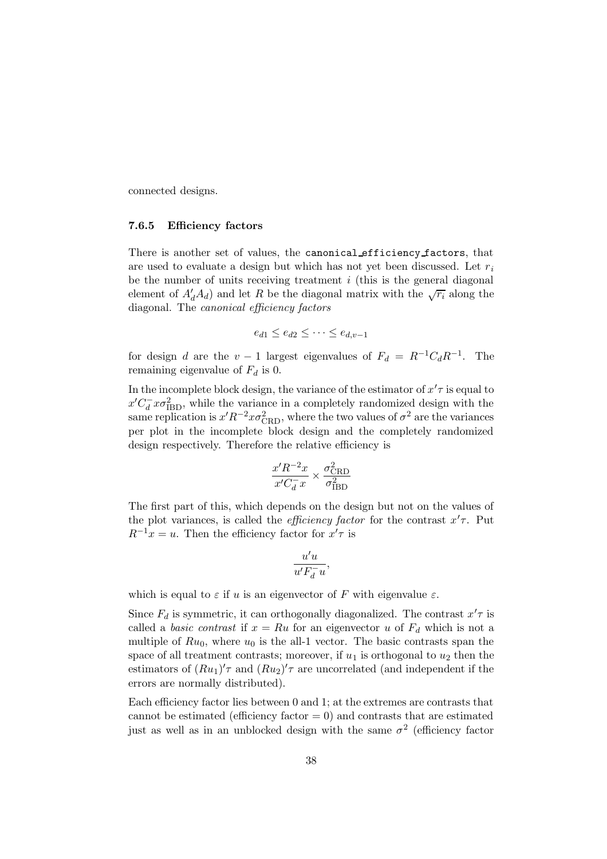connected designs.

#### 7.6.5 Efficiency factors

There is another set of values, the canonical efficiency factors, that are used to evaluate a design but which has not yet been discussed. Let  $r_i$ be the number of units receiving treatment  $i$  (this is the general diagonal element of  $A'_dA_d$ ) and let R be the diagonal matrix with the  $\sqrt{r_i}$  along the diagonal. The canonical efficiency factors

$$
e_{d1} \le e_{d2} \le \cdots \le e_{d,v-1}
$$

for design d are the  $v - 1$  largest eigenvalues of  $F_d = R^{-1}C_dR^{-1}$ . The remaining eigenvalue of  $F_d$  is 0.

In the incomplete block design, the variance of the estimator of  $x'$  is equal to  $x'C_d^-x\sigma_{\text{IBD}}^2$ , while the variance in a completely randomized design with the same replication is  $x'R^{-2}x\sigma_{\text{CRD}}^2$ , where the two values of  $\sigma^2$  are the variances per plot in the incomplete block design and the completely randomized design respectively. Therefore the relative efficiency is

$$
\frac{x'R^{-2}x}{x'C_d^{-}x} \times \frac{\sigma_{\rm CRD}^2}{\sigma_{\rm IBD}^2}
$$

The first part of this, which depends on the design but not on the values of the plot variances, is called the *efficiency factor* for the contrast  $x'$ . Put  $R^{-1}x = u$ . Then the efficiency factor for  $x'\tau$  is

$$
\frac{u'u}{u'F_d^-u},
$$

which is equal to  $\varepsilon$  if u is an eigenvector of F with eigenvalue  $\varepsilon$ .

Since  $F_d$  is symmetric, it can orthogonally diagonalized. The contrast  $x' \tau$  is called a *basic contrast* if  $x = Ru$  for an eigenvector u of  $F<sub>d</sub>$  which is not a multiple of  $Ru_0$ , where  $u_0$  is the all-1 vector. The basic contrasts span the space of all treatment contrasts; moreover, if  $u_1$  is orthogonal to  $u_2$  then the estimators of  $(Ru_1)'\tau$  and  $(Ru_2)'\tau$  are uncorrelated (and independent if the errors are normally distributed).

Each efficiency factor lies between 0 and 1; at the extremes are contrasts that cannot be estimated (efficiency factor  $= 0$ ) and contrasts that are estimated just as well as in an unblocked design with the same  $\sigma^2$  (efficiency factor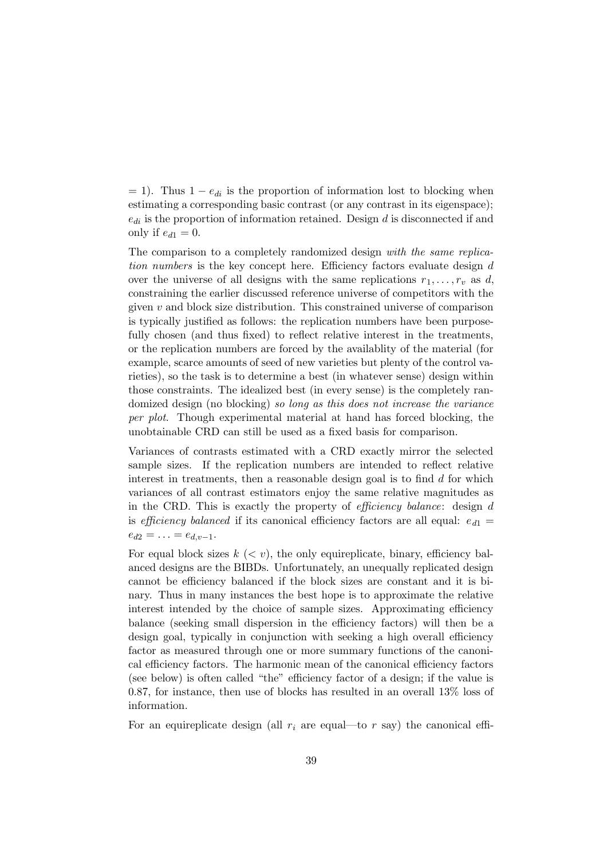$= 1$ ). Thus  $1 - e_{di}$  is the proportion of information lost to blocking when estimating a corresponding basic contrast (or any contrast in its eigenspace);  $e_{di}$  is the proportion of information retained. Design d is disconnected if and only if  $e_{d1} = 0$ .

The comparison to a completely randomized design with the same replication numbers is the key concept here. Efficiency factors evaluate design d over the universe of all designs with the same replications  $r_1, \ldots, r_v$  as d, constraining the earlier discussed reference universe of competitors with the given  $v$  and block size distribution. This constrained universe of comparison is typically justified as follows: the replication numbers have been purposefully chosen (and thus fixed) to reflect relative interest in the treatments, or the replication numbers are forced by the availablity of the material (for example, scarce amounts of seed of new varieties but plenty of the control varieties), so the task is to determine a best (in whatever sense) design within those constraints. The idealized best (in every sense) is the completely randomized design (no blocking) so long as this does not increase the variance per plot. Though experimental material at hand has forced blocking, the unobtainable CRD can still be used as a fixed basis for comparison.

Variances of contrasts estimated with a CRD exactly mirror the selected sample sizes. If the replication numbers are intended to reflect relative interest in treatments, then a reasonable design goal is to find  $d$  for which variances of all contrast estimators enjoy the same relative magnitudes as in the CRD. This is exactly the property of efficiency balance: design d is efficiency balanced if its canonical efficiency factors are all equal:  $e_{d1} =$  $e_{d2} = \ldots = e_{d,v-1}.$ 

For equal block sizes  $k \, \langle \, \langle v \rangle$ , the only equireplicate, binary, efficiency balanced designs are the BIBDs. Unfortunately, an unequally replicated design cannot be efficiency balanced if the block sizes are constant and it is binary. Thus in many instances the best hope is to approximate the relative interest intended by the choice of sample sizes. Approximating efficiency balance (seeking small dispersion in the efficiency factors) will then be a design goal, typically in conjunction with seeking a high overall efficiency factor as measured through one or more summary functions of the canonical efficiency factors. The harmonic mean of the canonical efficiency factors (see below) is often called "the" efficiency factor of a design; if the value is 0.87, for instance, then use of blocks has resulted in an overall 13% loss of information.

For an equireplicate design (all  $r_i$  are equal—to r say) the canonical effi-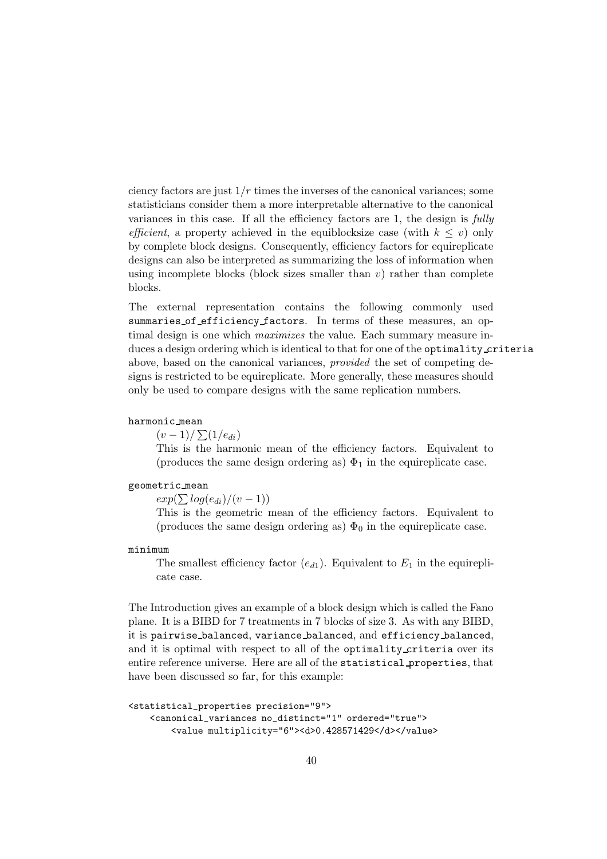ciency factors are just  $1/r$  times the inverses of the canonical variances; some statisticians consider them a more interpretable alternative to the canonical variances in this case. If all the efficiency factors are 1, the design is fully efficient, a property achieved in the equiblocksize case (with  $k \leq v$ ) only by complete block designs. Consequently, efficiency factors for equireplicate designs can also be interpreted as summarizing the loss of information when using incomplete blocks (block sizes smaller than  $v$ ) rather than complete blocks.

The external representation contains the following commonly used summaries of efficiency factors. In terms of these measures, an optimal design is one which maximizes the value. Each summary measure induces a design ordering which is identical to that for one of the optimality criteria above, based on the canonical variances, provided the set of competing designs is restricted to be equireplicate. More generally, these measures should only be used to compare designs with the same replication numbers.

## harmonic mean

 $(v-1)/\sum(1/e_{di})$ 

This is the harmonic mean of the efficiency factors. Equivalent to (produces the same design ordering as)  $\Phi_1$  in the equireplicate case.

#### geometric mean

 $exp(\sum log(e_{di})/(v-1))$ 

This is the geometric mean of the efficiency factors. Equivalent to (produces the same design ordering as)  $\Phi_0$  in the equireplicate case.

#### minimum

The smallest efficiency factor  $(e_{d1})$ . Equivalent to  $E_1$  in the equireplicate case.

The Introduction gives an example of a block design which is called the Fano plane. It is a BIBD for 7 treatments in 7 blocks of size 3. As with any BIBD, it is pairwise balanced, variance balanced, and efficiency balanced, and it is optimal with respect to all of the optimality criteria over its entire reference universe. Here are all of the statistical properties, that have been discussed so far, for this example:

```
<statistical_properties precision="9">
    <canonical_variances no_distinct="1" ordered="true">
        <value multiplicity="6"><d>0.428571429</d></value>
```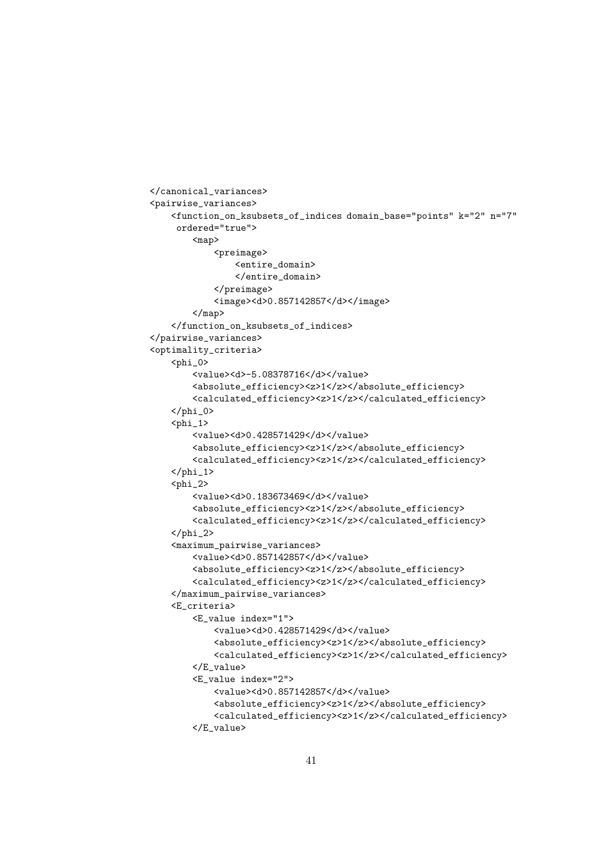```
</canonical_variances>
<pairwise_variances>
    <function_on_ksubsets_of_indices domain_base="points" k="2" n="7"
     ordered="true">
        <map>
            <preimage>
                <entire_domain>
                </entire_domain>
            </preimage>
            <image><d>0.857142857</d></image>
        </map>
    </function_on_ksubsets_of_indices>
</pairwise_variances>
<optimality_criteria>
    <phi_0>
        <value><d>-5.08378716</d></value>
        <absolute_efficiency><z>1</z></absolute_efficiency>
        <calculated_efficiency><z>1</z></calculated_efficiency>
    \langle/phi_0>
    \n  <sub>phi_1</sub><value><d>0.428571429</d></value>
        <absolute_efficiency><z>1</z></absolute_efficiency>
        <calculated_efficiency><z>1</z></calculated_efficiency>
    \langle/phi_1>
    <sub>phi_2</sub></sub>
        <value><d>0.183673469</d></value>
        <absolute_efficiency><z>1</z></absolute_efficiency>
        <calculated_efficiency><z>1</z></calculated_efficiency>
    \langle/phi_2>
    <maximum_pairwise_variances>
        <value><d>0.857142857</d></value>
        <absolute_efficiency><z>1</z></absolute_efficiency>
        <calculated_efficiency><z>1</z></calculated_efficiency>
    </maximum_pairwise_variances>
    <E_criteria>
        <E_value index="1">
            <value><d>0.428571429</d></value>
            <absolute_efficiency><z>1</z></absolute_efficiency>
            <calculated_efficiency><z>1</z></calculated_efficiency>
        </E_value>
        <E_value index="2">
            <value><d>0.857142857</d></value>
            <absolute_efficiency><z>1</z></absolute_efficiency>
            <calculated_efficiency><z>1</z></calculated_efficiency>
        </E_value>
```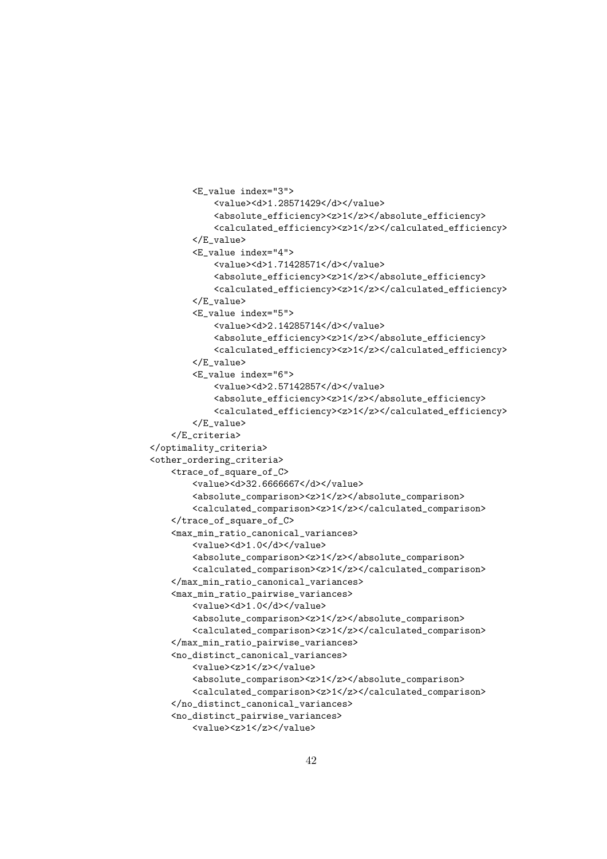```
<E_value index="3">
            <value><d>1.28571429</d></value>
            <absolute_efficiency><z>1</z></absolute_efficiency>
            <calculated_efficiency><z>1</z></calculated_efficiency>
        </E_value>
        <E_value index="4">
           <value><d>1.71428571</d></value>
           <absolute_efficiency><z>1</z></absolute_efficiency>
           <calculated_efficiency><z>1</z></calculated_efficiency>
        </E_value>
        <E_value index="5">
            <value><d>2.14285714</d></value>
            <absolute_efficiency><z>1</z></absolute_efficiency>
           <calculated_efficiency><z>1</z></calculated_efficiency>
        </E_value>
        <E_value index="6">
            <value><d>2.57142857</d></value>
            <absolute_efficiency><z>1</z></absolute_efficiency>
            <calculated_efficiency><z>1</z></calculated_efficiency>
        </E_value>
   </E_criteria>
</optimality_criteria>
<other_ordering_criteria>
   <trace_of_square_of_C>
        <value><d>32.6666667</d></value>
        <absolute_comparison><z>1</z></absolute_comparison>
        <calculated_comparison><z>1</z></calculated_comparison>
    </trace_of_square_of_C>
    <max_min_ratio_canonical_variances>
        <value><d>1.0</d></value>
        <absolute_comparison><z>1</z></absolute_comparison>
        <calculated_comparison><z>1</z></calculated_comparison>
    </max_min_ratio_canonical_variances>
    <max_min_ratio_pairwise_variances>
        <value><d>1.0</d></value>
        <absolute_comparison><z>1</z></absolute_comparison>
        <calculated_comparison><z>1</z></calculated_comparison>
   </max_min_ratio_pairwise_variances>
    <no_distinct_canonical_variances>
        <value><z>1</z></value>
        <absolute_comparison><z>1</z></absolute_comparison>
        <calculated_comparison><z>1</z></calculated_comparison>
    </no_distinct_canonical_variances>
    <no_distinct_pairwise_variances>
        <value><z>1</z></value>
```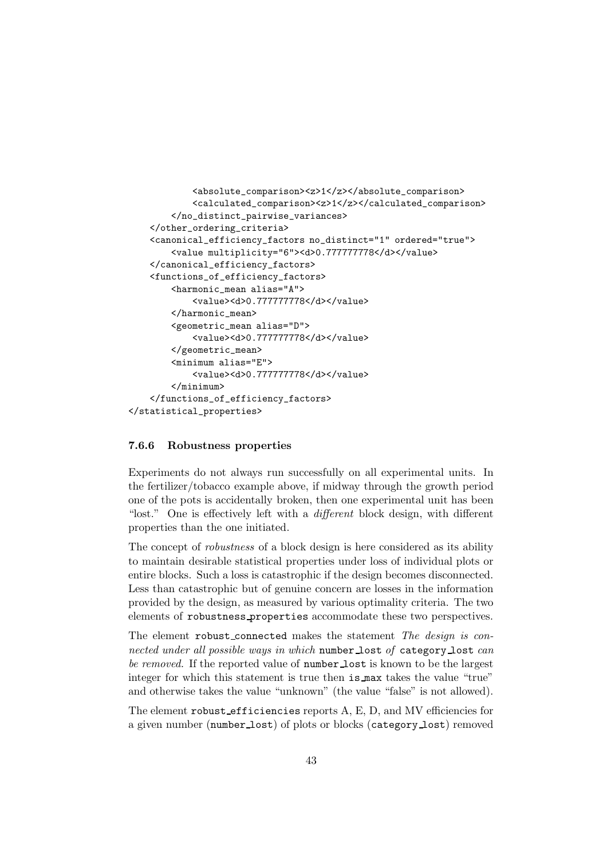```
<absolute_comparison><z>1</z></absolute_comparison>
            <calculated_comparison><z>1</z></calculated_comparison>
        </no_distinct_pairwise_variances>
    </other_ordering_criteria>
    <canonical_efficiency_factors no_distinct="1" ordered="true">
        <value multiplicity="6"><d>0.777777778</d></value>
    </canonical_efficiency_factors>
    <functions_of_efficiency_factors>
        <harmonic_mean alias="A">
            <value><d>0.777777778</d></value>
        </harmonic_mean>
        <geometric_mean alias="D">
            <value><d>0.777777778</d></value>
        </geometric_mean>
        <minimum alias="E">
            <value><d>0.777777778</d></value>
        </minimum>
    </functions_of_efficiency_factors>
</statistical_properties>
```
## 7.6.6 Robustness properties

Experiments do not always run successfully on all experimental units. In the fertilizer/tobacco example above, if midway through the growth period one of the pots is accidentally broken, then one experimental unit has been "lost." One is effectively left with a different block design, with different properties than the one initiated.

The concept of robustness of a block design is here considered as its ability to maintain desirable statistical properties under loss of individual plots or entire blocks. Such a loss is catastrophic if the design becomes disconnected. Less than catastrophic but of genuine concern are losses in the information provided by the design, as measured by various optimality criteria. The two elements of robustness properties accommodate these two perspectives.

The element robust\_connected makes the statement The design is connected under all possible ways in which number lost of category lost can be removed. If the reported value of **number** lost is known to be the largest integer for which this statement is true then is max takes the value "true" and otherwise takes the value "unknown" (the value "false" is not allowed).

The element robust efficiencies reports A, E, D, and MV efficiencies for a given number (number lost) of plots or blocks (category lost) removed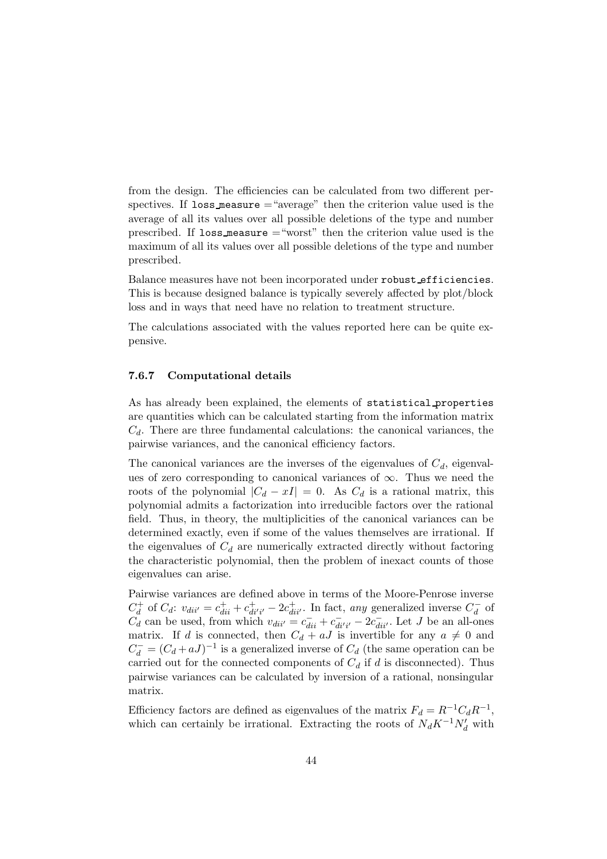from the design. The efficiencies can be calculated from two different perspectives. If loss measure  $=$  "average" then the criterion value used is the average of all its values over all possible deletions of the type and number prescribed. If loss measure ="worst" then the criterion value used is the maximum of all its values over all possible deletions of the type and number prescribed.

Balance measures have not been incorporated under robust efficiencies. This is because designed balance is typically severely affected by plot/block loss and in ways that need have no relation to treatment structure.

The calculations associated with the values reported here can be quite expensive.

## 7.6.7 Computational details

As has already been explained, the elements of statistical properties are quantities which can be calculated starting from the information matrix  $C_d$ . There are three fundamental calculations: the canonical variances, the pairwise variances, and the canonical efficiency factors.

The canonical variances are the inverses of the eigenvalues of  $C_d$ , eigenvalues of zero corresponding to canonical variances of  $\infty$ . Thus we need the roots of the polynomial  $|C_d - xI| = 0$ . As  $C_d$  is a rational matrix, this polynomial admits a factorization into irreducible factors over the rational field. Thus, in theory, the multiplicities of the canonical variances can be determined exactly, even if some of the values themselves are irrational. If the eigenvalues of  $C_d$  are numerically extracted directly without factoring the characteristic polynomial, then the problem of inexact counts of those eigenvalues can arise.

Pairwise variances are defined above in terms of the Moore-Penrose inverse  $C_d^+$  of  $C_d$ :  $v_{di''} = c_{di}^+ + c_{di'i'}^+ - 2c_{di'i'}^+$ . In fact, any generalized inverse  $C_d^-$  of  $C_d$  can be used, from which  $v_{di''} = c_{di}^- + c_{di'i'}^- - 2c_{di'}^-$ . Let J be an all-ones matrix. If d is connected, then  $C_d + aJ$  is invertible for any  $a \neq 0$  and  $C_d^- = (C_d + aJ)^{-1}$  is a generalized inverse of  $C_d$  (the same operation can be carried out for the connected components of  $C_d$  if d is disconnected). Thus pairwise variances can be calculated by inversion of a rational, nonsingular matrix.

Efficiency factors are defined as eigenvalues of the matrix  $F_d = R^{-1}C_dR^{-1}$ , which can certainly be irrational. Extracting the roots of  $N_dK^{-1}N_d'$  with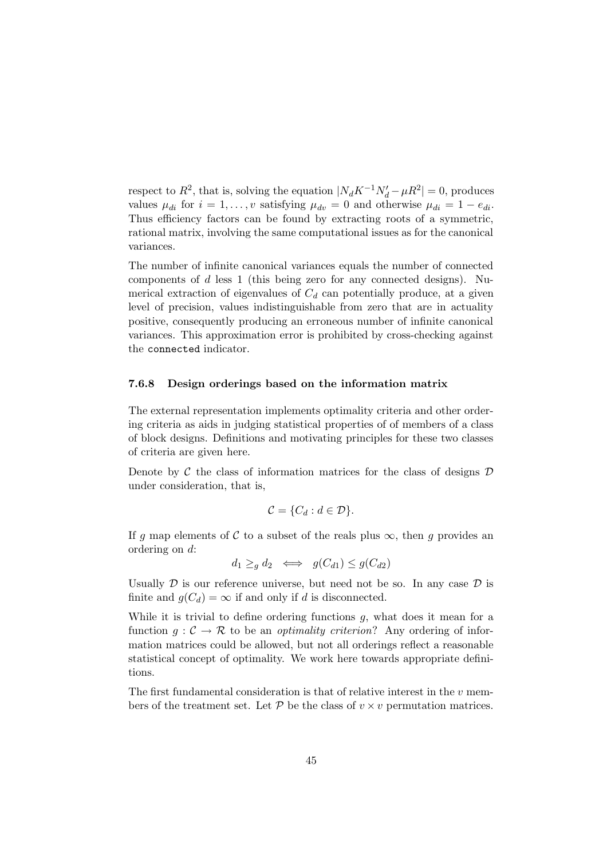respect to  $R^2$ , that is, solving the equation  $|N_d K^{-1} N'_d - \mu R^2| = 0$ , produces values  $\mu_{di}$  for  $i = 1, \ldots, v$  satisfying  $\mu_{dv} = 0$  and otherwise  $\mu_{di} = 1 - e_{di}$ . Thus efficiency factors can be found by extracting roots of a symmetric, rational matrix, involving the same computational issues as for the canonical variances.

The number of infinite canonical variances equals the number of connected components of  $d$  less 1 (this being zero for any connected designs). Numerical extraction of eigenvalues of  $C_d$  can potentially produce, at a given level of precision, values indistinguishable from zero that are in actuality positive, consequently producing an erroneous number of infinite canonical variances. This approximation error is prohibited by cross-checking against the connected indicator.

## 7.6.8 Design orderings based on the information matrix

The external representation implements optimality criteria and other ordering criteria as aids in judging statistical properties of of members of a class of block designs. Definitions and motivating principles for these two classes of criteria are given here.

Denote by  $\mathcal C$  the class of information matrices for the class of designs  $\mathcal D$ under consideration, that is,

$$
\mathcal{C} = \{C_d : d \in \mathcal{D}\}.
$$

If g map elements of C to a subset of the reals plus  $\infty$ , then g provides an ordering on d:

$$
d_1 \geq_g d_2 \iff g(C_{d1}) \leq g(C_{d2})
$$

Usually  $\mathcal D$  is our reference universe, but need not be so. In any case  $\mathcal D$  is finite and  $g(C_d) = \infty$  if and only if d is disconnected.

While it is trivial to define ordering functions  $g$ , what does it mean for a function  $q: \mathcal{C} \to \mathcal{R}$  to be an *optimality criterion*? Any ordering of information matrices could be allowed, but not all orderings reflect a reasonable statistical concept of optimality. We work here towards appropriate definitions.

The first fundamental consideration is that of relative interest in the  $v$  members of the treatment set. Let  $P$  be the class of  $v \times v$  permutation matrices.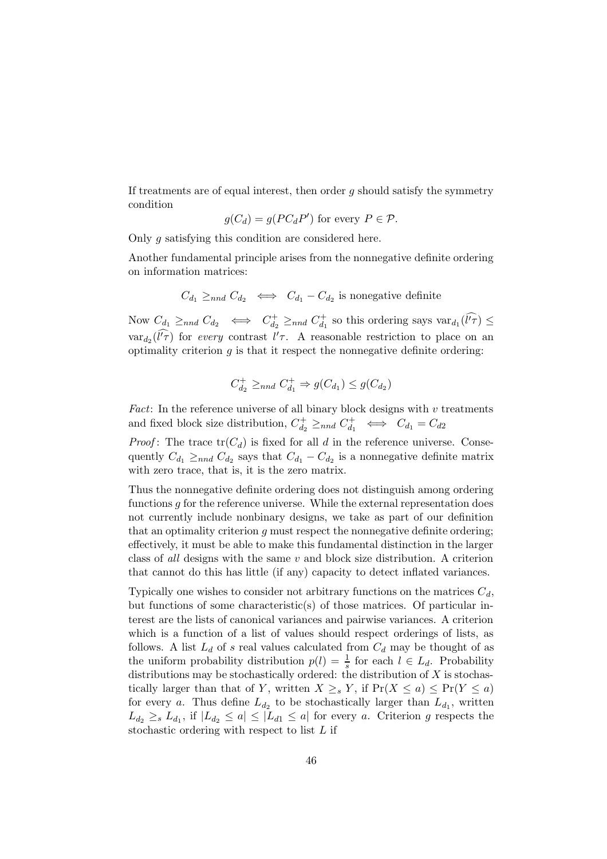If treatments are of equal interest, then order  $q$  should satisfy the symmetry condition

$$
g(C_d) = g(PC_dP') \text{ for every } P \in \mathcal{P}.
$$

Only g satisfying this condition are considered here.

Another fundamental principle arises from the nonnegative definite ordering on information matrices:

$$
C_{d_1} \geq_{nnd} C_{d_2} \iff C_{d_1} - C_{d_2}
$$
 is nonegative definite

Now  $C_{d_1} \geq_{nnd} C_{d_2} \iff C_{d_2}^+ \geq_{nnd} C_{d_1}^+$  so this ordering says  $var_{d_1}(\widehat{l'}\widehat{r}) \leq$  $var_{d_2}(\hat{l'}\hat{\tau})$  for every contrast  $l'\tau$ . A reasonable restriction to place on an optimality criterion  $g$  is that it respect the nonnegative definite ordering:

$$
C_{d_2}^+ \geq_{nnd} C_{d_1}^+ \Rightarrow g(C_{d_1}) \leq g(C_{d_2})
$$

Fact: In the reference universe of all binary block designs with  $v$  treatments and fixed block size distribution,  $C_{d_2}^+ \geq_{nnd} C_{d_1}^+ \iff C_{d_1} = C_{d_2}$ 

*Proof*: The trace  $tr(C_d)$  is fixed for all d in the reference universe. Consequently  $C_{d_1} \ge_{nnd} C_{d_2}$  says that  $C_{d_1} - C_{d_2}$  is a nonnegative definite matrix with zero trace, that is, it is the zero matrix.

Thus the nonnegative definite ordering does not distinguish among ordering functions  $g$  for the reference universe. While the external representation does not currently include nonbinary designs, we take as part of our definition that an optimality criterion  $q$  must respect the nonnegative definite ordering; effectively, it must be able to make this fundamental distinction in the larger class of all designs with the same  $v$  and block size distribution. A criterion that cannot do this has little (if any) capacity to detect inflated variances.

Typically one wishes to consider not arbitrary functions on the matrices  $C_d$ , but functions of some characteristic(s) of those matrices. Of particular interest are the lists of canonical variances and pairwise variances. A criterion which is a function of a list of values should respect orderings of lists, as follows. A list  $L_d$  of s real values calculated from  $C_d$  may be thought of as the uniform probability distribution  $p(l) = \frac{1}{s}$  for each  $l \in L_d$ . Probability distributions may be stochastically ordered: the distribution of  $X$  is stochastically larger than that of Y, written  $X \geq_s Y$ , if  $Pr(X \leq a) \leq Pr(Y \leq a)$ for every a. Thus define  $L_{d_2}$  to be stochastically larger than  $L_{d_1}$ , written  $L_{d_2} \geq_s L_{d_1}$ , if  $|L_{d_2} \leq a| \leq |L_{d_1} \leq a|$  for every a. Criterion g respects the stochastic ordering with respect to list L if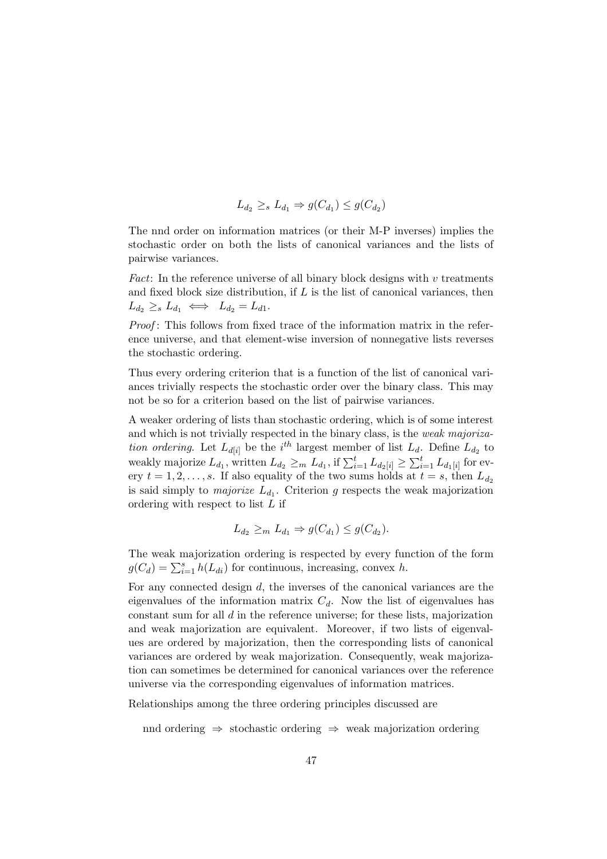$$
L_{d_2} \geq_s L_{d_1} \Rightarrow g(C_{d_1}) \leq g(C_{d_2})
$$

The nnd order on information matrices (or their M-P inverses) implies the stochastic order on both the lists of canonical variances and the lists of pairwise variances.

Fact: In the reference universe of all binary block designs with  $v$  treatments and fixed block size distribution, if  $L$  is the list of canonical variances, then  $L_{d_2} \geq_s L_{d_1} \iff L_{d_2} = L_{d_1}.$ 

Proof: This follows from fixed trace of the information matrix in the reference universe, and that element-wise inversion of nonnegative lists reverses the stochastic ordering.

Thus every ordering criterion that is a function of the list of canonical variances trivially respects the stochastic order over the binary class. This may not be so for a criterion based on the list of pairwise variances.

A weaker ordering of lists than stochastic ordering, which is of some interest and which is not trivially respected in the binary class, is the weak majorization ordering. Let  $L_{d[i]}$  be the i<sup>th</sup> largest member of list  $L_d$ . Define  $L_{d_2}$  to weakly majorize  $L_{d_1}$ , written  $L_{d_2} \geq_m L_{d_1}$ , if  $\sum_{i=1}^t L_{d_2[i]} \geq \sum_{i=1}^t L_{d_1[i]}$  for every  $t = 1, 2, \ldots, s$ . If also equality of the two sums holds at  $t = s$ , then  $L_{d_2}$ is said simply to *majorize*  $L_{d_1}$ . Criterion g respects the weak majorization ordering with respect to list L if

$$
L_{d_2} \geq_m L_{d_1} \Rightarrow g(C_{d_1}) \leq g(C_{d_2}).
$$

The weak majorization ordering is respected by every function of the form  $g(C_d) = \sum_{i=1}^s h(L_{di})$  for continuous, increasing, convex h.

For any connected design d, the inverses of the canonical variances are the eigenvalues of the information matrix  $C_d$ . Now the list of eigenvalues has constant sum for all d in the reference universe; for these lists, majorization and weak majorization are equivalent. Moreover, if two lists of eigenvalues are ordered by majorization, then the corresponding lists of canonical variances are ordered by weak majorization. Consequently, weak majorization can sometimes be determined for canonical variances over the reference universe via the corresponding eigenvalues of information matrices.

Relationships among the three ordering principles discussed are

nnd ordering ⇒ stochastic ordering ⇒ weak majorization ordering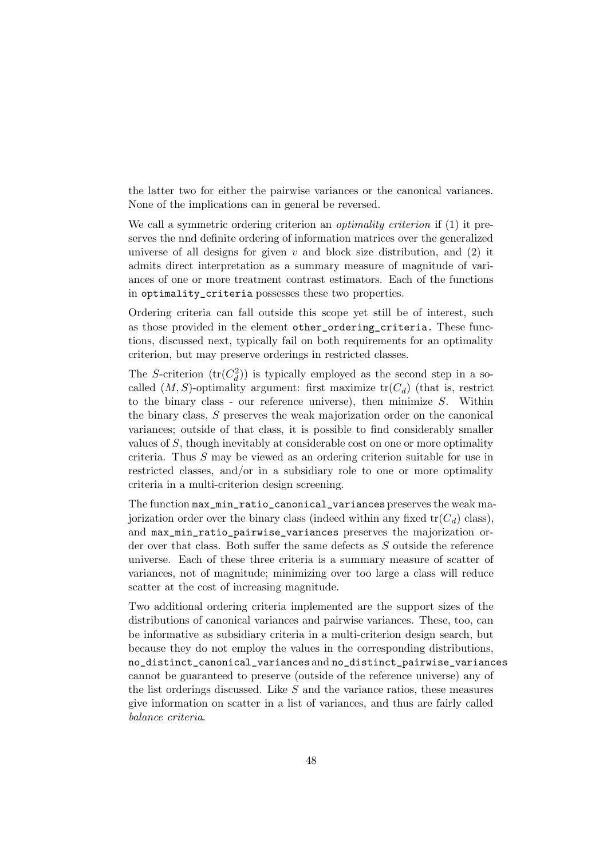the latter two for either the pairwise variances or the canonical variances. None of the implications can in general be reversed.

We call a symmetric ordering criterion an *optimality criterion* if (1) it preserves the nnd definite ordering of information matrices over the generalized universe of all designs for given  $v$  and block size distribution, and  $(2)$  it admits direct interpretation as a summary measure of magnitude of variances of one or more treatment contrast estimators. Each of the functions in optimality\_criteria possesses these two properties.

Ordering criteria can fall outside this scope yet still be of interest, such as those provided in the element other\_ordering\_criteria. These functions, discussed next, typically fail on both requirements for an optimality criterion, but may preserve orderings in restricted classes.

The S-criterion  $(tr(C_d^2))$  is typically employed as the second step in a socalled  $(M, S)$ -optimality argument: first maximize  $tr(C_d)$  (that is, restrict to the binary class - our reference universe), then minimize  $S$ . Within the binary class, S preserves the weak majorization order on the canonical variances; outside of that class, it is possible to find considerably smaller values of S, though inevitably at considerable cost on one or more optimality criteria. Thus S may be viewed as an ordering criterion suitable for use in restricted classes, and/or in a subsidiary role to one or more optimality criteria in a multi-criterion design screening.

The function max\_min\_ratio\_canonical\_variances preserves the weak majorization order over the binary class (indeed within any fixed  $tr(C_d)$  class), and max\_min\_ratio\_pairwise\_variances preserves the majorization order over that class. Both suffer the same defects as S outside the reference universe. Each of these three criteria is a summary measure of scatter of variances, not of magnitude; minimizing over too large a class will reduce scatter at the cost of increasing magnitude.

Two additional ordering criteria implemented are the support sizes of the distributions of canonical variances and pairwise variances. These, too, can be informative as subsidiary criteria in a multi-criterion design search, but because they do not employ the values in the corresponding distributions, no\_distinct\_canonical\_variances and no\_distinct\_pairwise\_variances cannot be guaranteed to preserve (outside of the reference universe) any of the list orderings discussed. Like  $S$  and the variance ratios, these measures give information on scatter in a list of variances, and thus are fairly called balance criteria.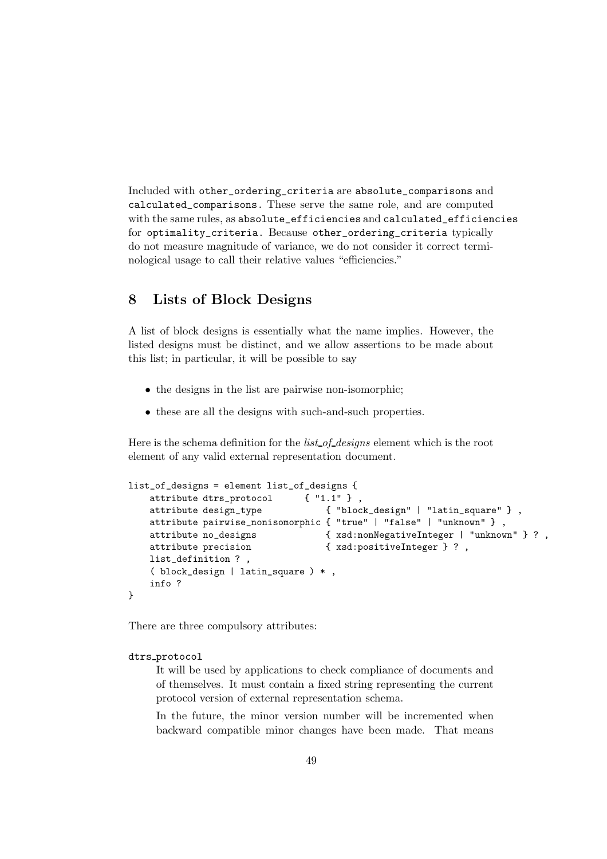Included with other\_ordering\_criteria are absolute\_comparisons and calculated\_comparisons. These serve the same role, and are computed with the same rules, as absolute\_efficiencies and calculated\_efficiencies for optimality\_criteria. Because other\_ordering\_criteria typically do not measure magnitude of variance, we do not consider it correct terminological usage to call their relative values "efficiencies."

## 8 Lists of Block Designs

A list of block designs is essentially what the name implies. However, the listed designs must be distinct, and we allow assertions to be made about this list; in particular, it will be possible to say

- the designs in the list are pairwise non-isomorphic;
- these are all the designs with such-and-such properties.

Here is the schema definition for the *list\_of\_designs* element which is the root element of any valid external representation document.

```
list_of_designs = element list_of_designs {
   attribute dtrs protocol \{ "1.1" \}.
   attribute design_type { "block_design" | "latin_square" } ,
   attribute pairwise_nonisomorphic { "true" | "false" | "unknown" } ,
   attribute no_designs { xsd:nonNegativeInteger | "unknown" } ? ,
   attribute precision \{ xsd: positiveInteger \} ?,
   list_definition ? ,
   ( block_design | latin_square ) * ,
   info ?
}
```
There are three compulsory attributes:

```
dtrs protocol
```
It will be used by applications to check compliance of documents and of themselves. It must contain a fixed string representing the current protocol version of external representation schema.

In the future, the minor version number will be incremented when backward compatible minor changes have been made. That means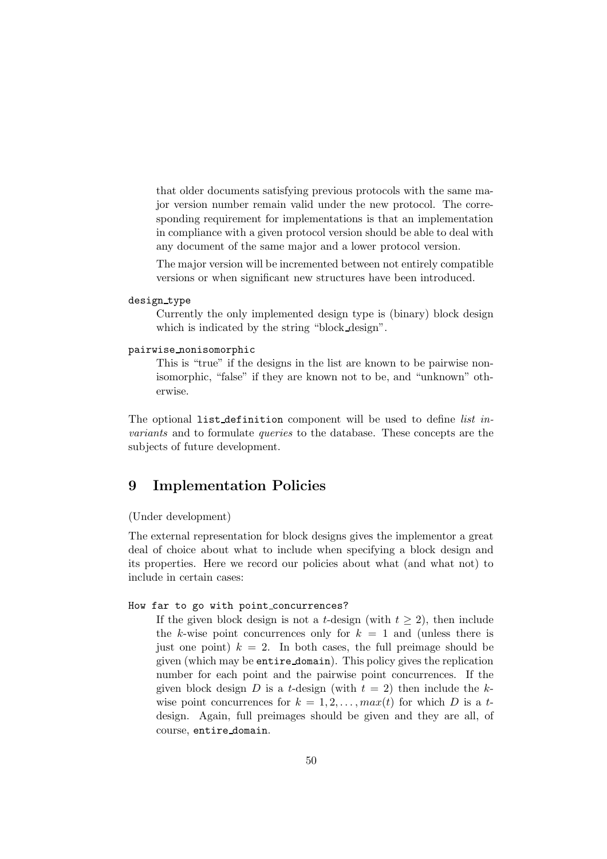that older documents satisfying previous protocols with the same major version number remain valid under the new protocol. The corresponding requirement for implementations is that an implementation in compliance with a given protocol version should be able to deal with any document of the same major and a lower protocol version.

The major version will be incremented between not entirely compatible versions or when significant new structures have been introduced.

### design\_type

Currently the only implemented design type is (binary) block design which is indicated by the string "block design".

#### pairwise nonisomorphic

This is "true" if the designs in the list are known to be pairwise nonisomorphic, "false" if they are known not to be, and "unknown" otherwise.

The optional list definition component will be used to define *list* invariants and to formulate queries to the database. These concepts are the subjects of future development.

# 9 Implementation Policies

## (Under development)

The external representation for block designs gives the implementor a great deal of choice about what to include when specifying a block design and its properties. Here we record our policies about what (and what not) to include in certain cases:

#### How far to go with point concurrences?

If the given block design is not a t-design (with  $t > 2$ ), then include the k-wise point concurrences only for  $k = 1$  and (unless there is just one point)  $k = 2$ . In both cases, the full preimage should be given (which may be entire domain). This policy gives the replication number for each point and the pairwise point concurrences. If the given block design D is a t-design (with  $t = 2$ ) then include the kwise point concurrences for  $k = 1, 2, \ldots, max(t)$  for which D is a tdesign. Again, full preimages should be given and they are all, of course, entire domain.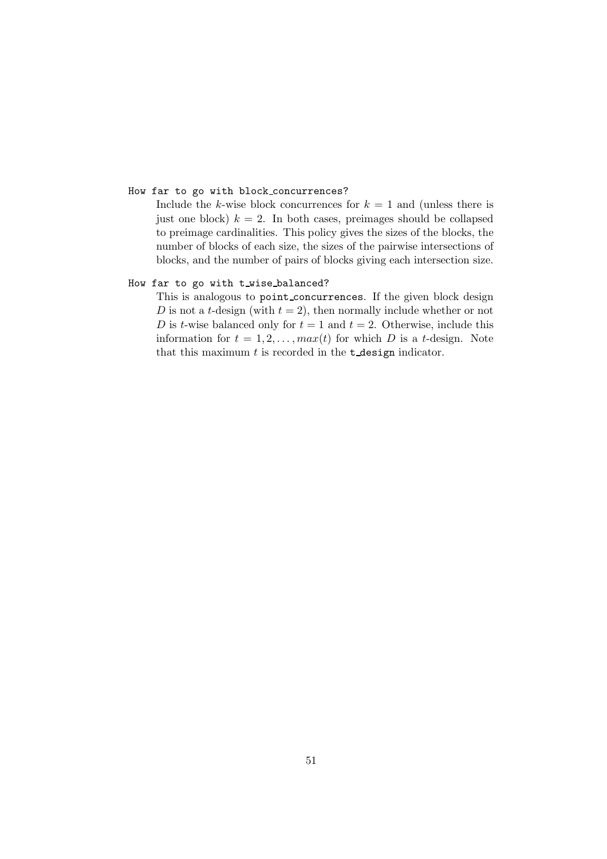#### How far to go with block concurrences?

Include the k-wise block concurrences for  $k = 1$  and (unless there is just one block)  $k = 2$ . In both cases, preimages should be collapsed to preimage cardinalities. This policy gives the sizes of the blocks, the number of blocks of each size, the sizes of the pairwise intersections of blocks, and the number of pairs of blocks giving each intersection size.

## How far to go with t\_wise\_balanced?

This is analogous to point concurrences. If the given block design D is not a t-design (with  $t = 2$ ), then normally include whether or not D is t-wise balanced only for  $t = 1$  and  $t = 2$ . Otherwise, include this information for  $t = 1, 2, ..., max(t)$  for which D is a t-design. Note that this maximum  $t$  is recorded in the  $t$ -design indicator.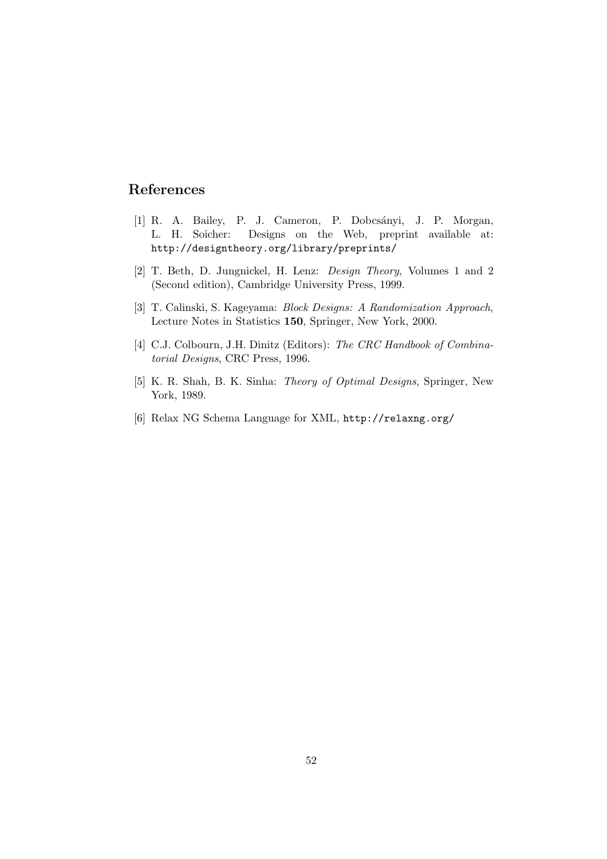# References

- [1] R. A. Bailey, P. J. Cameron, P. Dobcsányi, J. P. Morgan, L. H. Soicher: Designs on the Web, preprint available at: http://designtheory.org/library/preprints/
- [2] T. Beth, D. Jungnickel, H. Lenz: Design Theory, Volumes 1 and 2 (Second edition), Cambridge University Press, 1999.
- [3] T. Calinski, S. Kageyama: Block Designs: A Randomization Approach, Lecture Notes in Statistics 150, Springer, New York, 2000.
- [4] C.J. Colbourn, J.H. Dinitz (Editors): The CRC Handbook of Combinatorial Designs, CRC Press, 1996.
- [5] K. R. Shah, B. K. Sinha: Theory of Optimal Designs, Springer, New York, 1989.
- [6] Relax NG Schema Language for XML, http://relaxng.org/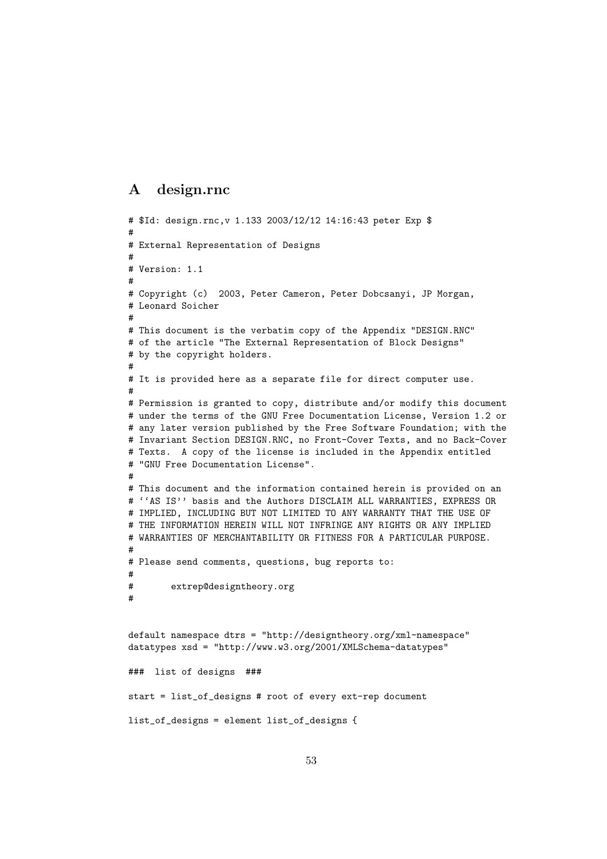## A design.rnc

```
# $Id: design.rnc,v 1.133 2003/12/12 14:16:43 peter Exp $
#
# External Representation of Designs
#
# Version: 1.1
#
# Copyright (c) 2003, Peter Cameron, Peter Dobcsanyi, JP Morgan,
# Leonard Soicher
#
# This document is the verbatim copy of the Appendix "DESIGN.RNC"
# of the article "The External Representation of Block Designs"
# by the copyright holders.
#
# It is provided here as a separate file for direct computer use.
#
# Permission is granted to copy, distribute and/or modify this document
# under the terms of the GNU Free Documentation License, Version 1.2 or
# any later version published by the Free Software Foundation; with the
# Invariant Section DESIGN.RNC, no Front-Cover Texts, and no Back-Cover
# Texts. A copy of the license is included in the Appendix entitled
# "GNU Free Documentation License".
#
# This document and the information contained herein is provided on an
# ''AS IS'' basis and the Authors DISCLAIM ALL WARRANTIES, EXPRESS OR
# IMPLIED, INCLUDING BUT NOT LIMITED TO ANY WARRANTY THAT THE USE OF
# THE INFORMATION HEREIN WILL NOT INFRINGE ANY RIGHTS OR ANY IMPLIED
# WARRANTIES OF MERCHANTABILITY OR FITNESS FOR A PARTICULAR PURPOSE.
#
# Please send comments, questions, bug reports to:
#
# extrep@designtheory.org
#
default namespace dtrs = "http://designtheory.org/xml-namespace"
datatypes xsd = "http://www.w3.org/2001/XMLSchema-datatypes"
### list of designs ###
start = list_of_designs # root of every ext-rep document
list_of_designs = element list_of_designs {
```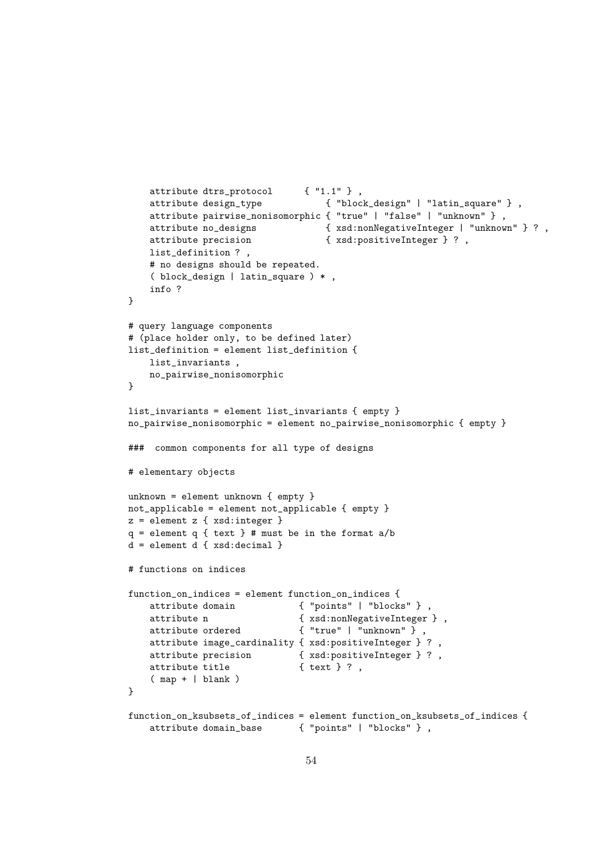```
attribute dtrs_protocol { "1.1" } ,
   attribute design_type { "block_design" | "latin_square" } ,
   attribute pairwise_nonisomorphic { "true" | "false" | "unknown" } ,
   attribute no_designs { xsd:nonNegativeInteger | "unknown" } ? ,
   attribute precision { xsd:positiveInteger } ?,
   list_definition ? ,
   # no designs should be repeated.
   ( block_design | latin_square ) * ,
   info ?
}
# query language components
# (place holder only, to be defined later)
list_definition = element list_definition {
   list_invariants ,
   no_pairwise_nonisomorphic
}
list_invariants = element list_invariants { empty }
no_pairwise_nonisomorphic = element no_pairwise_nonisomorphic { empty }
### common components for all type of designs
# elementary objects
unknown = element unknown { empty }
not_applicable = element not_applicable { empty }
z = element z \{ xsd:integer \}q = element q \{ text} \}# must be in the format a/bd = element d { xsd:decimal }
# functions on indices
function_on_indices = element function_on_indices {
   attribute domain \{ "points" | "blocks" },
   attribute n <br> {xsd:nonNegativeInteger},
   attribute ordered { "true" | "unknown" } ,
   attribute image_cardinality { xsd:positiveInteger } ? ,
   attribute precision { xsd:positiveInteger } ? ,
   attribute title \{ \text{text } \}?,
   ( map + | blank )
}
function_on_ksubsets_of_indices = element function_on_ksubsets_of_indices {
   attribute domain_base { "points" | "blocks" } ,
```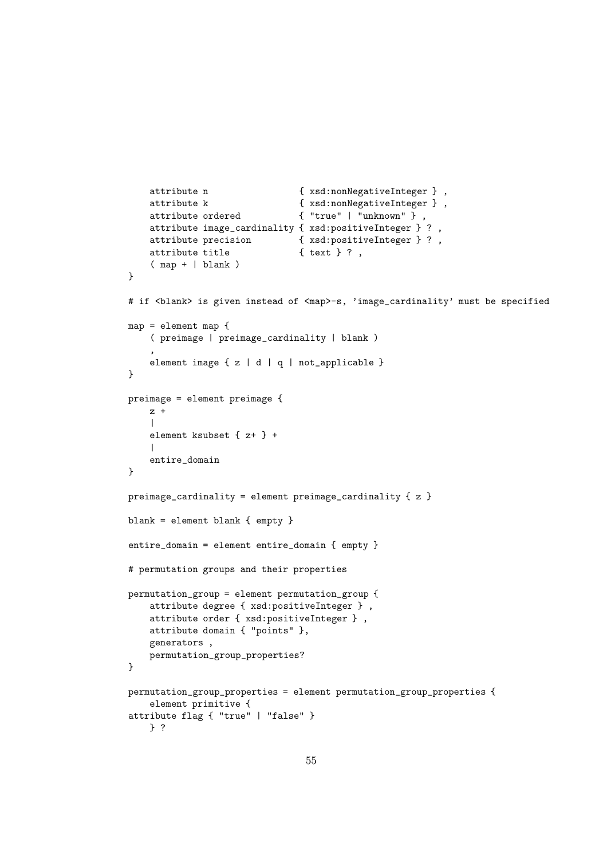```
attribute n <br> \{ xsd: nonNegativeInteger \},
   attribute k <br> \{ xsd: nonNegativeInteger \},
   attribute ordered { "true" | "unknown" } ,
   attribute image_cardinality { xsd:positiveInteger } ?
   attribute precision { xsd:positiveInteger } ? ,
   attribute title { text } ?,
    ( map + | blank )
}
# if <blank> is given instead of <map>-s, 'image_cardinality' must be specified
map = element map {
    ( preimage | preimage_cardinality | blank )
    ,
   element image { z | d | q | not_applicable }
}
preimage = element preimage {
   z +\blacksquareelement ksubset { z+ } +
    \perpentire_domain
}
preimage_cardinality = element preimage_cardinality { z }
blank = element blank { empty }
entire_domain = element entire_domain { empty }
# permutation groups and their properties
permutation_group = element permutation_group {
   attribute degree { xsd:positiveInteger } ,
   attribute order { xsd:positiveInteger } ,
   attribute domain { "points" },
   generators ,
   permutation_group_properties?
}
permutation_group_properties = element permutation_group_properties {
   element primitive {
attribute flag { "true" | "false" }
   } ?
```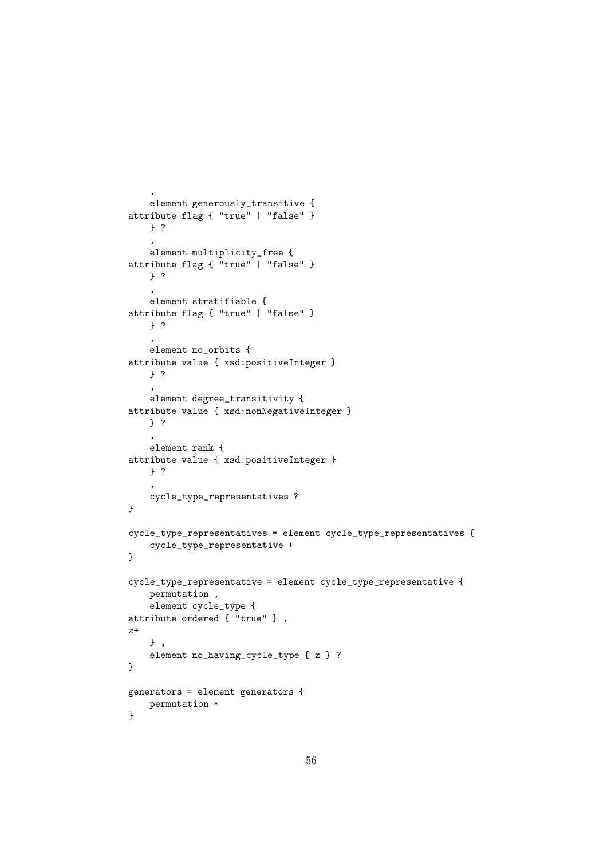```
,
    element generously_transitive {
attribute flag { "true" | "false" }
   } ?
    ,
    element multiplicity_free {
attribute flag { "true" | "false" }
   } ?
    ,
   element stratifiable {
attribute flag { "true" | "false" }
   } ?
    ,
   element no_orbits {
attribute value { xsd:positiveInteger }
   } ?
    ,
    element degree_transitivity {
attribute value { xsd:nonNegativeInteger }
    } ?
    ,
    element rank {
attribute value { xsd:positiveInteger }
    } ?
    ,
    cycle_type_representatives ?
}
cycle_type_representatives = element cycle_type_representatives {
    cycle_type_representative +
}
cycle_type_representative = element cycle_type_representative {
    permutation ,
    element cycle_type {
attribute ordered { "true" } ,
z+
    } ,
    element no_having_cycle_type { z } ?
}
generators = element generators {
    permutation *
}
```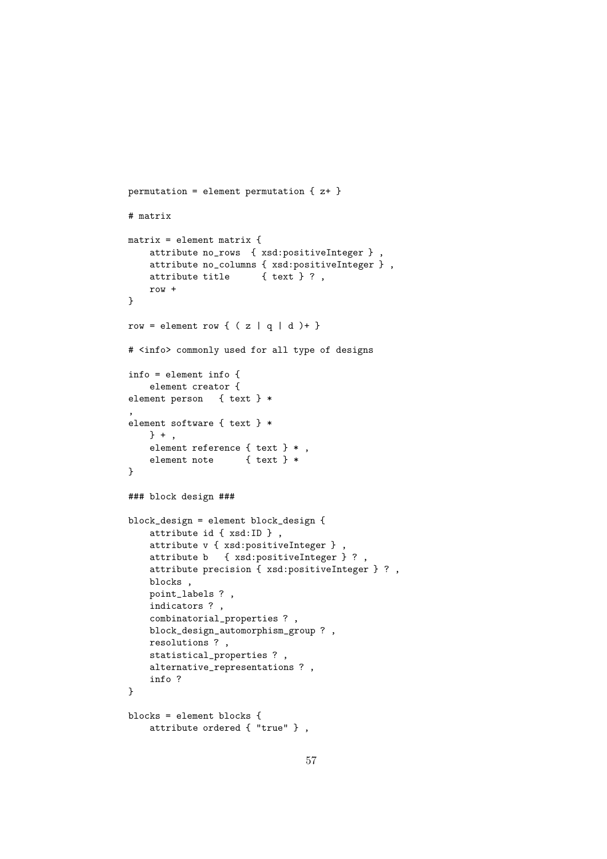```
permutation = element permutation \{z^+\}# matrix
matrix = element matrix {
   attribute no_rows { xsd:positiveInteger } ,
   attribute no_columns { xsd:positiveInteger } ,
   attribute title { text } ?,
    row +
}
row = element row { (z | q | d )+ }
# <info> commonly used for all type of designs
info = element info {
    element creator {
element person { text } *
,
element software { text } *
    } + ,
    element reference { text } * ,
    element note { text } *
}
### block design ###
block_design = element block_design {
    attribute id { xsd:ID } ,
    attribute v { xsd:positiveInteger } ,
   attribute b { xsd:positiveInteger } ? ,
    attribute precision { xsd:positiveInteger } ? ,
   blocks ,
   point_labels ? ,
    indicators ? ,
    combinatorial_properties ? ,
   block_design_automorphism_group ? ,
   resolutions ? ,
   statistical_properties ? ,
   alternative_representations ? ,
    info ?
}
blocks = element blocks {
    attribute ordered { "true" } ,
```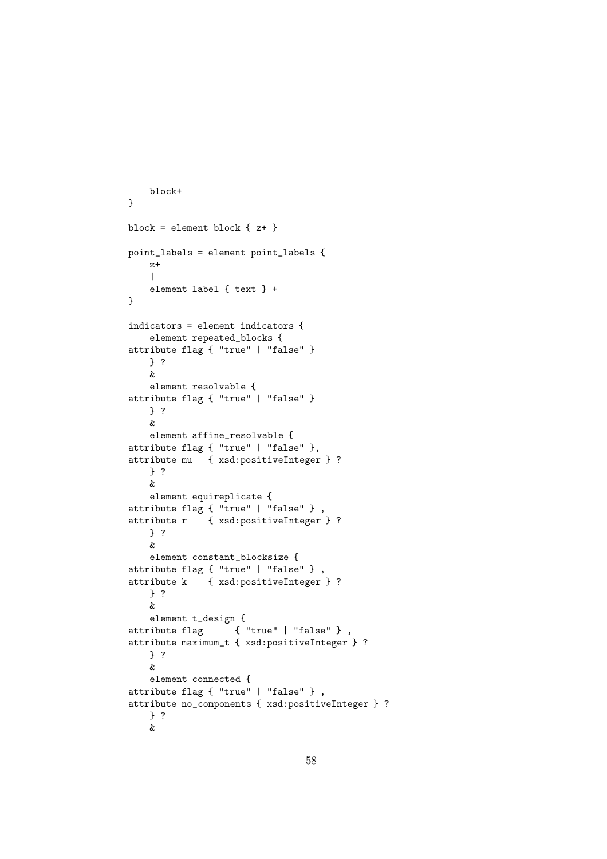```
block+
}
block = element block { z+ }
point_labels = element point_labels {
   z+
    \blacksquareelement label { text } +
}
indicators = element indicators {
    element repeated_blocks {
attribute flag { "true" | "false" }
   } ?
   &
   element resolvable {
attribute flag { "true" | "false" }
   } ?
   &
   element affine_resolvable {
attribute flag { "true" | "false" },
attribute mu { xsd:positiveInteger } ?
   } ?
    &
   element equireplicate {
attribute flag { "true" | "false" } ,
attribute r { xsd:positiveInteger } ?
    } ?
   \mathbf{g}_relement constant_blocksize {
attribute flag { "true" | "false" } ,
attribute k { xsd:positiveInteger } ?
    } ?
    &
    element t_design {
attribute flag { "true" | "false" } ,
attribute maximum_t { xsd:positiveInteger } ?
   } ?
    &
    element connected {
attribute flag { "true" | "false" } ,
attribute no_components { xsd:positiveInteger } ?
    } ?
    &
```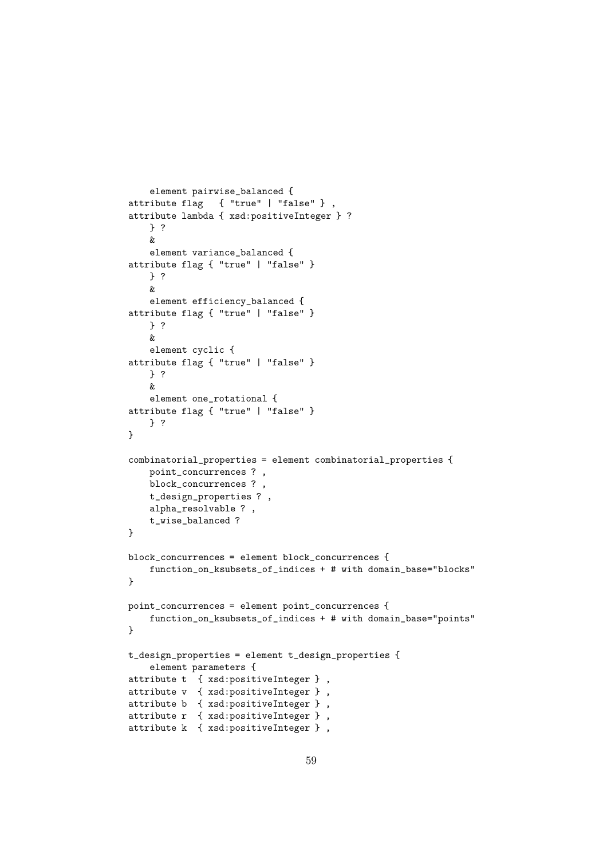```
element pairwise_balanced {
attribute flag { "true" | "false" } ,
attribute lambda { xsd:positiveInteger } ?
    } ?
   &
    element variance_balanced {
attribute flag { "true" | "false" }
   } ?
    &
    element efficiency_balanced {
attribute flag { "true" | "false" }
   } ?
    &
   element cyclic {
attribute flag { "true" | "false" }
   } ?
    \ellelement one_rotational {
attribute flag { "true" | "false" }
    } ?
}
combinatorial_properties = element combinatorial_properties {
   point_concurrences ? ,
   block_concurrences ? ,
   t_design_properties ? ,
   alpha_resolvable ? ,
   t_wise_balanced ?
}
block_concurrences = element block_concurrences {
    function_on_ksubsets_of_indices + # with domain_base="blocks"
}
point_concurrences = element point_concurrences {
    function_on_ksubsets_of_indices + # with domain_base="points"
}
t_design_properties = element t_design_properties {
    element parameters {
attribute t { xsd:positiveInteger } ,
attribute v { xsd:positiveInteger } ,
attribute b { xsd:positiveInteger } ,
attribute r { xsd:positiveInteger } ,
attribute k { xsd:positiveInteger } ,
```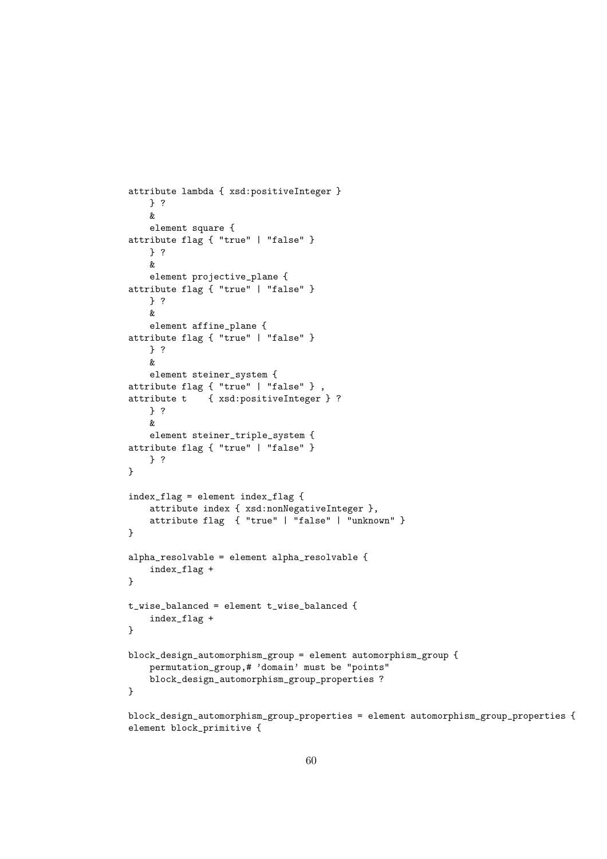```
attribute lambda { xsd:positiveInteger }
    } ?
    &
   element square {
attribute flag { "true" | "false" }
   } ?
   &
   element projective_plane {
attribute flag { "true" | "false" }
   } ?
    &
   element affine_plane {
attribute flag { "true" | "false" }
    } ?
   \ellelement steiner_system {
attribute flag { "true" | "false" } ,
attribute t { xsd:positiveInteger } ?
   } ?
   &
   element steiner_triple_system {
attribute flag { "true" | "false" }
   } ?
}
index_flag = element index_flag {
    attribute index { xsd:nonNegativeInteger },
    attribute flag { "true" | "false" | "unknown" }
}
alpha_resolvable = element alpha_resolvable {
    index_flag +
}
t_wise_balanced = element t_wise_balanced {
    index_flag +
}
block_design_automorphism_group = element automorphism_group {
    permutation_group,# 'domain' must be "points"
    block_design_automorphism_group_properties ?
}
block_design_automorphism_group_properties = element automorphism_group_properties {
```
element block\_primitive {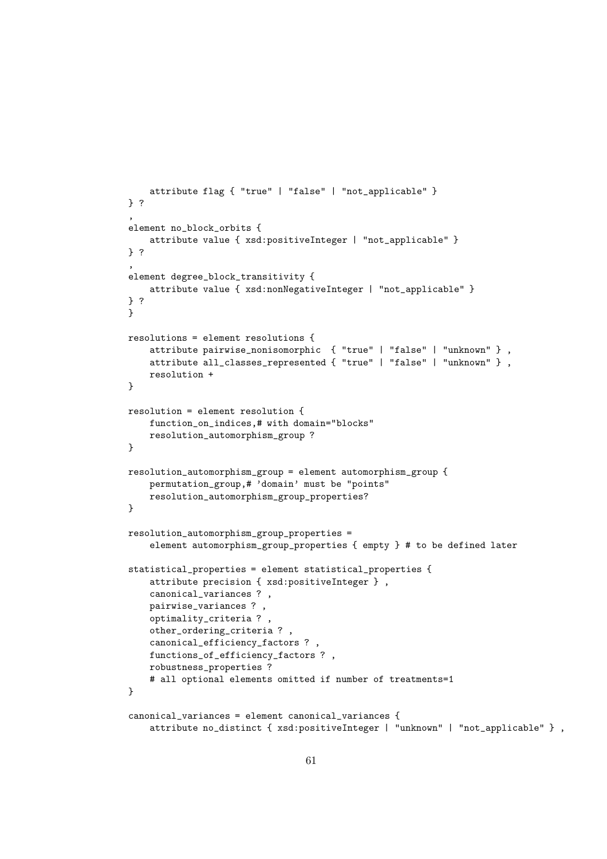```
attribute flag { "true" | "false" | "not_applicable" }
} ?
,
element no_block_orbits {
   attribute value { xsd:positiveInteger | "not_applicable" }
} ?
,
element degree_block_transitivity {
    attribute value { xsd:nonNegativeInteger | "not_applicable" }
} ?
}
resolutions = element resolutions {
    attribute pairwise_nonisomorphic { "true" | "false" | "unknown" } ,
    attribute all_classes_represented { "true" | "false" | "unknown" } ,
    resolution +
}
resolution = element resolution {
    function_on_indices,# with domain="blocks"
    resolution_automorphism_group ?
}
resolution_automorphism_group = element automorphism_group {
    permutation_group,# 'domain' must be "points"
    resolution_automorphism_group_properties?
}
resolution_automorphism_group_properties =
    element automorphism_group_properties { empty } # to be defined later
statistical_properties = element statistical_properties {
    attribute precision { xsd:positiveInteger } ,
    canonical_variances ? ,
    pairwise_variances ? ,
    optimality_criteria ? ,
    other_ordering_criteria ? ,
    canonical_efficiency_factors ? ,
   functions_of_efficiency_factors ? ,
    robustness_properties ?
    # all optional elements omitted if number of treatments=1
}
canonical_variances = element canonical_variances {
    attribute no_distinct { xsd:positiveInteger | "unknown" | "not_applicable" } ,
```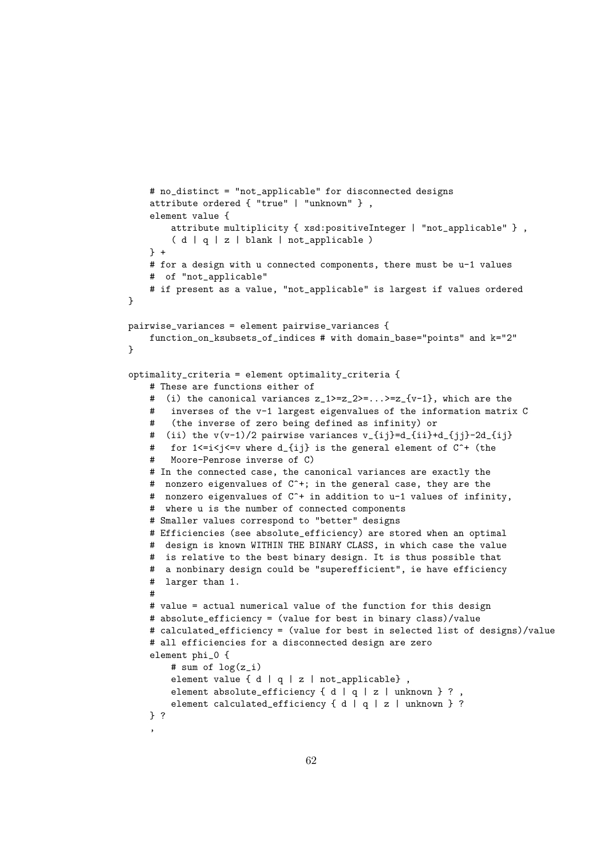```
# no_distinct = "not_applicable" for disconnected designs
    attribute ordered { "true" | "unknown" } ,
    element value {
        attribute multiplicity { xsd:positiveInteger | "not_applicable" } ,
        ( d | q | z | blank | not_applicable )
    } +
    # for a design with u connected components, there must be u-1 values
    # of "not_applicable"
    # if present as a value, "not_applicable" is largest if values ordered
\mathbf{r}pairwise_variances = element pairwise_variances {
    function_on_ksubsets_of_indices # with domain_base="points" and k="2"
}
optimality_criteria = element optimality_criteria {
    # These are functions either of
    # (i) the canonical variances z_1>=z_2>=...>=z_{v-1}, which are the
    # inverses of the v-1 largest eigenvalues of the information matrix C
    # (the inverse of zero being defined as infinity) or
    # (ii) the v(v-1)/2 pairwise variances v_{\text{min}}(i)=-\frac{1}{2}d_{\text{min}}(-i)^2-2d_{\text{min}}(-i)^2# for 1 \le i \le j \le v where d_{i}i \} is the general element of C^* (the
    # Moore-Penrose inverse of C)
    # In the connected case, the canonical variances are exactly the
    # nonzero eigenvalues of C^+; in the general case, they are the
    # nonzero eigenvalues of C^+ in addition to u-1 values of infinity,
    # where u is the number of connected components
    # Smaller values correspond to "better" designs
    # Efficiencies (see absolute_efficiency) are stored when an optimal
    # design is known WITHIN THE BINARY CLASS, in which case the value
    # is relative to the best binary design. It is thus possible that
    # a nonbinary design could be "superefficient", ie have efficiency
    # larger than 1.
    #
    # value = actual numerical value of the function for this design
    # absolute_efficiency = (value for best in binary class)/value
    # calculated_efficiency = (value for best in selected list of designs)/value
    # all efficiencies for a disconnected design are zero
    element phi_0 {
        # sum of log(z_i)element value { d | q | z | not_applicable},
        element absolute_efficiency { d | q | z | unknown } ?,
        element calculated_efficiency { d | q | z | unknown } ?
    } ?
    ,
```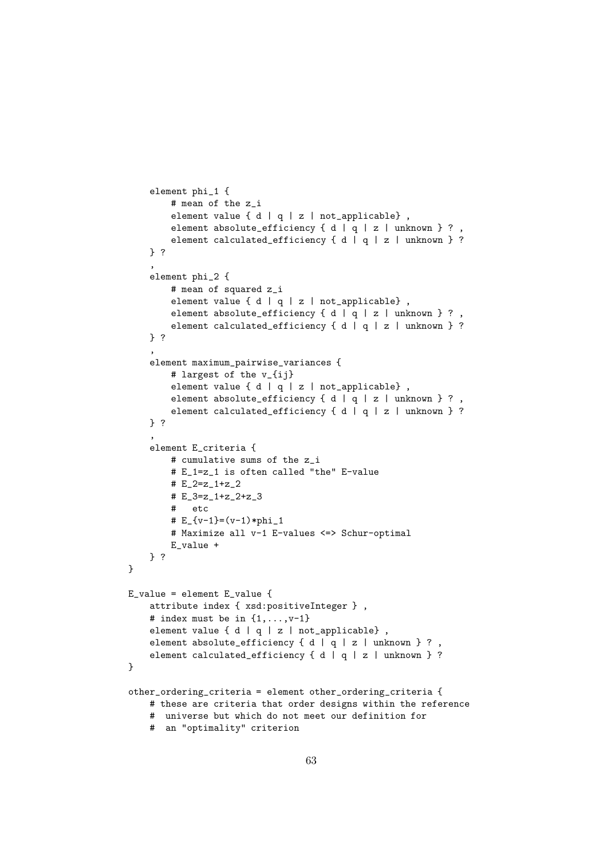```
element phi_1 {
        # mean of the z_i
        element value { d | q | z | not_applicable} ,
        element absolute_efficiency { d | q | z | unknown } ?,
        element calculated_efficiency { d | q | z | unknown } ?
    } ?
    ,
    element phi_2 {
        # mean of squared z_i
        element value { d | q | z | not_applicable} ,
        element absolute_efficiency { d | q | z | unknown } ?,
        element calculated_efficiency { d | q | z | unknown } ?
    } ?
    ,
    element maximum_pairwise_variances {
       # largest of the v_{ij}
        element value { d | q | z | not_applicable},
        element absolute_efficiency { d | q | z | unknown } ? ,
        element calculated_efficiency { d | q | z | unknown } ?
    } ?
    ,
    element E_criteria {
       # cumulative sums of the z_i
        # E_1=z_1 is often called "the" E-value
       # E_2 = z_1 + z_2# E_3=z_1+z_2+z_3
       # etc
        \# E_{v-1} = (v-1) *phi_1# Maximize all v-1 E-values <=> Schur-optimal
       E_value +
   } ?
}
E_value = element E_value {
   attribute index { xsd:positiveInteger } ,
   # index must be in \{1,\ldots,v-1\}element value { d | q | z | not_applicable},
   element absolute_efficiency { d | q | z | unknown } ?,
   element calculated_efficiency { d | q | z | unknown } ?
}
other_ordering_criteria = element other_ordering_criteria {
   # these are criteria that order designs within the reference
   # universe but which do not meet our definition for
   # an "optimality" criterion
```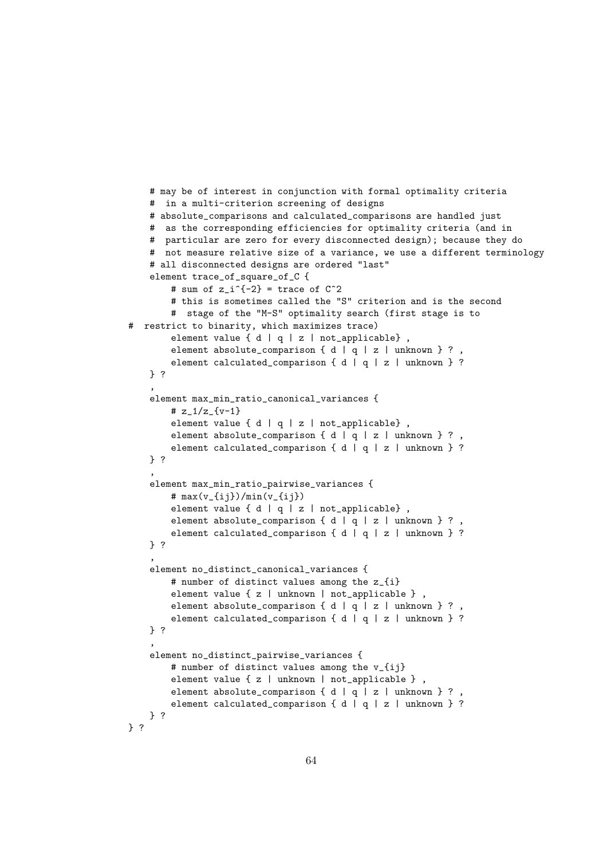```
# may be of interest in conjunction with formal optimality criteria
   # in a multi-criterion screening of designs
   # absolute_comparisons and calculated_comparisons are handled just
    # as the corresponding efficiencies for optimality criteria (and in
    # particular are zero for every disconnected design); because they do
   # not measure relative size of a variance, we use a different terminology
   # all disconnected designs are ordered "last"
    element trace_of_square_of_C {
       # sum of z_i^2 = trace of C^2# this is sometimes called the "S" criterion and is the second
       # stage of the "M-S" optimality search (first stage is to
# restrict to binarity, which maximizes trace)
        element value { d | q | z | not_applicable},
        element absolute_comparison { d | q | z | unknown } ?,
        element calculated_comparison { d | q | z | unknown } ?
   } ?
    ,
    element max_min_ratio_canonical_variances {
       # z_1/z_{-} \{v-1\}element value \{ d | q | z | not\_applicable \},
        element absolute_comparison { d | q | z | unknown } ?
        element calculated_comparison { d | q | z | unknown } ?
    } ?
    ,
    element max_min_ratio_pairwise_variances {
       # max(v_{ij})/min(v_{ij})
        element value { d | q | z | not_applicable},
        element absolute_comparison { d | q | z | unknown } ?,
        element calculated_comparison { d | q | z | unknown } ?
    } ?
    ,
    element no_distinct_canonical_variances {
       # number of distinct values among the z_{i}
        element value { z | unknown | not_applicable } ,
        element absolute_comparison { d | q | z | unknown } ?
        element calculated_comparison { d | q | z | unknown } ?
    } ?
    ,
    element no_distinct_pairwise_variances {
       # number of distinct values among the v_{ij}
       element value { z | unknown | not_applicable } ,
        element absolute_comparison { d | q | z | unknown } ?,
        element calculated_comparison { d | q | z | unknown } ?
    } ?
} ?
```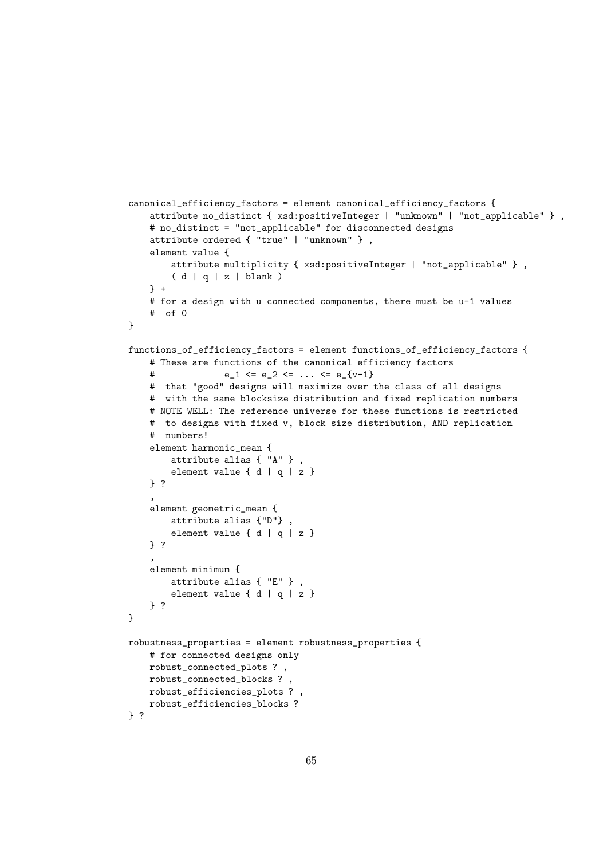```
canonical_efficiency_factors = element canonical_efficiency_factors {
    attribute no_distinct { xsd:positiveInteger | "unknown" | "not_applicable" } ,
    # no_distinct = "not_applicable" for disconnected designs
    attribute ordered { "true" | "unknown" } ,
    element value {
        attribute multiplicity { xsd:positiveInteger | "not_applicable" } ,
        (d | q | z | blank)
    } +
    # for a design with u connected components, there must be u-1 values
    # of 0
}
functions_of_efficiency_factors = element functions_of_efficiency_factors {
    # These are functions of the canonical efficiency factors
   # e_1 \leq e_2 \leq \ldots \leq e_{\text{v-1}}# that "good" designs will maximize over the class of all designs
    # with the same blocksize distribution and fixed replication numbers
    # NOTE WELL: The reference universe for these functions is restricted
    # to designs with fixed v, block size distribution, AND replication
    # numbers!
    element harmonic_mean {
        attribute alias { "A" } ,
        element value \{ d | q | z \}} ?
    ,
    element geometric_mean {
        attribute alias {"D"} ,
        element value { d | q | z }
    } ?
    ,
    element minimum {
       attribute alias { "E" } ,
        element value { d | q | z }
    } ?
}
robustness_properties = element robustness_properties {
    # for connected designs only
    robust_connected_plots ? ,
    robust_connected_blocks ? ,
    robust_efficiencies_plots ? ,
    robust_efficiencies_blocks ?
} ?
```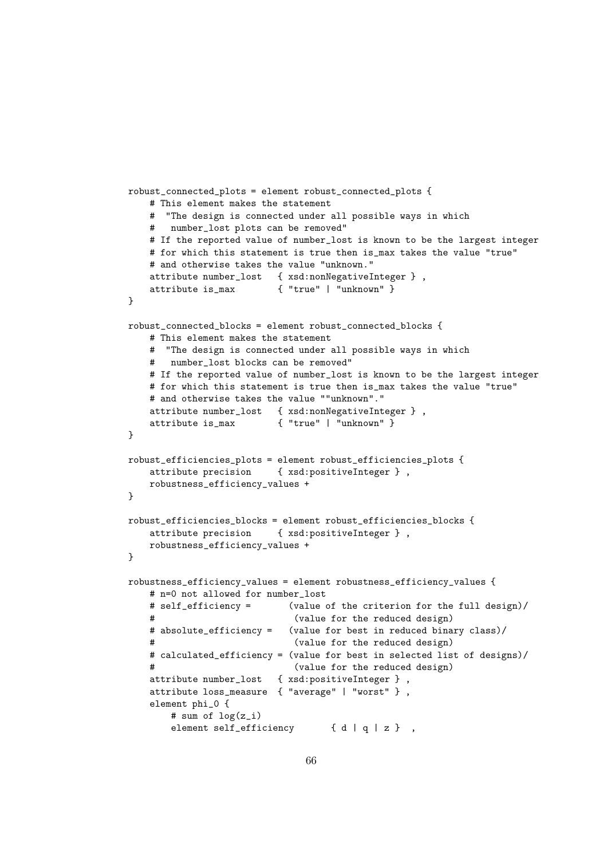```
robust_connected_plots = element robust_connected_plots {
   # This element makes the statement
   # "The design is connected under all possible ways in which
   # number_lost plots can be removed"
   # If the reported value of number_lost is known to be the largest integer
   # for which this statement is true then is_max takes the value "true"
   # and otherwise takes the value "unknown."
   attribute number_lost { xsd:nonNegativeInteger } ,
   attribute is_max { "true" | "unknown" }
}
robust_connected_blocks = element robust_connected_blocks {
   # This element makes the statement
   # "The design is connected under all possible ways in which
   # number_lost blocks can be removed"
   # If the reported value of number_lost is known to be the largest integer
   # for which this statement is true then is max takes the value "true"
   # and otherwise takes the value ""unknown"."
   attribute number_lost { xsd:nonNegativeInteger } ,
   attribute is max { "true" | "unknown" }
}
robust_efficiencies_plots = element robust_efficiencies_plots {
   attribute precision { xsd:positiveInteger } ,
   robustness_efficiency_values +
}
robust_efficiencies_blocks = element robust_efficiencies_blocks {
   attribute precision { xsd:positiveInteger } ,
   robustness_efficiency_values +
}
robustness_efficiency_values = element robustness_efficiency_values {
   # n=0 not allowed for number_lost
   # self_efficiency = (value of the criterion for the full design)/
   # (value for the reduced design)
   # absolute_efficiency = (value for best in reduced binary class)/
   # (value for the reduced design)
   # calculated efficiency = (value for best in selected list of designs)/
   # (value for the reduced design)
   attribute number_lost { xsd:positiveInteger } ,
   attribute loss_measure { "average" | "worst" } ,
   element phi_0 {
       # sum of log(z_i)
       element self_efficiency { d | q | z },
```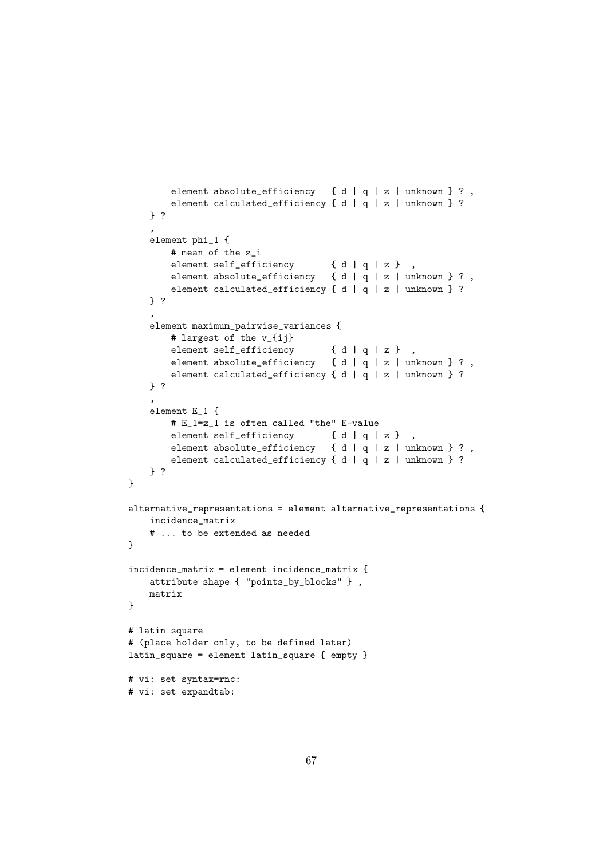```
element absolute_efficiency { d | q | z | unknown } ? ,
       element calculated_efficiency { d | q | z | unknown } ?
   } ?
    ,
    element phi_1 {
       # mean of the z_i
       element self_efficiency { d | q | z },
       element absolute_efficiency { d | q | z | unknown } ?,
       element calculated_efficiency { d | q | z | unknown } ?
   } ?
    ,
    element maximum_pairwise_variances {
       # largest of the v_{ij}
       element self_efficiency { d | q | z } ,
       element absolute_efficiency { d | q | z | unknown } ?,
       element calculated_efficiency { d | q | z | unknown } ?
    } ?
    ,
    element E_1 {
       # E_1=z_1 is often called "the" E-value
       element self_efficiency { d | q | z },
       element absolute_efficiency { d | q | z | unknown } ? ,
       element calculated_efficiency { d | q | z | unknown } ?
   } ?
}
alternative_representations = element alternative_representations {
    incidence_matrix
   # ... to be extended as needed
}
incidence_matrix = element incidence_matrix {
   attribute shape { "points_by_blocks" } ,
   matrix
}
# latin square
# (place holder only, to be defined later)
latin_square = element latin_square { empty }
# vi: set syntax=rnc:
# vi: set expandtab:
```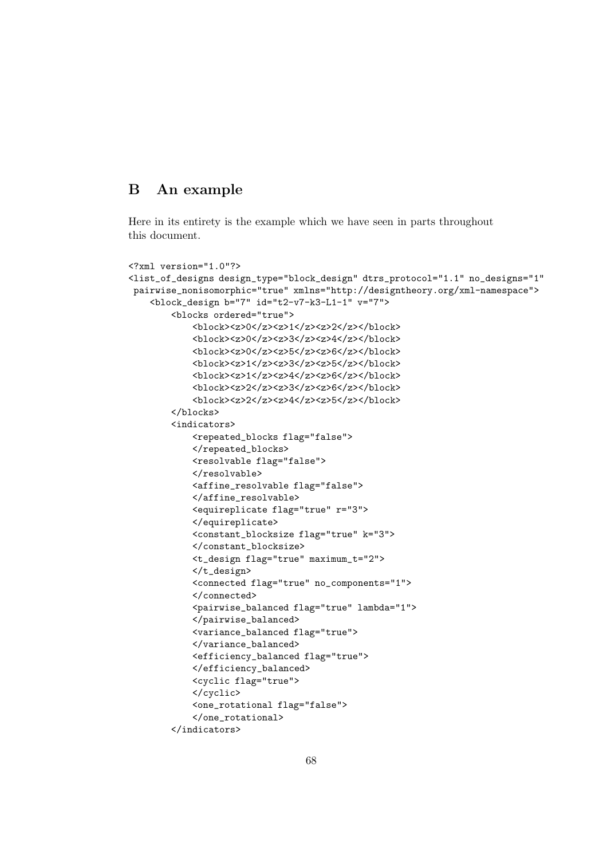# B An example

Here in its entirety is the example which we have seen in parts throughout this document.

```
<?xml version="1.0"?>
<list_of_designs design_type="block_design" dtrs_protocol="1.1" no_designs="1"
pairwise_nonisomorphic="true" xmlns="http://designtheory.org/xml-namespace">
    <block_design b="7" id="t2-v7-k3-L1-1" v="7">
        <blocks ordered="true">
           <br/>block><z>0</z><z>1</z><z>2</z></block>
           <br/>block><z>0</z><z>3</z><z>4</z></block>
           <block><z>0</z><z>5</z><z>6</z></block>
           <block><z>1</z><z>3</z><z>5</z></block>

           <block><z>2</z><z>3</z><z>6</z></block>
           <block><z>2</z><z>4</z><z>5</z></block>
       </blocks>
        <indicators>
           <repeated_blocks flag="false">
           </repeated_blocks>
           <resolvable flag="false">
           </resolvable>
           <affine_resolvable flag="false">
           </affine_resolvable>
           <equireplicate flag="true" r="3">
           </equireplicate>
           <constant_blocksize flag="true" k="3">
           </constant_blocksize>
           <t_design flag="true" maximum_t="2">
           </t_design>
           <connected flag="true" no_components="1">
           </connected>
           <pairwise_balanced flag="true" lambda="1">
           </pairwise_balanced>
           <variance_balanced flag="true">
           </variance_balanced>
           <efficiency_balanced flag="true">
           </efficiency_balanced>
           <cyclic flag="true">
           </cyclic>
           <one_rotational flag="false">
           </one_rotational>
       </indicators>
```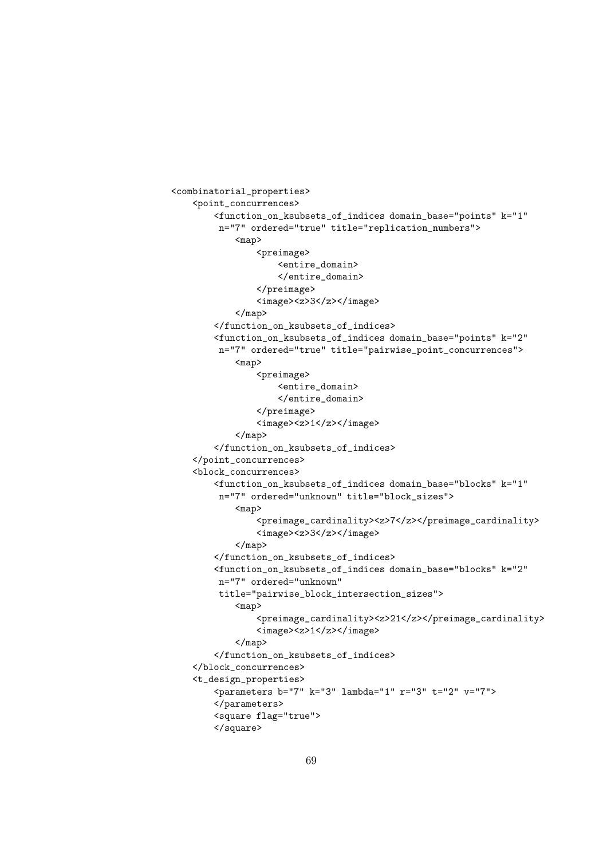```
<combinatorial_properties>
    <point_concurrences>
        <function_on_ksubsets_of_indices domain_base="points" k="1"
         n="7" ordered="true" title="replication_numbers">
            <map>
                <preimage>
                    <entire_domain>
                    </entire_domain>
                </preimage>
                <image><z>3</z></image>
            </map>
        </function_on_ksubsets_of_indices>
        <function_on_ksubsets_of_indices domain_base="points" k="2"
         n="7" ordered="true" title="pairwise_point_concurrences">
            <map>
                <preimage>
                    <entire_domain>
                    </entire_domain>
                </preimage>
                <image><z>1</z></image>
            </map>
        </function_on_ksubsets_of_indices>
    </point_concurrences>
    <block_concurrences>
        <function_on_ksubsets_of_indices domain_base="blocks" k="1"
         n="7" ordered="unknown" title="block_sizes">
            <map>
                <preimage_cardinality><z>7</z></preimage_cardinality>
                <image><z>3</z></image>
            </map>
        </function_on_ksubsets_of_indices>
        <function_on_ksubsets_of_indices domain_base="blocks" k="2"
         n="7" ordered="unknown"
         title="pairwise_block_intersection_sizes">
            <map>
                <preimage_cardinality><z>21</z></preimage_cardinality>
                <image><z>1</z></image>
            \langle/map\rangle</function_on_ksubsets_of_indices>
    </block_concurrences>
    <t_design_properties>
        <parameters b="7" k="3" lambda="1" r="3" t="2" v="7">
        </parameters>
        <square flag="true">
        </square>
```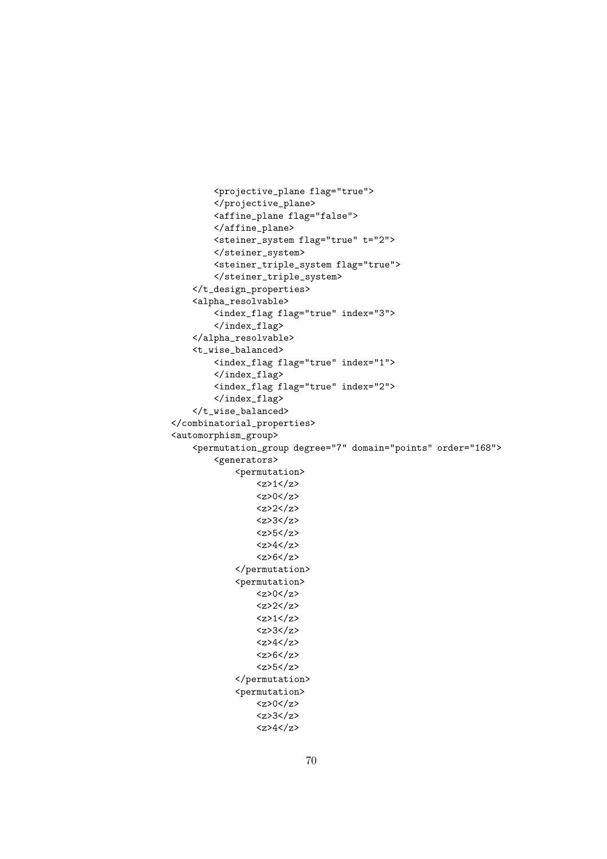```
<projective_plane flag="true">
        </projective_plane>
        <affine_plane flag="false">
        </affine_plane>
        <steiner_system flag="true" t="2">
        </steiner_system>
        <steiner_triple_system flag="true">
        </steiner_triple_system>
    </t_design_properties>
    <alpha_resolvable>
        <index_flag flag="true" index="3">
        </index_flag>
    </alpha_resolvable>
    <t_wise_balanced>
        <index_flag flag="true" index="1">
        </index_flag>
        <index_flag flag="true" index="2">
        </index_flag>
    </t_wise_balanced>
</combinatorial_properties>
<automorphism_group>
    <permutation_group degree="7" domain="points" order="168">
        <generators>
            <permutation>
                <z>1</z><z>0</z>/<z><z>2</z>
                <z>3</z>
                <z>5</z>
                <z>4</z><z><z>6</z>
            </permutation>
            <permutation>
                <z>0</z>
                <z>2</z>
                <z>1</z><z>3</z>
                <z>4</z><z><z>6</z>
                <z>5</z>
            </permutation>
            <permutation>
                <z>0</z>
                <z>3</z>
                <z>4</z><z>
```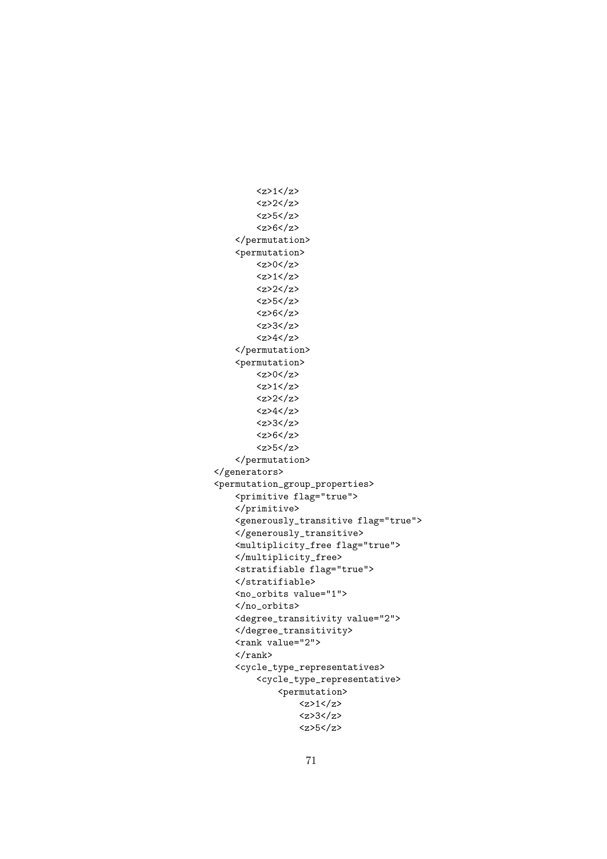```
\langle z \rangle1\langle z \rangle<z>2</z>
         <z>5</z>
         <z>6</z>
    </permutation>
    <permutation>
        <z>0</z>/<z><z>1</z>
        <z>2</z>
        <z>5</z>
         <z>6</z>
         <z>3</z>
         <z>4</z>
    </permutation>
    <permutation>
        <z>0</z>
        \langle z \rangle1\langle z \rangle<z>2</z>
         <z>4</z><z><z>3</z>
         <z>6</z>
         <z>5</z>
    </permutation>
</generators>
<permutation_group_properties>
    <primitive flag="true">
    </primitive>
    <generously_transitive flag="true">
    </generously_transitive>
    <multiplicity_free flag="true">
    </multiplicity_free>
    <stratifiable flag="true">
    \langlestratifiable>
    <no_orbits value="1">
    </no_orbits>
    <degree_transitivity value="2">
    </degree_transitivity>
    <rank value="2">
    \langle/rank\rangle<cycle_type_representatives>
         <cycle_type_representative>
             <permutation>
                  <z>1</z>
                  <z>3</z>
                  <z>5</z>
```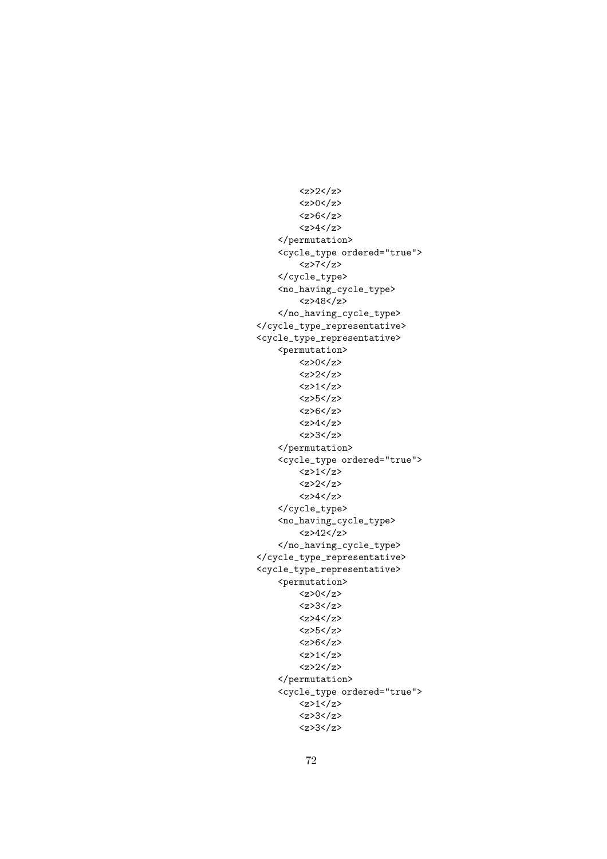<z>2</z>  $<$ z>0 $<$ /z> <z>6</z>  $<$ z>4 $<$ /z> </permutation> <cycle\_type ordered="true"> <z>7</z> </cycle\_type> <no\_having\_cycle\_type> <z>48</z> </no\_having\_cycle\_type> </cycle\_type\_representative> <cycle\_type\_representative> <permutation>  $<$ z>0 $<$ /z> <z>2</z>  $1$ <z>5</z> <z>6</z> <z>4</z> <z>3</z> </permutation> <cycle\_type ordered="true">  $<$ z>1 $<$ /z> <z>2</z>  $\langle z \rangle 4 \langle z \rangle$ </cycle\_type> <no\_having\_cycle\_type>  $42z$ </no\_having\_cycle\_type> </cycle\_type\_representative> <cycle\_type\_representative> <permutation>  $<$ z>0 $<$ /z> <z>3</z>  $<$ z>4 $<$ /z> <z>5</z> <z>6</z>  $\langle z \rangle$ 1 $\langle z \rangle$ <z>2</z> </permutation> <cycle\_type ordered="true">  $<$ z>1 $<$ /z> <z>3</z> <z>3</z>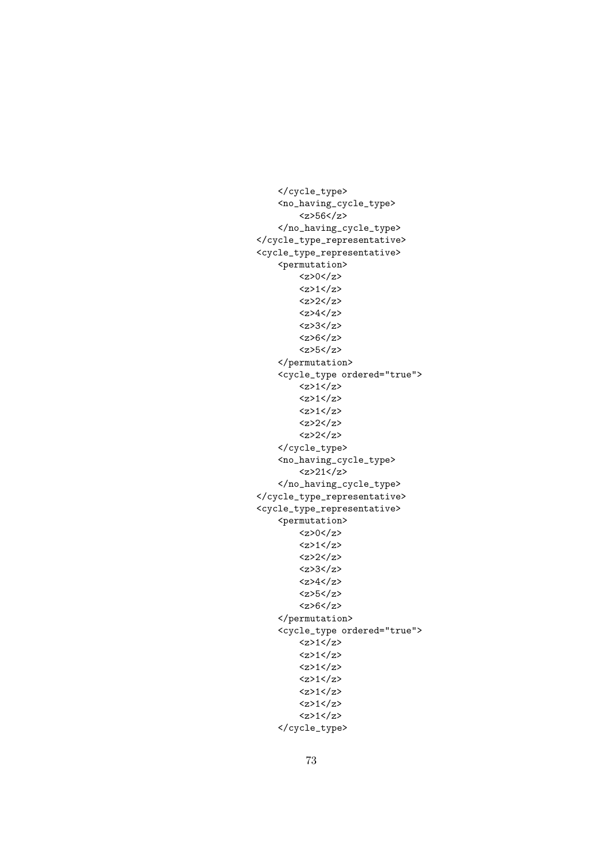```
</cycle_type>
    <no_having_cycle_type>
         <z>56</z>
    </no_having_cycle_type>
</cycle_type_representative>
<cycle_type_representative>
    <permutation>
        <z>0</z>
         <z>1</z><z>2</z>
         <z>4</z>
         <z>3</z>
         <z>6</z>
         <z>5</z>
    </permutation>
    <cycle_type ordered="true">
         <z>1</z><z>1</z>\langle z \rangle1\langle z \rangle<z>2</z>
         <z>2</z>
    </cycle_type>
    <no_having_cycle_type>
         <z>21</z>
    </no_having_cycle_type>
</cycle_type_representative>
<cycle_type_representative>
    <permutation>
        <z>0</z>/<z><z>1</z><z>2</z>
         <z>3</z>
         <z>4</z><z><z>5</z>
         <z>6</z>
    </permutation>
    <cycle_type ordered="true">
        \langle z \rangle1\langle z \rangle<z>1</z>
         <z>1</z><z>1</z>
         <z>1</z><z>1</sub><z>z<z>1</z></cycle_type>
```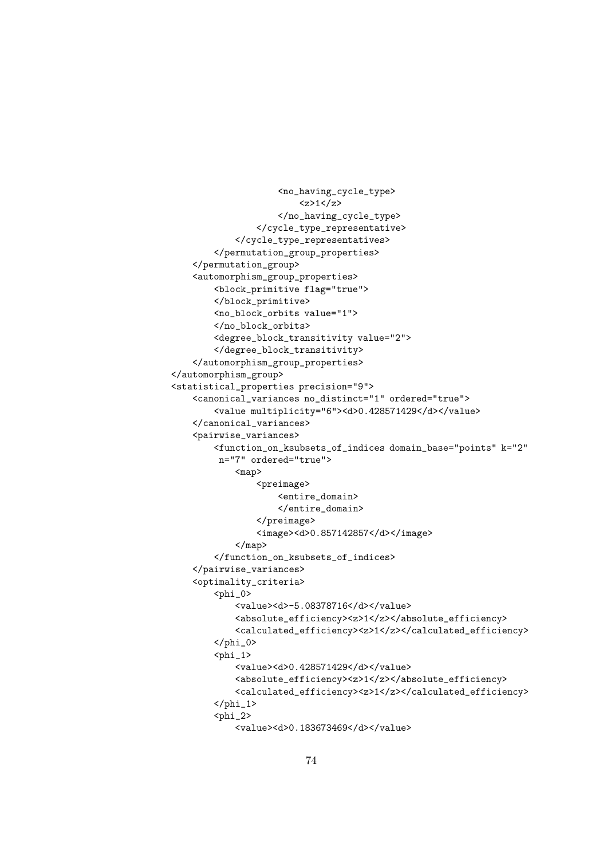```
<no_having_cycle_type>
                         <z>1</z>
                    </no_having_cycle_type>
                </cycle_type_representative>
            </cycle_type_representatives>
        </permutation_group_properties>
    </permutation_group>
    <automorphism_group_properties>
        <block_primitive flag="true">
        </block_primitive>
        <no_block_orbits value="1">
        </no_block_orbits>
        <degree_block_transitivity value="2">
        </degree_block_transitivity>
    </automorphism_group_properties>
</automorphism_group>
<statistical_properties precision="9">
    <canonical_variances no_distinct="1" ordered="true">
        <value multiplicity="6"><d>0.428571429</d></value>
    </canonical_variances>
    <pairwise_variances>
        <function_on_ksubsets_of_indices domain_base="points" k="2"
         n="7" ordered="true">
            <map>
                <preimage>
                    <entire_domain>
                    </entire_domain>
                </preimage>
                <image><d>0.857142857</d></image>
            </map>
        </function_on_ksubsets_of_indices>
    </pairwise_variances>
    <optimality_criteria>
        <sub>phi_0</sub></sub>
            <value><d>-5.08378716</d></value>
            <absolute_efficiency><z>1</z></absolute_efficiency>
            <calculated_efficiency><z>1</z></calculated_efficiency>
        \langle/phi_0>

            <value><d>0.428571429</d></value>
            <absolute_efficiency><z>1</z></absolute_efficiency>
            <calculated_efficiency><z>1</z></calculated_efficiency>
        \langle/phi_1>
        <sub>phi_2</sub></sub>
            <value><d>0.183673469</d></value>
```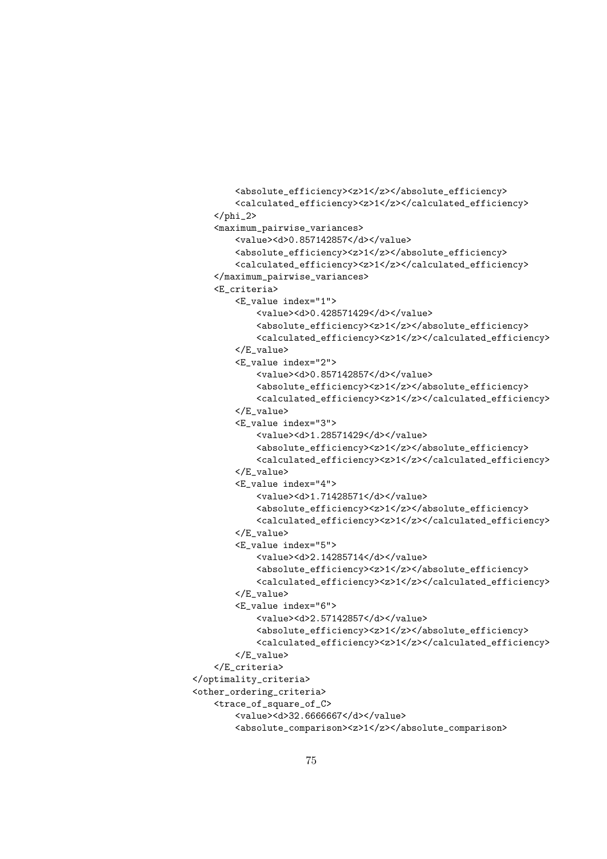```
<absolute_efficiency><z>1</z></absolute_efficiency>
        <calculated_efficiency><z>1</z></calculated_efficiency>
    \langle/phi_2>
    <maximum_pairwise_variances>
        <value><d>0.857142857</d></value>
        <absolute_efficiency><z>1</z></absolute_efficiency>
        <calculated_efficiency><z>1</z></calculated_efficiency>
    </maximum_pairwise_variances>
    <E_criteria>
        <E_value index="1">
            <value><d>0.428571429</d></value>
            <absolute_efficiency><z>1</z></absolute_efficiency>
            <calculated_efficiency><z>1</z></calculated_efficiency>
        </E_value>
        <E_value index="2">
            <value><d>0.857142857</d></value>
            <absolute_efficiency><z>1</z></absolute_efficiency>
            <calculated_efficiency><z>1</z></calculated_efficiency>
        </E_value>
        <E_value index="3">
            <value><d>1.28571429</d></value>
            <absolute_efficiency><z>1</z></absolute_efficiency>
            <calculated_efficiency><z>1</z></calculated_efficiency>
        </E_value>
        <E_value index="4">
            <value><d>1.71428571</d></value>
            <absolute_efficiency><z>1</z></absolute_efficiency>
            <calculated_efficiency><z>1</z></calculated_efficiency>
        </E_value>
        <E_value index="5">
            <value><d>2.14285714</d></value>
            <absolute_efficiency><z>1</z></absolute_efficiency>
            <calculated_efficiency><z>1</z></calculated_efficiency>
        </E_value>
        <E_value index="6">
            <value><d>2.57142857</d></value>
            <absolute_efficiency><z>1</z></absolute_efficiency>
            <calculated_efficiency><z>1</z></calculated_efficiency>
        </E_value>
    </E_criteria>
</optimality_criteria>
<other_ordering_criteria>
    <trace_of_square_of_C>
        <value><d>32.6666667</d></value>
        <absolute_comparison><z>1</z></absolute_comparison>
```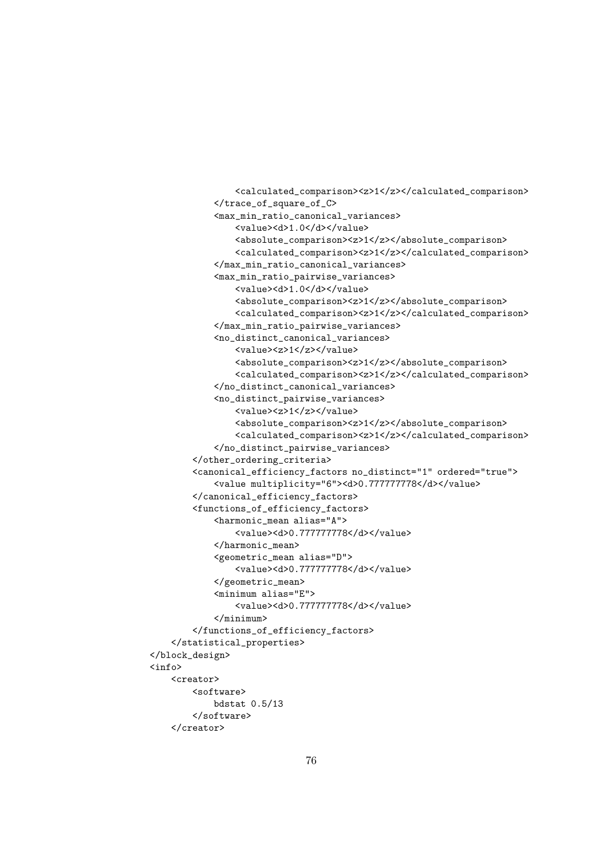```
<calculated_comparison><z>1</z></calculated_comparison>
            </trace_of_square_of_C>
            <max_min_ratio_canonical_variances>
                <value><d>1.0</d></value>
                <absolute_comparison><z>1</z></absolute_comparison>
                <calculated_comparison><z>1</z></calculated_comparison>
            </max_min_ratio_canonical_variances>
            <max_min_ratio_pairwise_variances>
                <value><d>1.0</d></value>
                <absolute_comparison><z>1</z></absolute_comparison>
                <calculated_comparison><z>1</z></calculated_comparison>
            </max_min_ratio_pairwise_variances>
            <no_distinct_canonical_variances>
                <value><z>1</z></value>
                <absolute_comparison><z>1</z></absolute_comparison>
                <calculated_comparison><z>1</z></calculated_comparison>
            </no_distinct_canonical_variances>
            <no_distinct_pairwise_variances>
                <value><z>1</z></value>
                <absolute_comparison><z>1</z></absolute_comparison>
                <calculated_comparison><z>1</z></calculated_comparison>
            </no_distinct_pairwise_variances>
        </other_ordering_criteria>
        <canonical_efficiency_factors no_distinct="1" ordered="true">
            <value multiplicity="6"><d>0.777777778</d></value>
        </canonical_efficiency_factors>
        <functions_of_efficiency_factors>
            <harmonic_mean alias="A">
                <value><d>0.777777778</d></value>
            </harmonic_mean>
            <geometric_mean alias="D">
                <value><d>0.777777778</d></value>
           </geometric_mean>
            <minimum alias="E">
                <value><d>0.777777778</d></value>
            </minimum>
        </functions_of_efficiency_factors>
   </statistical_properties>
</block_design>
<info>
   <creator>
        <software>
           bdstat 0.5/13
        </software>
   </creator>
```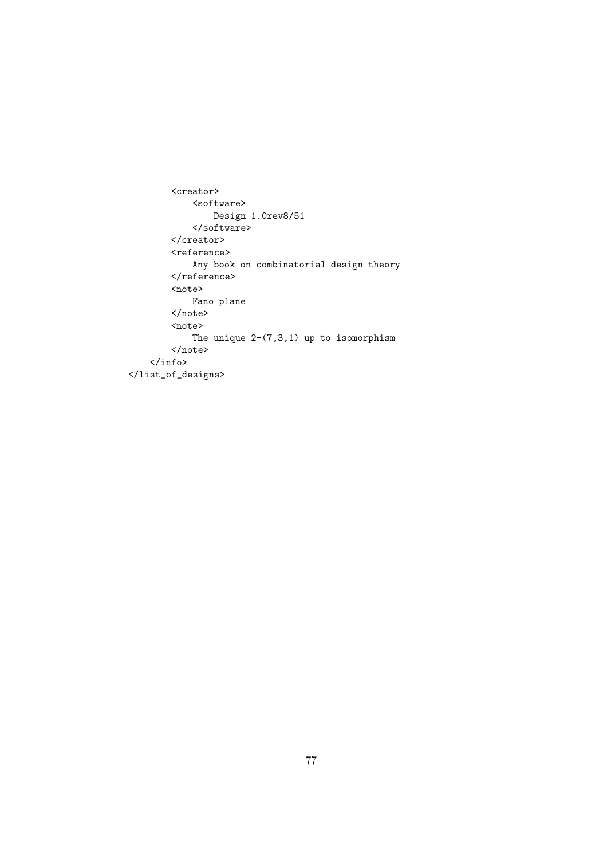```
<creator>
             <software>
                Design 1.0rev8/51
             </software>
        </creator>
        <reference>
            Any book on combinatorial design theory
        \langle/reference>
        <note>
            Fano plane
        </note>
        <note>
             The unique 2-(7,3,1) up to isomorphism
        \langle/note>
    \langle\, \rangle</list_of_designs>
```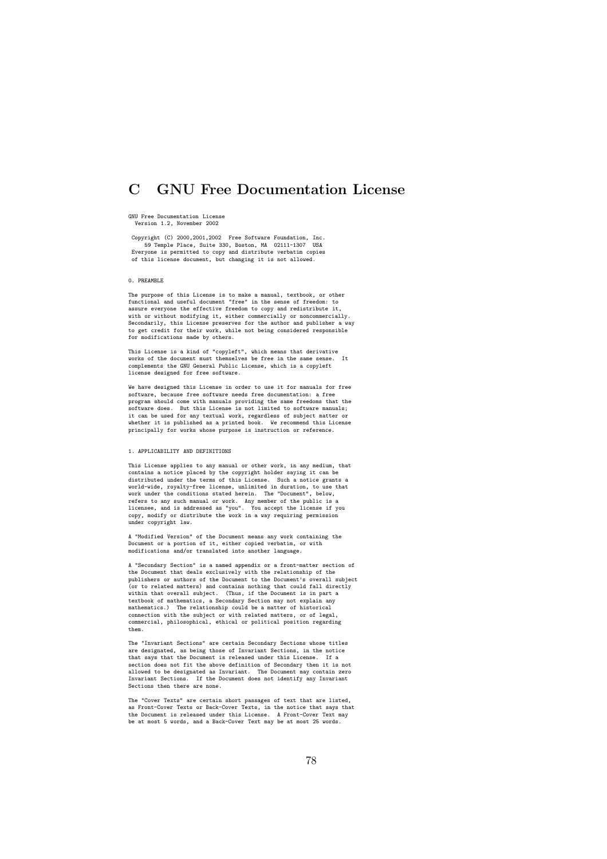# C GNU Free Documentation License

#### GNU Free Documentation License Version 1.2, November 2002

Copyright (C) 2000,2001,2002 Free Software Foundation, Inc. 59 Temple Place, Suite 330, Boston, MA 02111-1307 USA Everyone is permitted to copy and distribute verbatim copies of this license document, but changing it is not allowed.

# 0. PREAMBLE

The purpose of this License is to make a manual, textbook, or other functional and useful document "free" in the sense of freedom: to assure everyone the effective freedom to copy and redistribute it, with or without modifying it, either commercially or noncommercially.<br>Secondarily, this License preserves for the author and publisher a way<br>to get credit for their work, while not being considered responsible for modifications made by others.

This License is a kind of "copyleft", which means that derivative works of the document must themselves be free in the same sense. It complements the GNU General Public License, which is a copyleft license designed for free software.

We have designed this License in order to use it for manuals for free software, because free software needs free documentation: a free program should come with manuals providing the same freedoms that the software does. But this License is not limited to software manuals;<br>it can be used for any textual work, regardless of subject matter or<br>whether it is published as a printed book. We recommend this License principally for works whose purpose is instruction or reference.

#### 1. APPLICABILITY AND DEFINITIONS

This License applies to any manual or other work, in any medium, that contains a notice placed by the copyright holder saying it can be distributed under the terms of this License. Such a notice grants a<br>world-wide, royalty-free license, unlimited in duration, to use that<br>work under the conditions stated herein. The "Document", below,<br>refers to any such ma under copyright law.

A "Modified Version" of the Document means any work containing the Document or a portion of it, either copied verbatim, or with modifications and/or translated into another language.

A "Secondary Section" is a named appendix or a front-matter section of the Document that deals exclusively with the relationship of the publishers or authors of the Document to the Document's overall subject (or to related matters) and contains nothing that could fall directly within that overall subject. (Thus, if the Document is in part a<br>textbook of mathematics, a Secondary Section may not explain any<br>mathematics.) The relationship could be a matter of historical<br>connection with the subject o them.

The "Invariant Sections" are certain Secondary Sections whose titles<br>are designated, as being those of Invariant Sections, in the notice<br>that says that the Document is released under this License. If a<br>section does not fit allowed to be designated as Invariant. The Document may contain zero Invariant Sections. If the Document does not identify any Invariant Sections then there are none.

The "Cover Texts" are certain short passages of text that are listed, as Front-Cover Texts or Back-Cover Texts, in the notice that says that the Document is released under this License. A Front-Cover Text may be at most 5 words, and a Back-Cover Text may be at most 25 words.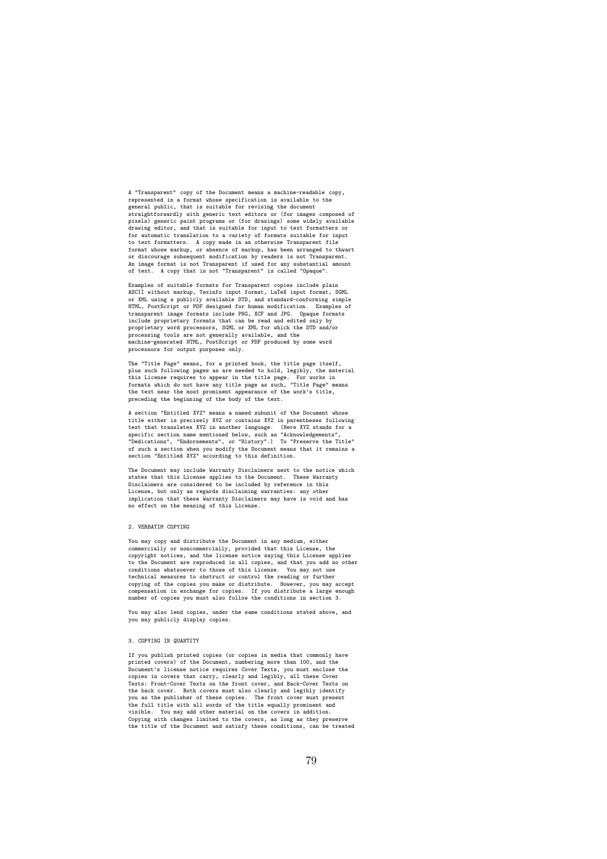A "Transparent" copy of the Document means a machine-readable copy, represented in a format whose specification is available to the general public, that is suitable for revising the document straightforwardly with generic text editors or (for images composed of pixels) generic paint programs or (for drawings) some widely available drawing editor, and that is suitable for input to text formatters or for automatic translation to a variety of formats suitable for input to text formatters. A copy made in an otherwise Transparent file format whose markup, or absence of markup, has been arranged to thwart or discourage subsequent modification by readers is not Transparent. An image format is not Transparent if used for any substantial amount of text. A copy that is not "Transparent" is called "Opaque".

Examples of suitable formats for Transparent copies include plain ASCII without markup, Texinfo input format, LaTeX input format, SGML or XML using a publicly available DTD, and standard-conforming simple HTML, PostScript or PDF designed for human modification. Examples of transparent image formats include PNG, XCF and JPG. Opaque formats include proprietary formats that can be read and edited only by proprietary word processors, SGML or XML for which the DTD and/or processing tools are not generally available, and the machine-generated HTML, PostScript or PDF produced by some word processors for output purposes only.

The "Title Page" means, for a printed book, the title page itself, plus such following pages as are needed to hold, legibly, the material this License requires to appear in the title page. For works in formats which do not have any title page as such, "Title Page" means the text near the most prominent appearance of the work's title, preceding the beginning of the body of the text.

A section "Entitled XYZ" means a named subunit of the Document whose title either is precisely XYZ or contains XYZ in parentheses following text that translates XYZ in another language. (Here XYZ stands for a specific section name mentioned below, such as "Acknowledgements", "Dedications", "Endorsements", or "History".) To "Preserve the Title"<br>of such a section when you modify the Document means that it remains a<br>section "Entit

The Document may include Warranty Disclaimers next to the notice which states that this License applies to the Document. These Warranty Disclaimers are considered to be included by reference in this License, but only as regards disclaiming warranties: any other implication that these Warranty Disclaimers may have is void and has no effect on the meaning of this License.

#### 2. VERBATIM COPYING

You may copy and distribute the Document in any medium, either commercially or noncommercially, provided that this License, the copyright notices, and the license notice saying this License applies to the Document are reproduced in all copies, and that you add no other conditions whatsoever to those of this License. You may not use technical measures to obstruct or control the reading or further copying of the copies you make or distribute. However, you may accept compensation in exchange for copies. If you distribute a large enough number of copies you must also follow the conditions in section 3.

You may also lend copies, under the same conditions stated above, and you may publicly display copies.

## 3. COPYING IN QUANTITY

If you publish printed copies (or copies in media that commonly have printed covers) of the Document, numbering more than 100, and the Document's license notice requires Cover Texts, you must enclose the<br>copies in covers that carry, clearly and legibly, all these Cover<br>Texts: Front-Cover Texts on the front cover, and Back-Cover Texts on<br>the back cover. Bo you as the publisher of these copies. The front cover must present the full title with all words of the title equally prominent and visible. You may add other material on the covers in addition. Copying with changes limited to the covers, as long as they preserve the title of the Document and satisfy these conditions, can be treated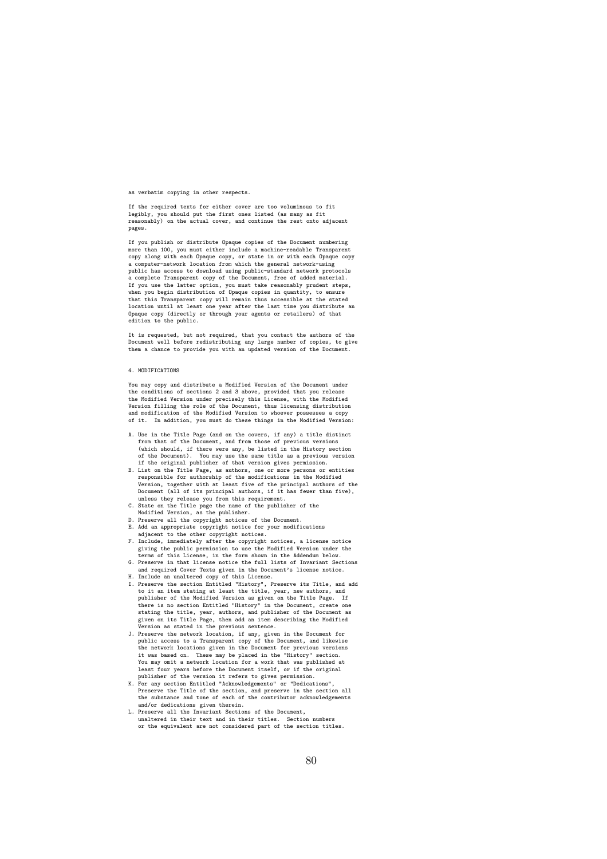as verbatim copying in other respects.

If the required texts for either cover are too voluminous to fit legibly, you should put the first ones listed (as many as fit reasonably) on the actual cover, and continue the rest onto adjacent pages.

If you publish or distribute Opaque copies of the Document numbering more than 100, you must either include a machine-readable Transparent copy along with each Opaque copy, or state in or with each Opaque copy a computer-network location from which the general network-using public has access to download using public-standard network protocols a complete Transparent copy of the Document, free of added material. If you use the latter option, you must take reasonably prudent steps, when you begin distribution of Opaque copies in quantity, to ensure that this Transparent copy will remain thus accessible at the stated location until at least one year after the last time you distribute an Opaque copy (directly or through your agents or retailers) of that edition to the public.

It is requested, but not required, that you contact the authors of the Document well before redistributing any large number of copies, to give them a chance to provide you with an updated version of the Document.

#### 4. MODIFICATIONS

You may copy and distribute a Modified Version of the Document under the conditions of sections 2 and 3 above, provided that you release the Modified Version under precisely this License, with the Modified Version filling the role of the Document, thus licensing distribution and modification of the Modified Version to whoever possesses a copy of it. In addition, you must do these things in the Modified Version:

- A. Use in the Title Page (and on the covers, if any) a title distinct from that of the Document, and from those of previous versions (which should, if there were any, be listed in the History section of the Document). You may use the same title as a previous version if the original publisher of that version gives permission.
- B. List on the Title Page, as authors, one or more persons or entities responsible for authorship of the modifications in the Modified Version, together with at least five of the principal authors of the Document (all of its principal authors, if it has fewer than five), unless they release you from this requirement.
- C. State on the Title page the name of the publisher of the Modified Version, as the publisher. D. Preserve all the copyright notices of the Document.
- 
- E. Add an appropriate copyright notice for your modifications
- adjacent to the other copyright notices. F. Include, immediately after the copyright notices, a license notice giving the public permission to use the Modified Version under the terms of this License, in the form shown in the Addendum below. G. Preserve in that license notice the full lists of Invariant Sections
- and required Cover Texts given in the Document's license notice.
- 
- H. Include an unaltered copy of this License.<br>I. Preserve the section Entitled "History", Preserve its Title, and add<br>to it an item stating at least the title, year, new authors, and<br>publisher of the Modified Version as gi there is no section Entitled "History" in the Document, create one stating the title, year, authors, and publisher of the Document as given on its Title Page, then add an item describing the Modified<br>Version as stated in the previous sentence.<br>J. Preserve the network location, if any, given in the Document for<br>D. Preserve the network location, if any, gi
- the network locations given in the Document for previous versions it was based on. These may be placed in the "History" section. You may omit a network location for a work that was published at least four years before the Document itself, or if the original<br>publisher of the version it refers to gives permission.<br>For any section Entitled "Acknowledgements" or "Dedications",<br>Preserve the Title of the section, and p
- the substance and tone of each of the contributor acknowledgements and/or dedications given therein.
- L. Preserve all the Invariant Sections of the Document, unaltered in their text and in their titles. Section numbers or the equivalent are not considered part of the section titles.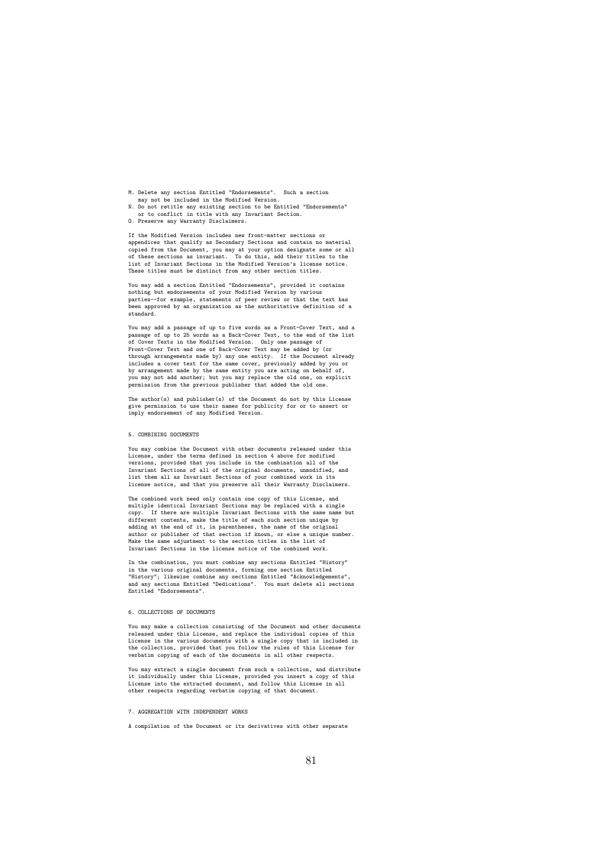- M. Delete any section Entitled "Endorsements". Such a section may not be included in the Modified Version.
- N. Do not retitle any existing section to be Entitled "Endorsements" or to conflict in title with any Invariant Section.
- O. Preserve any Warranty Disclaimers.

If the Modified Version includes new front-matter sections or appendices that qualify as Secondary Sections and contain no material<br>copied from the Document, you may at your option designate some or all<br>of these sections as invariant. To do this, add their titles to the<br>list of Invar These titles must be distinct from any other section titles.

You may add a section Entitled "Endorsements", provided it contains nothing but endorsements of your Modified Version by various parties--for example, statements of peer review or that the text has been approved by an organization as the authoritative definition of a standard.

You may add a passage of up to five words as a Front-Cover Text, and a passage of up to 25 words as a Back-Cover Text, to the end of the list of Cover Texts in the Modified Version. Only one passage of Front-Cover Text and one of Back-Cover Text may be added by (or through arrangements made by) any one entity. If the Document already includes a cover text for the same cover, previously added by you or by arrangement made by the same entity you are acting on behalf of, you may not add another; but you may replace the old one, on explicit permission from the previous publisher that added the old one.

The author(s) and publisher(s) of the Document do not by this License give permission to use their names for publicity for or to assert or imply endorsement of any Modified Version.

#### 5. COMBINING DOCUMENTS

You may combine the Document with other documents released under this License, under the terms defined in section 4 above for modified versions, provided that you include in the combination all of the<br>Invariant Sections of all of the original documents, unmodified, and<br>list them all as Invariant Sections of your combined work in its license notice, and that you preserve all their Warranty Disclaimers.

The combined work need only contain one copy of this License, and multiple identical Invariant Sections may be replaced with a single copy. If there are multiple Invariant Sections with the same name but different contents, make the title of each such section unique by adding at the end of it, in parentheses, the name of the original author or publisher of that section if known, or else a unique number. Make the same adjustment to the section titles in the list of Invariant Sections in the license notice of the combined work.

In the combination, you must combine any sections Entitled "History" in the various original documents, forming one section Entitled "History"; likewise combine any sections Entitled "Acknowledgements", and any sections Entitled "Dedications". You must delete all sections Entitled "Endorsements".

#### 6. COLLECTIONS OF DOCUMENTS

You may make a collection consisting of the Document and other documents released under this License, and replace the individual copies of this License in the various documents with a single copy that is included in the collection, provided that you follow the rules of this License for verbatim copying of each of the documents in all other respects.

You may extract a single document from such a collection, and distribute<br>it individually under this License, provided you insert a copy of this<br>License into the extracted document, and follow this License in all<br>other resp

### 7. AGGREGATION WITH INDEPENDENT WORKS

A compilation of the Document or its derivatives with other separate